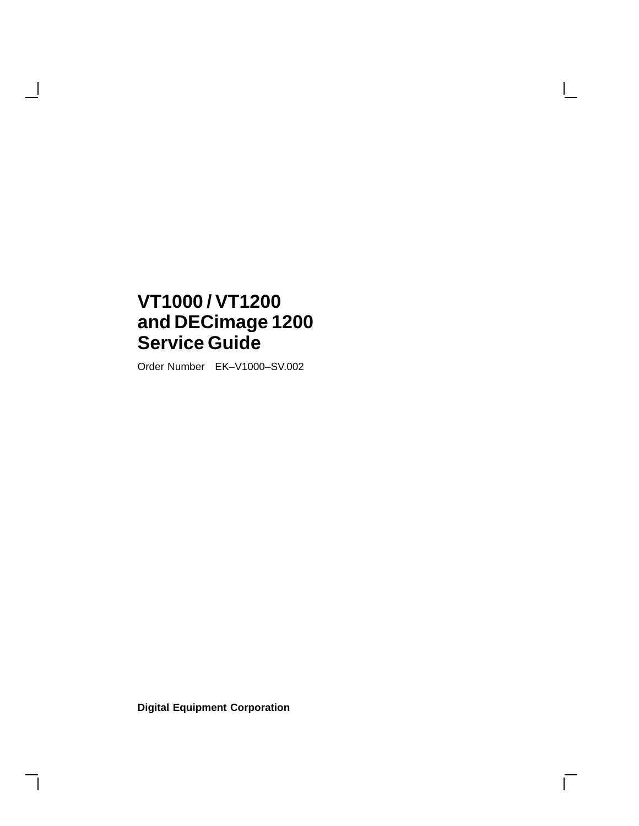## **VT1000 / VT1200 and DECimage 1200 Service Guide**

 $\mathcal{A}$ 

Order Number EK–V1000–SV.002

**Digital Equipment Corporation**

 $\overline{\Gamma}$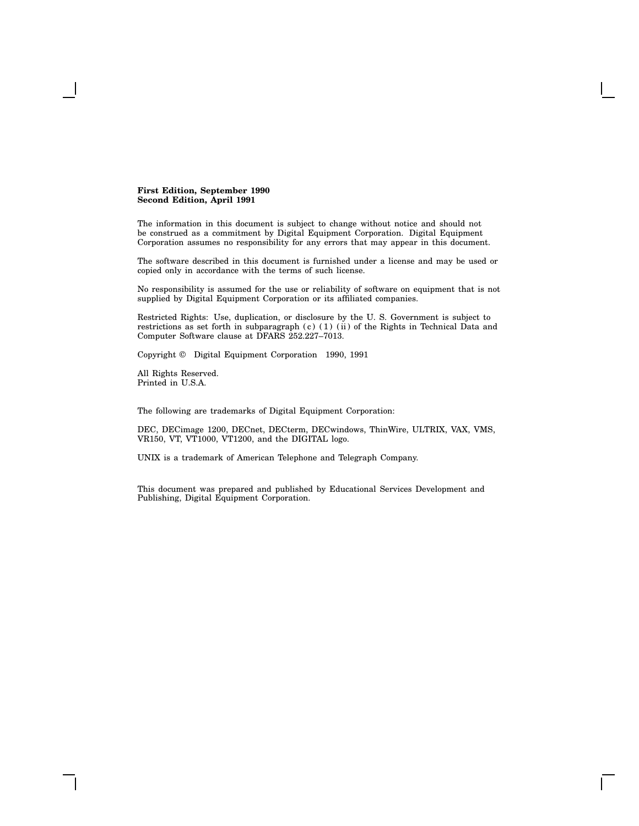#### **First Edition, September 1990 Second Edition, April 1991**

The information in this document is subject to change without notice and should not be construed as a commitment by Digital Equipment Corporation. Digital Equipment Corporation assumes no responsibility for any errors that may appear in this document.

The software described in this document is furnished under a license and may be used or copied only in accordance with the terms of such license.

No responsibility is assumed for the use or reliability of software on equipment that is not supplied by Digital Equipment Corporation or its affiliated companies.

Restricted Rights: Use, duplication, or disclosure by the U. S. Government is subject to restrictions as set forth in subparagraph (c) (1) (ii) of the Rights in Technical Data and Computer Software clause at DFARS 252.227–7013.

Copyright © Digital Equipment Corporation 1990, 1991

All Rights Reserved. Printed in U.S.A.

The following are trademarks of Digital Equipment Corporation:

DEC, DECimage 1200, DECnet, DECterm, DECwindows, ThinWire, ULTRIX, VAX, VMS, VR150, VT, VT1000, VT1200, and the DIGITAL logo.

UNIX is a trademark of American Telephone and Telegraph Company.

This document was prepared and published by Educational Services Development and Publishing, Digital Equipment Corporation.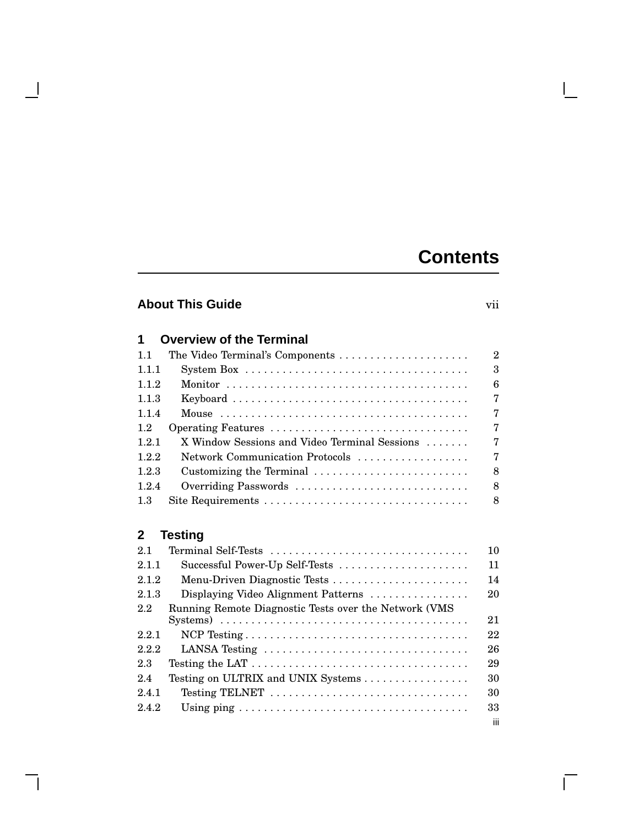## **Contents**

## **About This Guide** vii

 $\overline{\phantom{a}}$ 

**1 Overview of the Terminal**

 $\mathbf{I}$ 

 $\Box$ 

| 11    | The Video Terminal's Components                                                            | $\overline{2}$ |
|-------|--------------------------------------------------------------------------------------------|----------------|
| 1.1.1 | System Box $\dots \dots \dots \dots \dots \dots \dots \dots \dots \dots \dots \dots \dots$ | 3              |
| 1.1.2 |                                                                                            | 6              |
| 1.1.3 |                                                                                            |                |
| 114   |                                                                                            | 7              |
| 1.2   |                                                                                            |                |
| 1.2.1 | X Window Sessions and Video Terminal Sessions                                              |                |
| 1.2.2 | Network Communication Protocols                                                            |                |
| 1.2.3 | Customizing the Terminal                                                                   | 8              |
| 1.2.4 | Overriding Passwords                                                                       | 8              |
| 1.3   |                                                                                            | 8              |

## **2 Testing**

| 2.1   | Terminal Self-Tests                                                                            | 10  |
|-------|------------------------------------------------------------------------------------------------|-----|
| 2.1.1 | Successful Power-Up Self-Tests                                                                 | 11  |
| 2.1.2 | Menu-Driven Diagnostic Tests                                                                   | 14  |
| 2.1.3 | Displaying Video Alignment Patterns                                                            | 20  |
| 2.2   | Running Remote Diagnostic Tests over the Network (VMS)                                         |     |
|       | Systems) $\dots \dots \dots \dots \dots \dots \dots \dots \dots \dots \dots \dots \dots \dots$ | 21  |
| 2.2.1 |                                                                                                | 22  |
| 2.2.2 | LANSA Testing                                                                                  | 26  |
| 2.3   | Testing the LAT $\dots \dots \dots \dots \dots \dots \dots \dots \dots \dots \dots \dots$      | 29  |
| 2.4   | Testing on ULTRIX and UNIX Systems                                                             | 30  |
| 2.4.1 | Testing TELNET                                                                                 | 30  |
| 2.4.2 | Using ping $\ldots \ldots \ldots \ldots \ldots \ldots \ldots \ldots \ldots \ldots \ldots$      | 33  |
|       |                                                                                                | iii |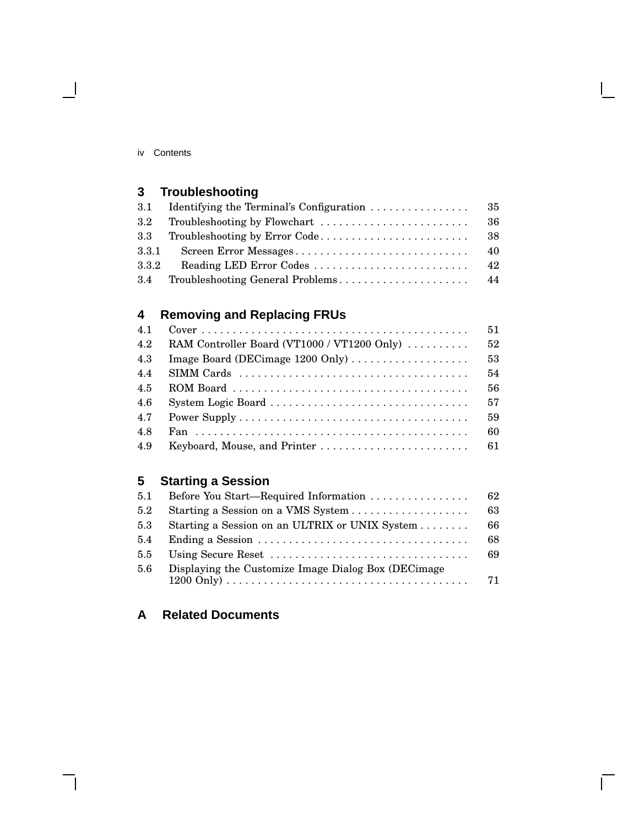#### iv Contents

 $\blacksquare$ 

## **3 Troubleshooting**

|       | -36 |
|-------|-----|
|       |     |
| 3.3.1 | 40  |
| 3.3.2 | 42  |
|       |     |

## **4 Removing and Replacing FRUs**

| 4.1 | $Cover \dots \dots \dots \dots \dots \dots \dots \dots \dots \dots \dots \dots \dots \dots \dots \dots$ | 51 |
|-----|---------------------------------------------------------------------------------------------------------|----|
| 4.2 | RAM Controller Board (VT1000 / VT1200 Only)                                                             | 52 |
| 4.3 | Image Board (DECimage 1200 Only)                                                                        | 53 |
| 4.4 |                                                                                                         | 54 |
| 4.5 |                                                                                                         | 56 |
| 4.6 | System Logic Board                                                                                      | 57 |
| 4.7 |                                                                                                         | 59 |
| 4.8 |                                                                                                         | 60 |
| 4.9 |                                                                                                         |    |

## **5 Starting a Session**

| 5.1           | Before You Start—Required Information                | 62 |
|---------------|------------------------------------------------------|----|
| 5.2           |                                                      | 63 |
| 5.3           | Starting a Session on an ULTRIX or UNIX System       | 66 |
| 5.4           |                                                      | 68 |
| $5.5^{\circ}$ |                                                      | 69 |
| 5.6           | Displaying the Customize Image Dialog Box (DECimage) | 71 |

 $\overline{\Box}$ 

## **A Related Documents**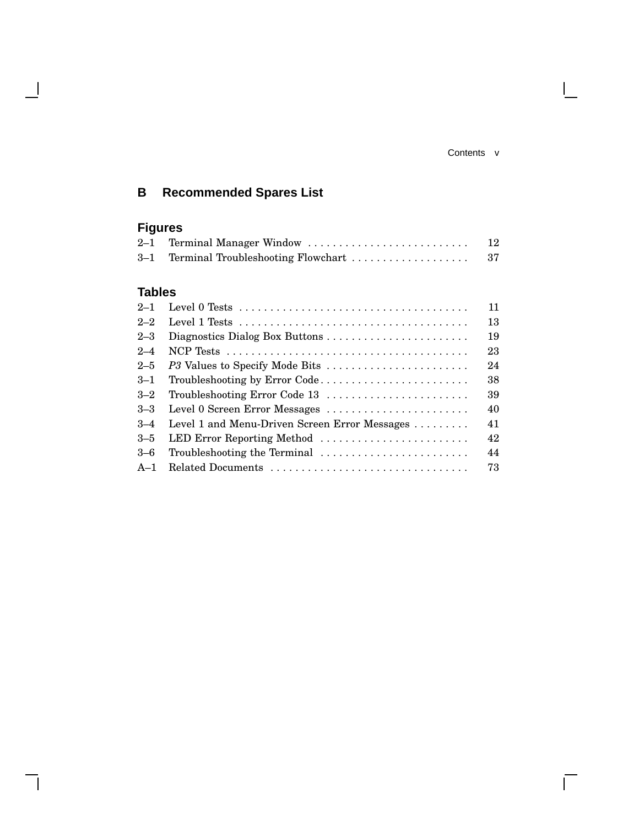#### Contents v

 $\overline{\Gamma}$ 

## **B Recommended Spares List**

## **Figures**

 $\overline{\phantom{a}}$ 

| $2\hbox{--}1$ | Terminal Manager Window                                                                     | 12 |
|---------------|---------------------------------------------------------------------------------------------|----|
| $3-1$         | Terminal Troubleshooting Flowchart                                                          | 37 |
|               |                                                                                             |    |
| Tables        |                                                                                             |    |
| $2\hbox{--}1$ |                                                                                             | 11 |
| $2 - 2$       | Level 1 Tests $\dots\dots\dots\dots\dots\dots\dots\dots\dots\dots\dots\dots\dots\dots\dots$ | 13 |
| $2\text{--}3$ | Diagnostics Dialog Box Buttons                                                              | 19 |
| $2 - 4$       |                                                                                             | 23 |
| $2 - 5$       | P3 Values to Specify Mode Bits                                                              | 24 |
| $3 - 1$       | Troubleshooting by Error Code                                                               | 38 |
| $3 - 2$       | Troubleshooting Error Code 13                                                               | 39 |
| $3 - 3$       | Level 0 Screen Error Messages                                                               | 40 |
| $3 - 4$       | Level 1 and Menu-Driven Screen Error Messages                                               | 41 |
| $3 - 5$       | LED Error Reporting Method                                                                  | 42 |
| $3 - 6$       | Troubleshooting the Terminal                                                                | 44 |
| A–1           | Related Documents                                                                           | 73 |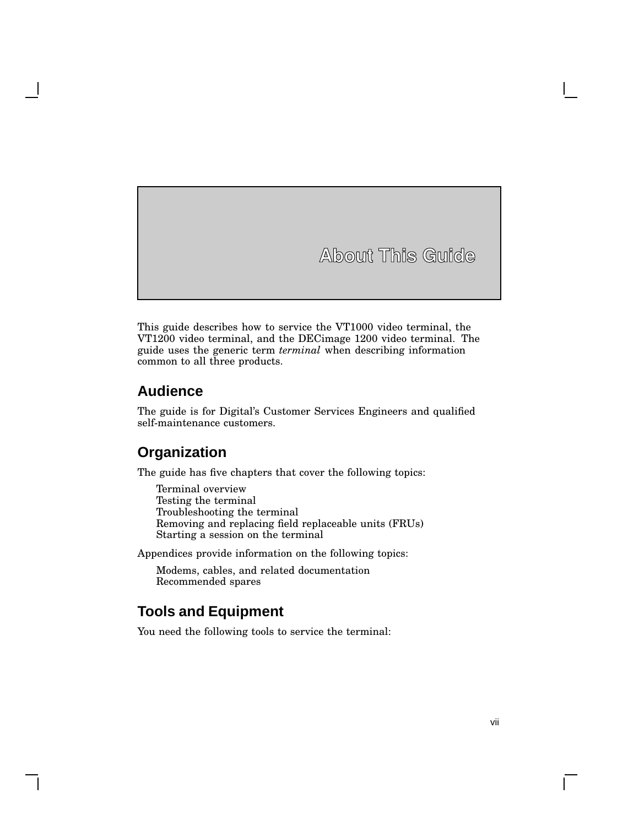**About This Guide**

This guide describes how to service the VT1000 video terminal, the VT1200 video terminal, and the DECimage 1200 video terminal. The guide uses the generic term *terminal* when describing information common to all three products.

## **Audience**

The guide is for Digital's Customer Services Engineers and qualified self-maintenance customers.

## **Organization**

The guide has five chapters that cover the following topics:

Terminal overview Testing the terminal Troubleshooting the terminal Removing and replacing field replaceable units (FRUs) Starting a session on the terminal

Appendices provide information on the following topics:

Modems, cables, and related documentation Recommended spares

## **Tools and Equipment**

You need the following tools to service the terminal: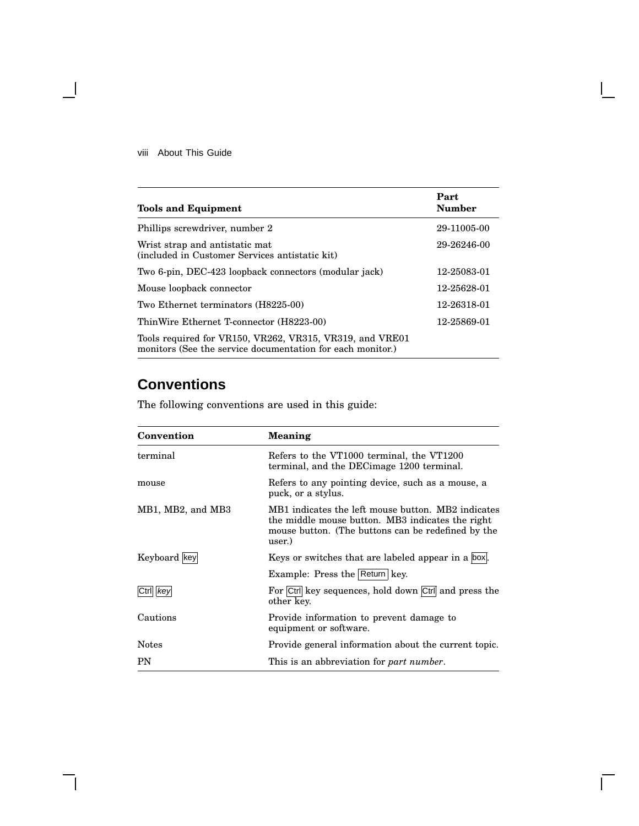#### viii About This Guide

 $\overline{\phantom{a}}$ 

| <b>Tools and Equipment</b>                                                                                             | Part<br><b>Number</b> |
|------------------------------------------------------------------------------------------------------------------------|-----------------------|
| Phillips screwdriver, number 2                                                                                         | 29-11005-00           |
| Wrist strap and antistatic mat<br>(included in Customer Services antistatic kit)                                       | 29-26246-00           |
| Two 6-pin, DEC-423 loopback connectors (modular jack)                                                                  | 12-25083-01           |
| Mouse loopback connector                                                                                               | 12-25628-01           |
| Two Ethernet terminators (H8225-00)                                                                                    | 12-26318-01           |
| ThinWire Ethernet T-connector (H8223-00)                                                                               | 12-25869-01           |
| Tools required for VR150, VR262, VR315, VR319, and VRE01<br>monitors (See the service documentation for each monitor.) |                       |

## **Conventions**

The following conventions are used in this guide:

| Convention        | <b>Meaning</b>                                                                                                                                                         |
|-------------------|------------------------------------------------------------------------------------------------------------------------------------------------------------------------|
| terminal          | Refers to the VT1000 terminal, the VT1200<br>terminal, and the DEC image 1200 terminal.                                                                                |
| mouse             | Refers to any pointing device, such as a mouse, a<br>puck, or a stylus.                                                                                                |
| MB1, MB2, and MB3 | MB1 indicates the left mouse button. MB2 indicates<br>the middle mouse button. MB3 indicates the right<br>mouse button. (The buttons can be redefined by the<br>user.) |
| Keyboard key      | Keys or switches that are labeled appear in a box.                                                                                                                     |
|                   | Example: Press the Return key.                                                                                                                                         |
| kev               | For Ctrl key sequences, hold down Ctrl and press the<br>other key.                                                                                                     |
| Cautions          | Provide information to prevent damage to<br>equipment or software.                                                                                                     |
| <b>Notes</b>      | Provide general information about the current topic.                                                                                                                   |
| PN                | This is an abbreviation for <i>part number</i> .                                                                                                                       |

 $\bar{\Gamma}$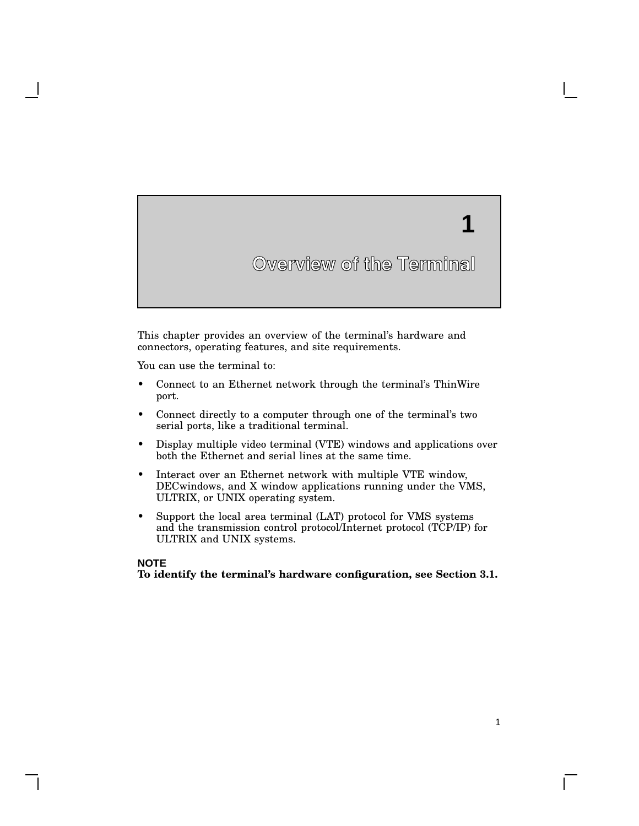# **1**

1

## **Overview of the Terminal**

This chapter provides an overview of the terminal's hardware and connectors, operating features, and site requirements.

You can use the terminal to:

- Connect to an Ethernet network through the terminal's ThinWire port.
- Connect directly to a computer through one of the terminal's two serial ports, like a traditional terminal.
- Display multiple video terminal (VTE) windows and applications over both the Ethernet and serial lines at the same time.
- Interact over an Ethernet network with multiple VTE window, DECwindows, and X window applications running under the VMS, ULTRIX, or UNIX operating system.
- Support the local area terminal (LAT) protocol for VMS systems and the transmission control protocol/Internet protocol (TCP/IP) for ULTRIX and UNIX systems.

#### **NOTE**

**To identify the terminal's hardware configuration, see Section 3.1.**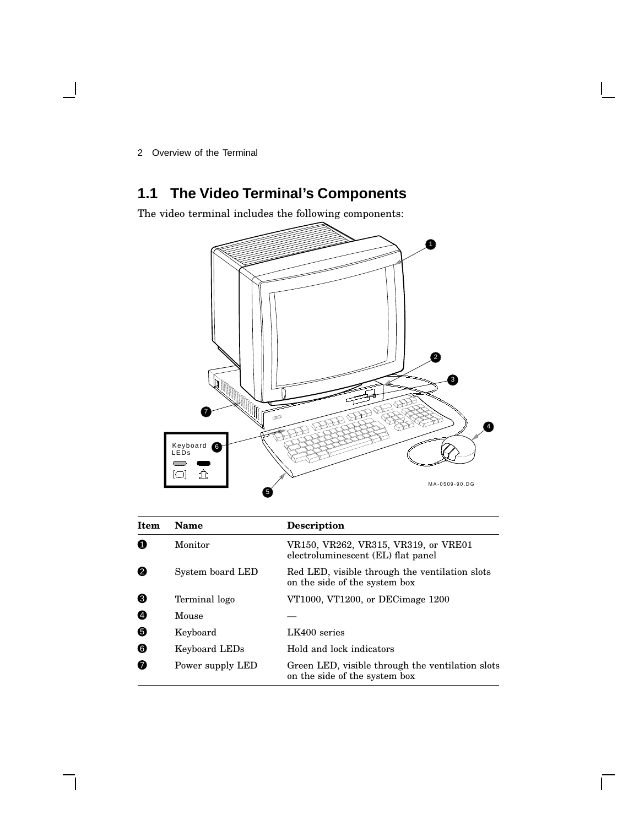## **1.1 The Video Terminal's Components**

The video terminal includes the following components:



| <b>Item</b> | Name             | <b>Description</b>                                                                |
|-------------|------------------|-----------------------------------------------------------------------------------|
| A           | Monitor          | VR150, VR262, VR315, VR319, or VRE01<br>electroluminescent (EL) flat panel        |
| 0           | System board LED | Red LED, visible through the ventilation slots<br>on the side of the system box   |
| ❸           | Terminal logo    | VT1000, VT1200, or DECimage 1200                                                  |
| Ø           | Mouse            |                                                                                   |
| 6           | Keyboard         | LK400 series                                                                      |
| ❺           | Keyboard LEDs    | Hold and lock indicators                                                          |
| ⋒           | Power supply LED | Green LED, visible through the ventilation slots<br>on the side of the system box |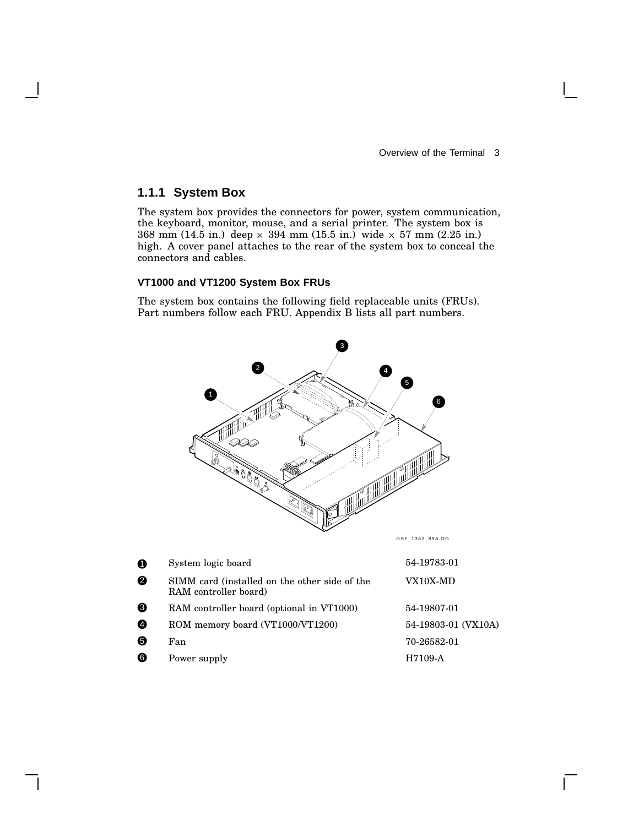### **1.1.1 System Box**

The system box provides the connectors for power, system communication, the keyboard, monitor, mouse, and a serial printer. The system box is  $368 \text{ mm } (14.5 \text{ in.}) \text{ deep} \times 394 \text{ mm } (15.5 \text{ in.}) \text{ wide} \times 57 \text{ mm } (2.25 \text{ in.})$ high. A cover panel attaches to the rear of the system box to conceal the connectors and cables.

#### **VT1000 and VT1200 System Box FRUs**

The system box contains the following field replaceable units (FRUs). Part numbers follow each FRU. Appendix B lists all part numbers.



| . . | $\sim$ , secin rogic society                                           |                     |
|-----|------------------------------------------------------------------------|---------------------|
| ❷   | SIMM card (installed on the other side of the<br>RAM controller board) | VX10X-MD            |
| ❸   | RAM controller board (optional in VT1000)                              | 54-19807-01         |
| Ð   | ROM memory board (VT1000/VT1200)                                       | 54-19803-01 (VX10A) |
| ❺   | Fan                                                                    | 70-26582-01         |
| ❻   | Power supply                                                           | H7109-A             |
|     |                                                                        |                     |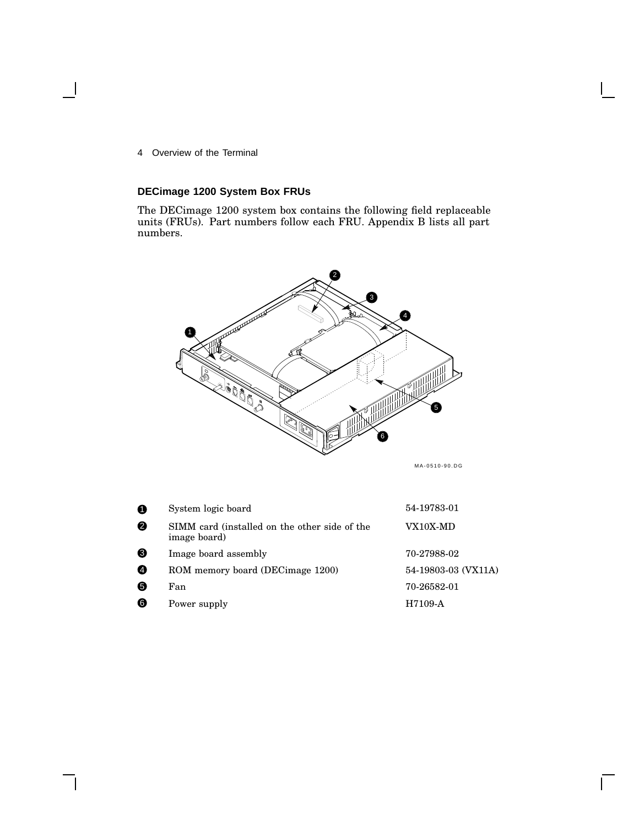### **DECimage 1200 System Box FRUs**

The DECimage 1200 system box contains the following field replaceable units (FRUs). Part numbers follow each FRU. Appendix B lists all part numbers.



MA-0510-90.DG

 $\mathsf{I}$ 

| 0 | System logic board                                            | 54-19783-01         |
|---|---------------------------------------------------------------|---------------------|
| ❷ | SIMM card (installed on the other side of the<br>image board) | VX10X-MD            |
| ❸ | Image board assembly                                          | 70-27988-02         |
| ❹ | ROM memory board (DECimage 1200)                              | 54-19803-03 (VX11A) |
| 6 | Fan                                                           | 70-26582-01         |
| ❻ | Power supply                                                  | H7109-A             |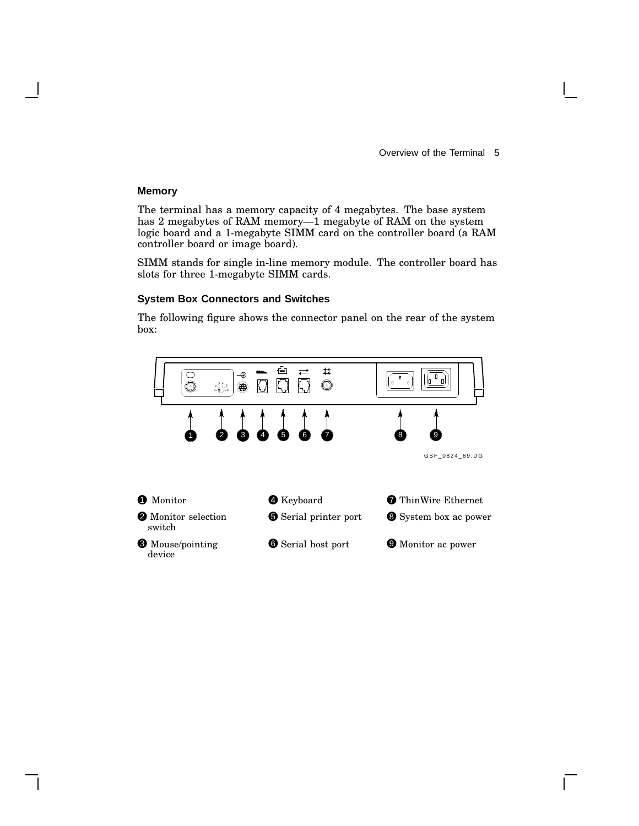#### **Memory**

The terminal has a memory capacity of 4 megabytes. The base system has 2 megabytes of RAM memory—1 megabyte of RAM on the system logic board and a 1-megabyte SIMM card on the controller board (a RAM controller board or image board).

SIMM stands for single in-line memory module. The controller board has slots for three 1-megabyte SIMM cards.

#### **System Box Connectors and Switches**

The following figure shows the connector panel on the rear of the system box:

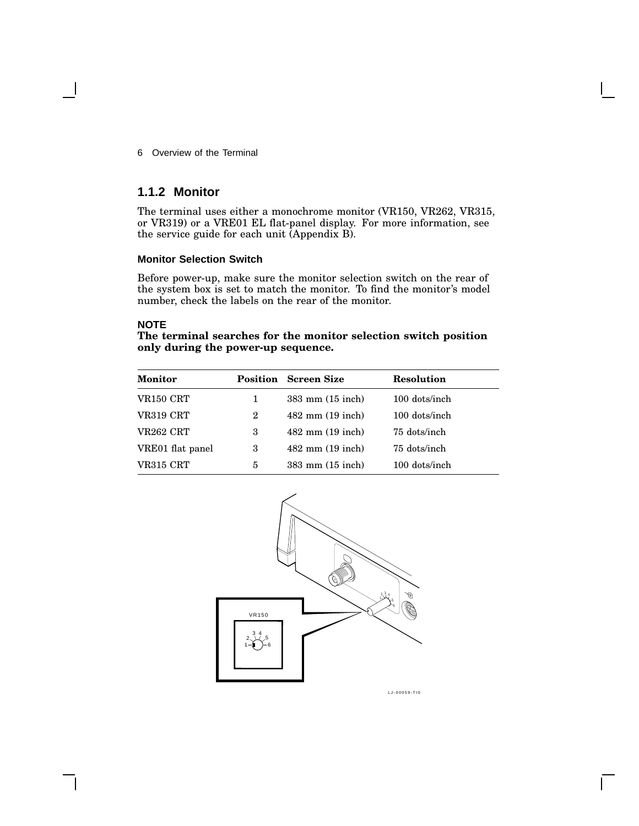#### **1.1.2 Monitor**

The terminal uses either a monochrome monitor (VR150, VR262, VR315, or VR319) or a VRE01 EL flat-panel display. For more information, see the service guide for each unit (Appendix B).

#### **Monitor Selection Switch**

Before power-up, make sure the monitor selection switch on the rear of the system box is set to match the monitor. To find the monitor's model number, check the labels on the rear of the monitor.

#### **NOTE**

#### **The terminal searches for the monitor selection switch position only during the power-up sequence.**

| <b>Monitor</b>   |   | <b>Position</b> Screen Size | <b>Resolution</b> |
|------------------|---|-----------------------------|-------------------|
| VR150 CRT        | 1 | $383$ mm $(15$ inch)        | 100 dots/inch     |
| VR319 CRT        | 2 | $482$ mm $(19$ inch)        | 100 dots/inch     |
| VR262 CRT        | 3 | $482$ mm $(19$ inch)        | 75 dots/inch      |
| VRE01 flat panel | 3 | $482$ mm $(19$ inch)        | 75 dots/inch      |
| VR315 CRT        | 5 | $383$ mm $(15$ inch)        | 100 dots/inch     |



LJ-00059-TI0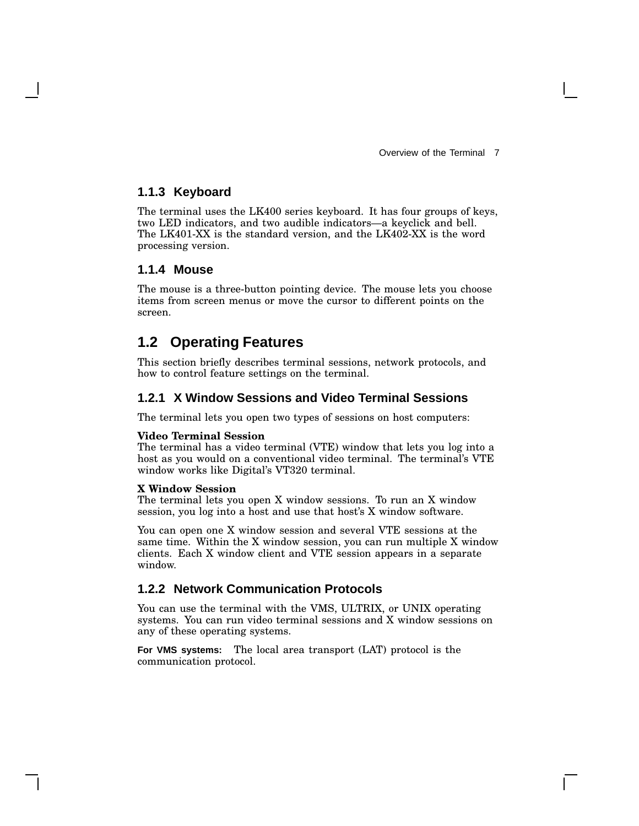#### **1.1.3 Keyboard**

The terminal uses the LK400 series keyboard. It has four groups of keys, two LED indicators, and two audible indicators—a keyclick and bell. The LK401-XX is the standard version, and the LK402-XX is the word processing version.

#### **1.1.4 Mouse**

The mouse is a three-button pointing device. The mouse lets you choose items from screen menus or move the cursor to different points on the screen.

## **1.2 Operating Features**

This section briefly describes terminal sessions, network protocols, and how to control feature settings on the terminal.

#### **1.2.1 X Window Sessions and Video Terminal Sessions**

The terminal lets you open two types of sessions on host computers:

#### **Video Terminal Session**

The terminal has a video terminal (VTE) window that lets you log into a host as you would on a conventional video terminal. The terminal's VTE window works like Digital's VT320 terminal.

#### **X Window Session**

The terminal lets you open X window sessions. To run an X window session, you log into a host and use that host's X window software.

You can open one X window session and several VTE sessions at the same time. Within the X window session, you can run multiple X window clients. Each X window client and VTE session appears in a separate window.

#### **1.2.2 Network Communication Protocols**

You can use the terminal with the VMS, ULTRIX, or UNIX operating systems. You can run video terminal sessions and X window sessions on any of these operating systems.

**For VMS systems:** The local area transport (LAT) protocol is the communication protocol.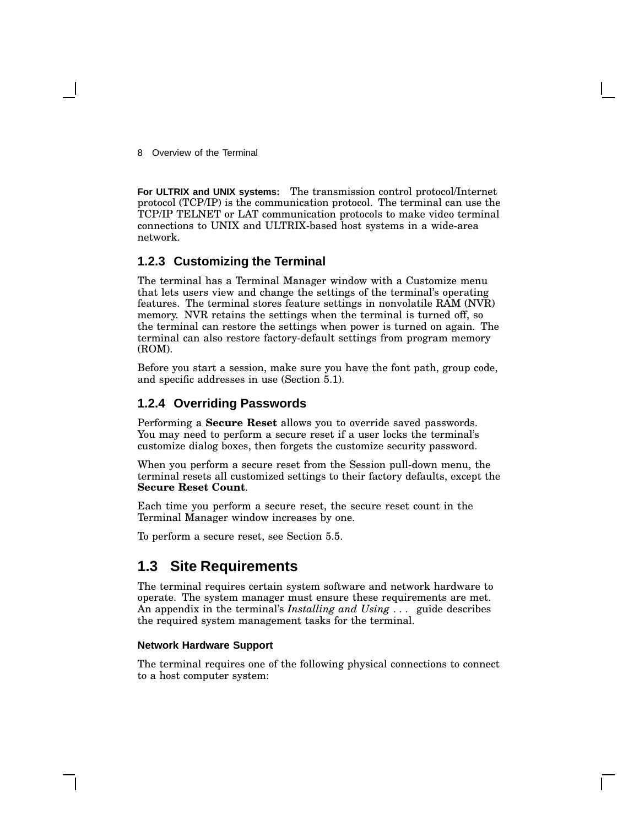**For ULTRIX and UNIX systems:** The transmission control protocol/Internet protocol (TCP/IP) is the communication protocol. The terminal can use the TCP/IP TELNET or LAT communication protocols to make video terminal connections to UNIX and ULTRIX-based host systems in a wide-area network.

#### **1.2.3 Customizing the Terminal**

The terminal has a Terminal Manager window with a Customize menu that lets users view and change the settings of the terminal's operating features. The terminal stores feature settings in nonvolatile RAM (NVR) memory. NVR retains the settings when the terminal is turned off, so the terminal can restore the settings when power is turned on again. The terminal can also restore factory-default settings from program memory (ROM).

Before you start a session, make sure you have the font path, group code, and specific addresses in use (Section 5.1).

#### **1.2.4 Overriding Passwords**

Performing a **Secure Reset** allows you to override saved passwords. You may need to perform a secure reset if a user locks the terminal's customize dialog boxes, then forgets the customize security password.

When you perform a secure reset from the Session pull-down menu, the terminal resets all customized settings to their factory defaults, except the **Secure Reset Count**.

Each time you perform a secure reset, the secure reset count in the Terminal Manager window increases by one.

To perform a secure reset, see Section 5.5.

### **1.3 Site Requirements**

The terminal requires certain system software and network hardware to operate. The system manager must ensure these requirements are met. An appendix in the terminal's *Installing and Using . . .* guide describes the required system management tasks for the terminal.

#### **Network Hardware Support**

The terminal requires one of the following physical connections to connect to a host computer system: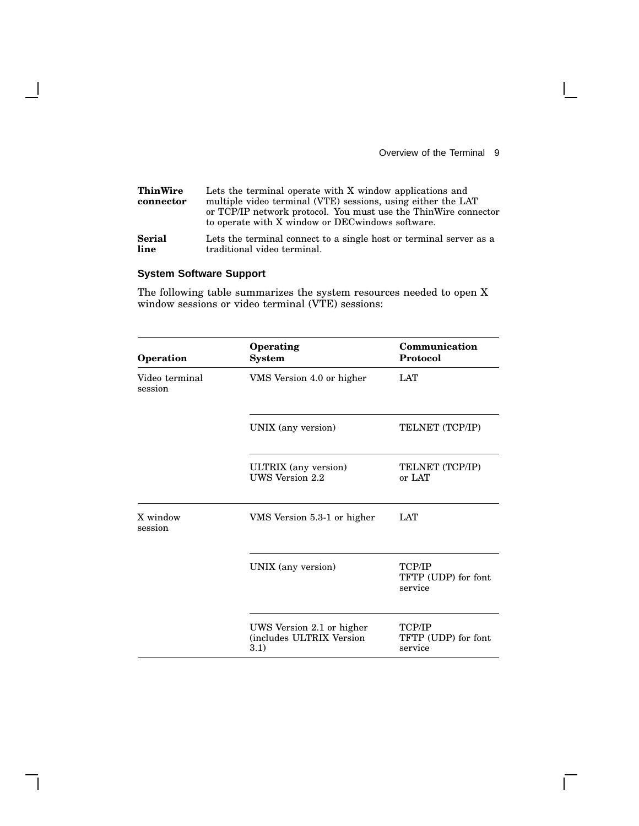$\mathbf{L}$ 

 $\Box$ 

| <b>ThinWire</b><br>connector | Lets the terminal operate with X window applications and<br>multiple video terminal (VTE) sessions, using either the LAT<br>or TCP/IP network protocol. You must use the ThinWire connector<br>to operate with X window or DEC windows software. |
|------------------------------|--------------------------------------------------------------------------------------------------------------------------------------------------------------------------------------------------------------------------------------------------|
| <b>Serial</b>                | Lets the terminal connect to a single host or terminal server as a                                                                                                                                                                               |
| line                         | traditional video terminal.                                                                                                                                                                                                                      |

### **System Software Support**

 $\overline{\phantom{a}}$ 

 $\overline{\phantom{a}}$ 

The following table summarizes the system resources needed to open X window sessions or video terminal (VTE) sessions:

| Operation                 | Operating<br><b>System</b>                                    | Communication<br>Protocol                |
|---------------------------|---------------------------------------------------------------|------------------------------------------|
| Video terminal<br>session | VMS Version 4.0 or higher                                     | <b>LAT</b>                               |
|                           | UNIX (any version)                                            | TELNET (TCP/IP)                          |
|                           | ULTRIX (any version)<br>UWS Version 2.2                       | TELNET (TCP/IP)<br>or LAT                |
| X window<br>session       | VMS Version 5.3-1 or higher                                   | <b>LAT</b>                               |
|                           | UNIX (any version)                                            | TCP/IP<br>TFTP (UDP) for font<br>service |
|                           | UWS Version 2.1 or higher<br>(includes ULTRIX Version<br>3.1) | TCP/IP<br>TFTP (UDP) for font<br>service |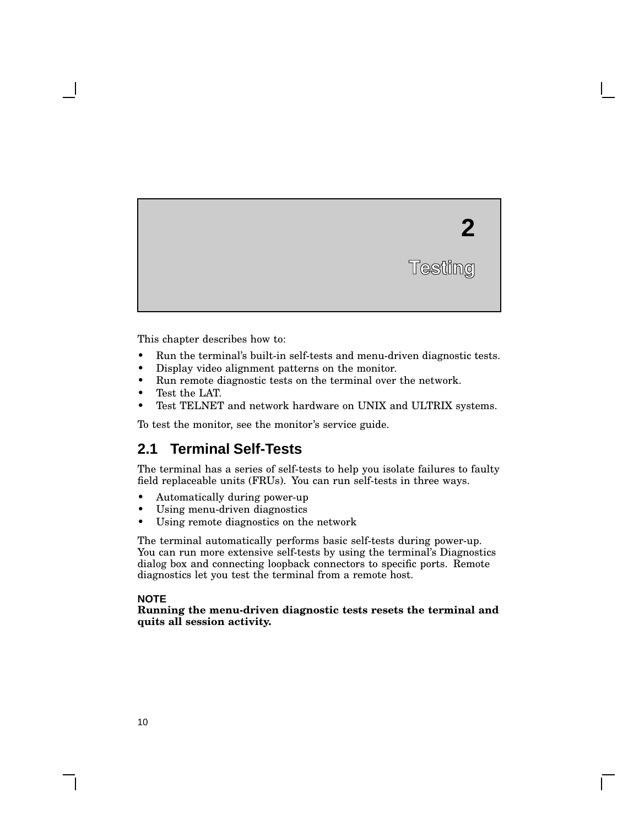This chapter describes how to:

- Run the terminal's built-in self-tests and menu-driven diagnostic tests.
- Display video alignment patterns on the monitor.
- Run remote diagnostic tests on the terminal over the network.
- Test the LAT.

**2**

**Testing**

Test TELNET and network hardware on UNIX and ULTRIX systems.

To test the monitor, see the monitor's service guide.

## **2.1 Terminal Self-Tests**

The terminal has a series of self-tests to help you isolate failures to faulty field replaceable units (FRUs). You can run self-tests in three ways.

- Automatically during power-up
- Using menu-driven diagnostics
- Using remote diagnostics on the network

The terminal automatically performs basic self-tests during power-up. You can run more extensive self-tests by using the terminal's Diagnostics dialog box and connecting loopback connectors to specific ports. Remote diagnostics let you test the terminal from a remote host.

#### **NOTE**

**Running the menu-driven diagnostic tests resets the terminal and quits all session activity.**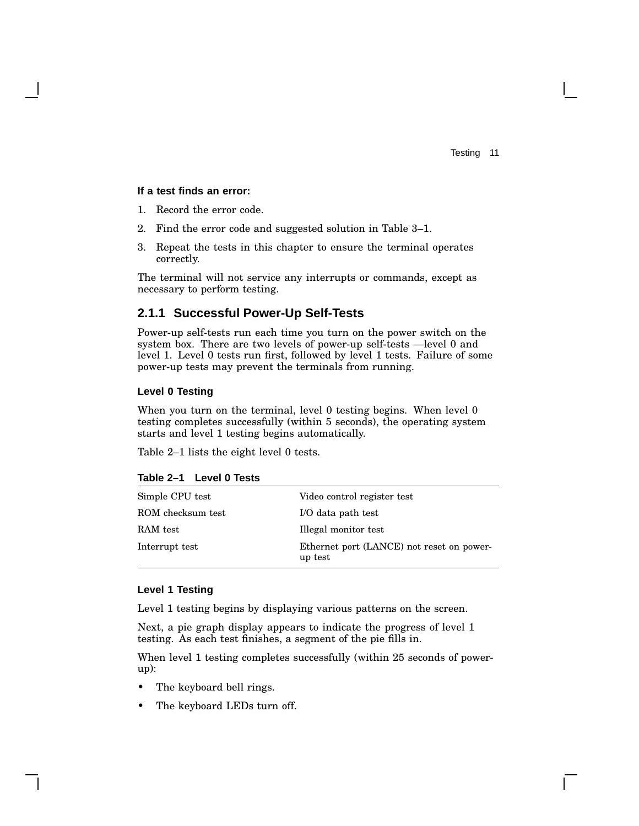#### **If a test finds an error:**

- 1. Record the error code.
- 2. Find the error code and suggested solution in Table 3–1.
- 3. Repeat the tests in this chapter to ensure the terminal operates correctly.

The terminal will not service any interrupts or commands, except as necessary to perform testing.

#### **2.1.1 Successful Power-Up Self-Tests**

Power-up self-tests run each time you turn on the power switch on the system box. There are two levels of power-up self-tests —level 0 and level 1. Level 0 tests run first, followed by level 1 tests. Failure of some power-up tests may prevent the terminals from running.

#### **Level 0 Testing**

When you turn on the terminal, level 0 testing begins. When level 0 testing completes successfully (within 5 seconds), the operating system starts and level 1 testing begins automatically.

Table 2–1 lists the eight level 0 tests.

| Simple CPU test   | Video control register test                          |
|-------------------|------------------------------------------------------|
| ROM checksum test | I/O data path test                                   |
| RAM test          | Illegal monitor test                                 |
| Interrupt test    | Ethernet port (LANCE) not reset on power-<br>up test |

#### **Table 2–1 Level 0 Tests**

#### **Level 1 Testing**

Level 1 testing begins by displaying various patterns on the screen.

Next, a pie graph display appears to indicate the progress of level 1 testing. As each test finishes, a segment of the pie fills in.

When level 1 testing completes successfully (within 25 seconds of powerup):

- The keyboard bell rings.
- The keyboard LEDs turn off.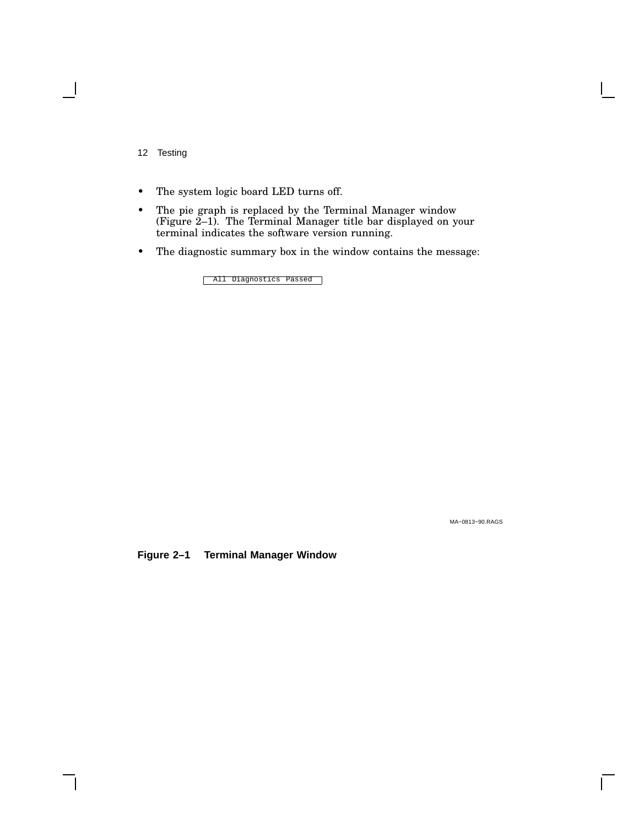- The system logic board LED turns off.
- The pie graph is replaced by the Terminal Manager window (Figure 2–1). The Terminal Manager title bar displayed on your terminal indicates the software version running.
- The diagnostic summary box in the window contains the message:

All Diagnostics Passed

MA−0813−90.RAGS

**Figure 2–1 Terminal Manager Window**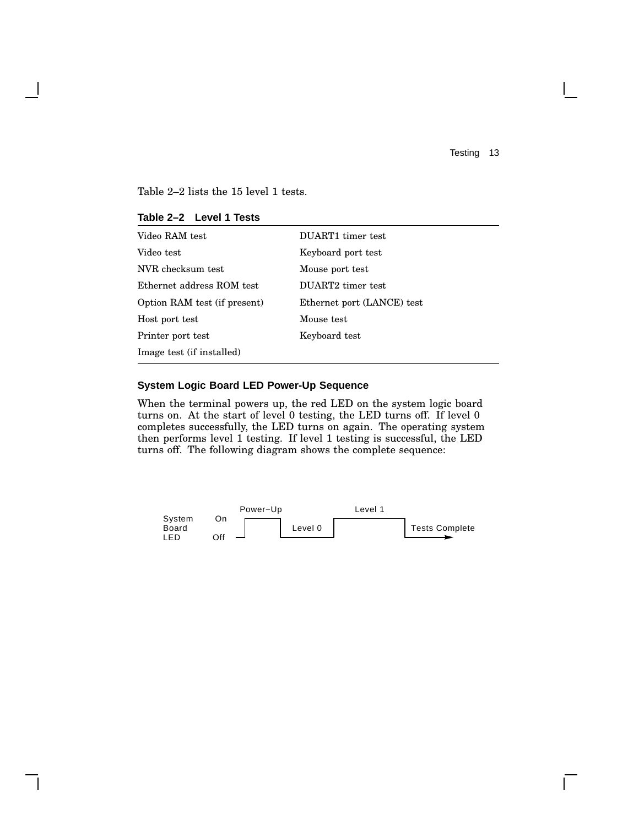$\mathbf{L}$ 

Table 2–2 lists the 15 level 1 tests.

| Video RAM test               | DUART1 timer test          |
|------------------------------|----------------------------|
| Video test                   | Keyboard port test         |
| NVR checksum test            | Mouse port test            |
| Ethernet address ROM test    | DUART2 timer test          |
| Option RAM test (if present) | Ethernet port (LANCE) test |
| Host port test               | Mouse test                 |
| Printer port test            | Keyboard test              |
| Image test (if installed)    |                            |

#### **Table 2–2 Level 1 Tests**

#### **System Logic Board LED Power-Up Sequence**

When the terminal powers up, the red LED on the system logic board turns on. At the start of level 0 testing, the LED turns off. If level 0 completes successfully, the LED turns on again. The operating system then performs level 1 testing. If level 1 testing is successful, the LED turns off. The following diagram shows the complete sequence:

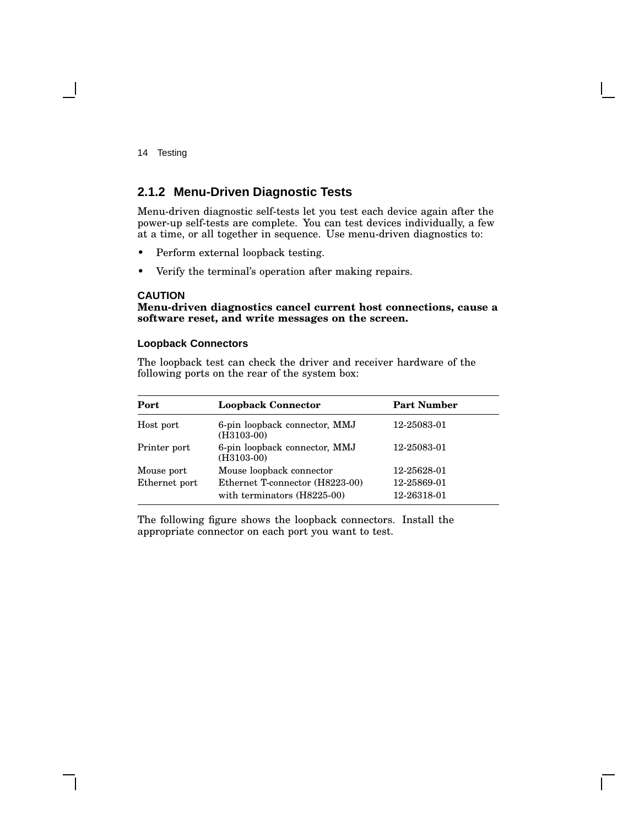#### **2.1.2 Menu-Driven Diagnostic Tests**

Menu-driven diagnostic self-tests let you test each device again after the power-up self-tests are complete. You can test devices individually, a few at a time, or all together in sequence. Use menu-driven diagnostics to:

- Perform external loopback testing.
- Verify the terminal's operation after making repairs.

#### **CAUTION**

**Menu-driven diagnostics cancel current host connections, cause a software reset, and write messages on the screen.**

#### **Loopback Connectors**

The loopback test can check the driver and receiver hardware of the following ports on the rear of the system box:

| Port          | <b>Loopback Connector</b>                                      | <b>Part Number</b>         |
|---------------|----------------------------------------------------------------|----------------------------|
| Host port     | 6-pin loopback connector, MMJ<br>$(H3103-00)$                  | 12-25083-01                |
| Printer port  | 6-pin loopback connector, MMJ<br>$(H3103-00)$                  | 12-25083-01                |
| Mouse port    | Mouse loopback connector                                       | 12-25628-01                |
| Ethernet port | Ethernet T-connector (H8223-00)<br>with terminators (H8225-00) | 12-25869-01<br>12-26318-01 |

The following figure shows the loopback connectors. Install the appropriate connector on each port you want to test.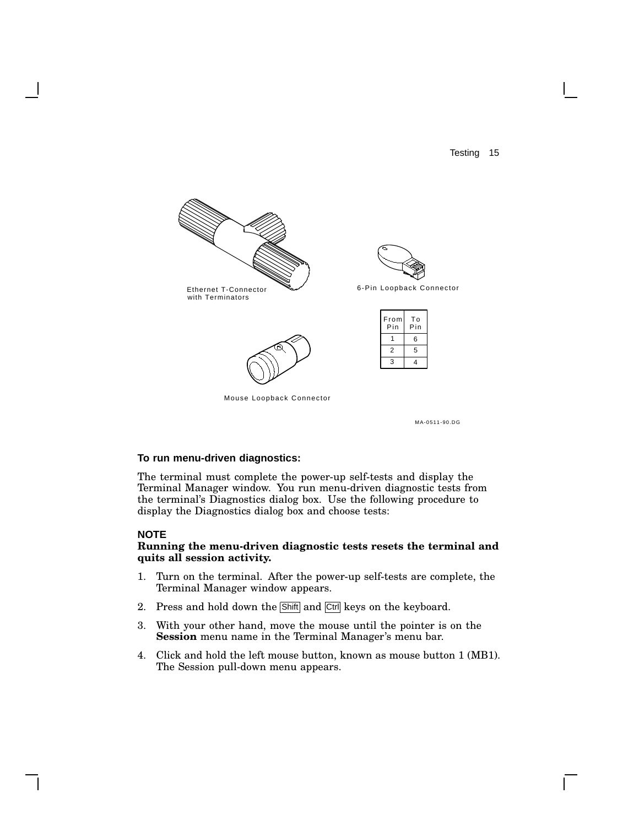

#### **To run menu-driven diagnostics:**

The terminal must complete the power-up self-tests and display the Terminal Manager window. You run menu-driven diagnostic tests from the terminal's Diagnostics dialog box. Use the following procedure to display the Diagnostics dialog box and choose tests:

#### **NOTE**

#### **Running the menu-driven diagnostic tests resets the terminal and quits all session activity.**

- 1. Turn on the terminal. After the power-up self-tests are complete, the Terminal Manager window appears.
- 2. Press and hold down the Shift and Ctrl keys on the keyboard.
- 3. With your other hand, move the mouse until the pointer is on the **Session** menu name in the Terminal Manager's menu bar.
- 4. Click and hold the left mouse button, known as mouse button 1 (MB1). The Session pull-down menu appears.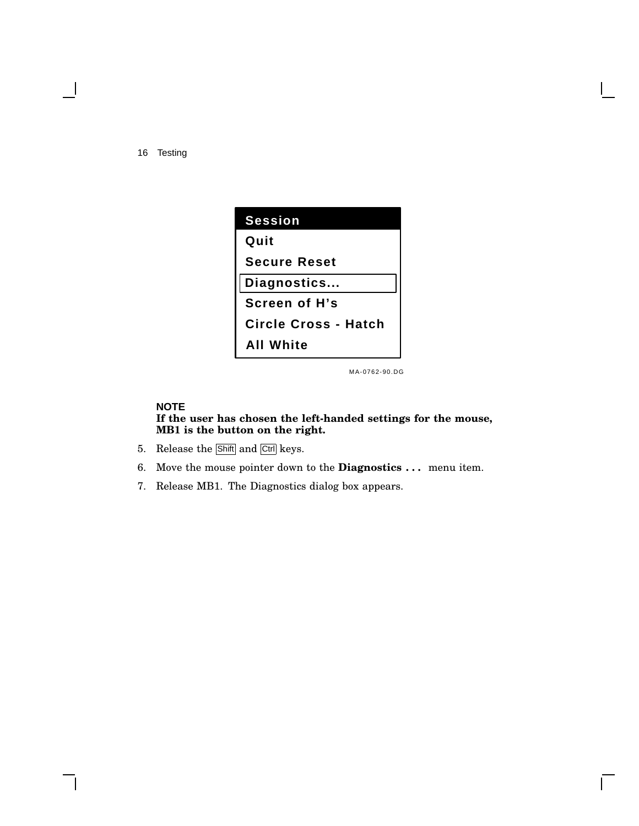| <b>Session</b>              |
|-----------------------------|
| Quit                        |
| <b>Secure Reset</b>         |
| Diagnostics                 |
| Screen of H's               |
| <b>Circle Cross - Hatch</b> |
| <b>All White</b>            |

MA-0762-90.DG

 $\mathsf{I}$ 

#### **NOTE If the user has chosen the left-handed settings for the mouse, MB1 is the button on the right.**

- 5. Release the Shift and Ctrl keys.
- 6. Move the mouse pointer down to the **Diagnostics . . .** menu item.
- 7. Release MB1. The Diagnostics dialog box appears.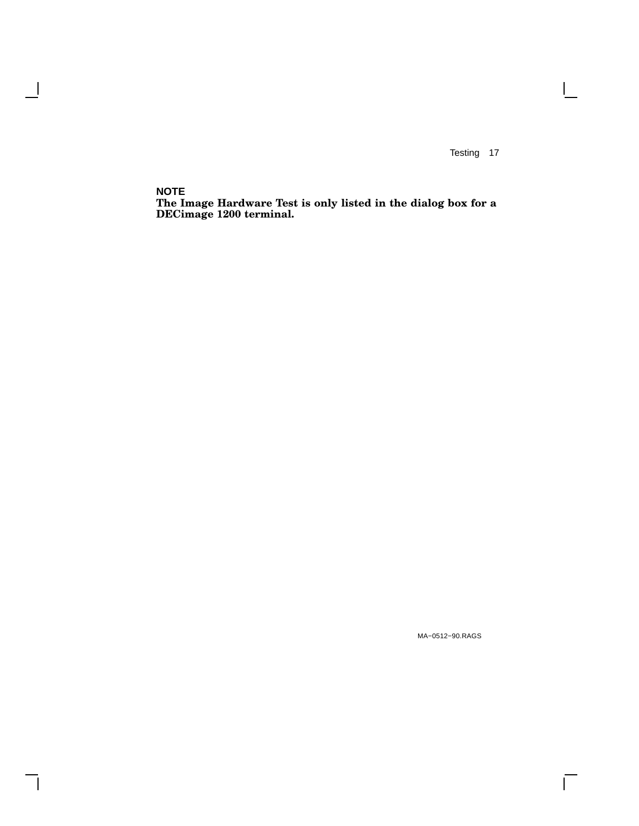$\overline{\Gamma}$ 

**NOTE**

 $\overline{\phantom{a}}$ 

 $\overline{\phantom{a}}$ 

**The Image Hardware Test is only listed in the dialog box for a DECimage 1200 terminal.**

MA−0512−90.RAGS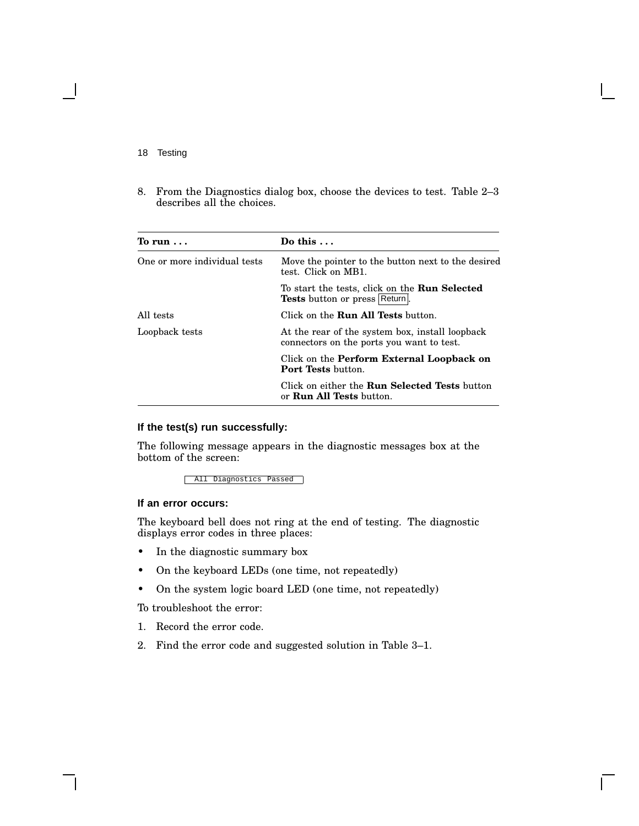8. From the Diagnostics dialog box, choose the devices to test. Table 2–3 describes all the choices.

| To run $\ldots$              | Do this $\dots$                                                                              |
|------------------------------|----------------------------------------------------------------------------------------------|
| One or more individual tests | Move the pointer to the button next to the desired<br>test. Click on MB1.                    |
|                              | To start the tests, click on the <b>Run Selected</b><br>Tests button or press Return.        |
| All tests                    | Click on the <b>Run All Tests</b> button.                                                    |
| Loopback tests               | At the rear of the system box, install loopback<br>connectors on the ports you want to test. |
|                              | Click on the <b>Perform External Loopback on</b><br><b>Port Tests button.</b>                |
|                              | Click on either the <b>Run Selected Tests</b> button<br>or <b>Run All Tests</b> button.      |

#### **If the test(s) run successfully:**

The following message appears in the diagnostic messages box at the bottom of the screen:

All Diagnostics Passed

#### **If an error occurs:**

The keyboard bell does not ring at the end of testing. The diagnostic displays error codes in three places:

- In the diagnostic summary box
- On the keyboard LEDs (one time, not repeatedly)
- On the system logic board LED (one time, not repeatedly)

To troubleshoot the error:

- 1. Record the error code.
- 2. Find the error code and suggested solution in Table 3–1.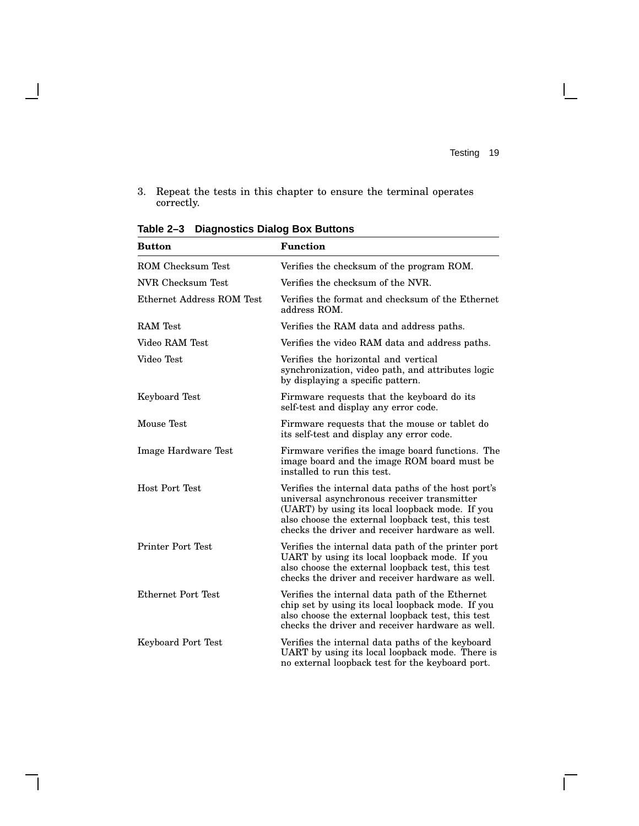$\overline{\Gamma}$ 

3. Repeat the tests in this chapter to ensure the terminal operates correctly.

| <b>Button</b>             | <b>Function</b>                                                                                                                                                                                                                                                |  |
|---------------------------|----------------------------------------------------------------------------------------------------------------------------------------------------------------------------------------------------------------------------------------------------------------|--|
| <b>ROM Checksum Test</b>  | Verifies the checksum of the program ROM.                                                                                                                                                                                                                      |  |
| NVR Checksum Test         | Verifies the checksum of the NVR.                                                                                                                                                                                                                              |  |
| Ethernet Address ROM Test | Verifies the format and checksum of the Ethernet<br>address ROM.                                                                                                                                                                                               |  |
| <b>RAM</b> Test           | Verifies the RAM data and address paths.                                                                                                                                                                                                                       |  |
| Video RAM Test            | Verifies the video RAM data and address paths.                                                                                                                                                                                                                 |  |
| Video Test                | Verifies the horizontal and vertical<br>synchronization, video path, and attributes logic<br>by displaying a specific pattern.                                                                                                                                 |  |
| Keyboard Test             | Firmware requests that the keyboard do its<br>self-test and display any error code.                                                                                                                                                                            |  |
| Mouse Test                | Firmware requests that the mouse or tablet do<br>its self-test and display any error code.                                                                                                                                                                     |  |
| Image Hardware Test       | Firmware verifies the image board functions. The<br>image board and the image ROM board must be<br>installed to run this test.                                                                                                                                 |  |
| <b>Host Port Test</b>     | Verifies the internal data paths of the host port's<br>universal asynchronous receiver transmitter<br>(UART) by using its local loopback mode. If you<br>also choose the external loopback test, this test<br>checks the driver and receiver hardware as well. |  |
| Printer Port Test         | Verifies the internal data path of the printer port<br>UART by using its local loopback mode. If you<br>also choose the external loopback test, this test<br>checks the driver and receiver hardware as well.                                                  |  |
| <b>Ethernet Port Test</b> | Verifies the internal data path of the Ethernet<br>chip set by using its local loopback mode. If you<br>also choose the external loopback test, this test<br>checks the driver and receiver hardware as well.                                                  |  |
| Keyboard Port Test        | Verifies the internal data paths of the keyboard<br>UART by using its local loopback mode. There is<br>no external loopback test for the keyboard port.                                                                                                        |  |

**Table 2–3 Diagnostics Dialog Box Buttons**

 $\mathbf \mathbf I$ 

 $\mathsf{l}$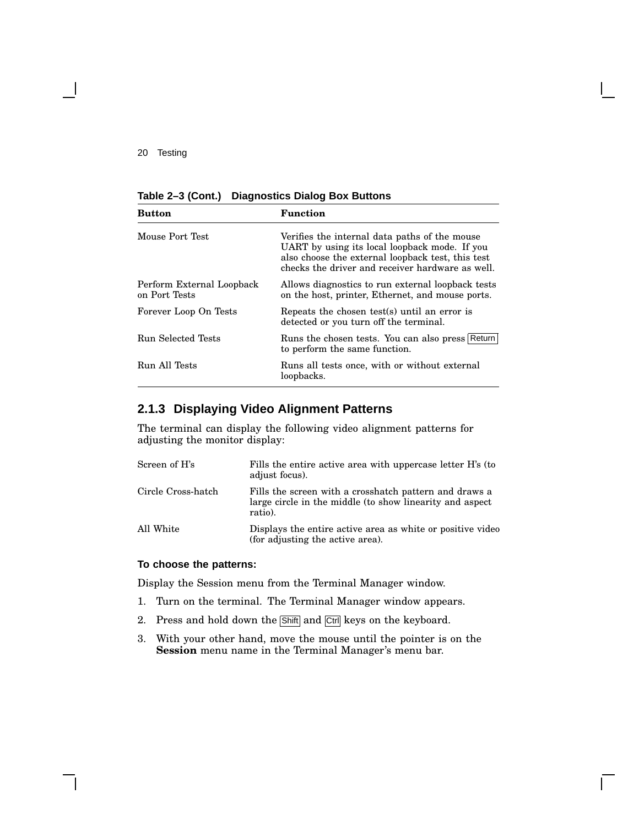**Table 2–3 (Cont.) Diagnostics Dialog Box Buttons**

| <b>Button</b>                              | <b>Function</b>                                                                                                                                                                                         |
|--------------------------------------------|---------------------------------------------------------------------------------------------------------------------------------------------------------------------------------------------------------|
| Mouse Port Test                            | Verifies the internal data paths of the mouse<br>UART by using its local loopback mode. If you<br>also choose the external loopback test, this test<br>checks the driver and receiver hardware as well. |
| Perform External Loopback<br>on Port Tests | Allows diagnostics to run external loopback tests<br>on the host, printer, Ethernet, and mouse ports.                                                                                                   |
| Forever Loop On Tests                      | Repeats the chosen test(s) until an error is<br>detected or you turn off the terminal.                                                                                                                  |
| <b>Run Selected Tests</b>                  | Runs the chosen tests. You can also press Return<br>to perform the same function.                                                                                                                       |
| Run All Tests                              | Runs all tests once, with or without external<br>loopbacks.                                                                                                                                             |

### **2.1.3 Displaying Video Alignment Patterns**

The terminal can display the following video alignment patterns for adjusting the monitor display:

| Screen of H's      | Fills the entire active area with uppercase letter H's (to<br>adjust focus).                                                  |
|--------------------|-------------------------------------------------------------------------------------------------------------------------------|
| Circle Cross-hatch | Fills the screen with a crosshatch pattern and draws a<br>large circle in the middle (to show linearity and aspect<br>ratio). |
| All White          | Displays the entire active area as white or positive video<br>(for adjusting the active area).                                |

#### **To choose the patterns:**

Display the Session menu from the Terminal Manager window.

- 1. Turn on the terminal. The Terminal Manager window appears.
- 2. Press and hold down the Shift and Ctrl keys on the keyboard.
- 3. With your other hand, move the mouse until the pointer is on the **Session** menu name in the Terminal Manager's menu bar.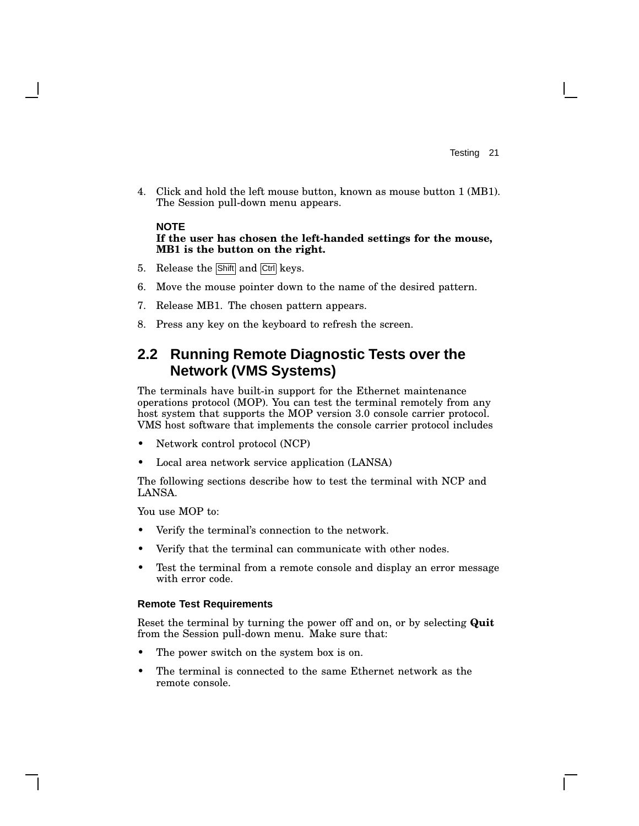4. Click and hold the left mouse button, known as mouse button 1 (MB1). The Session pull-down menu appears.

#### **NOTE If the user has chosen the left-handed settings for the mouse, MB1 is the button on the right.**

- 5. Release the Shift and Ctrl keys.
- 6. Move the mouse pointer down to the name of the desired pattern.
- 7. Release MB1. The chosen pattern appears.
- 8. Press any key on the keyboard to refresh the screen.

### **2.2 Running Remote Diagnostic Tests over the Network (VMS Systems)**

The terminals have built-in support for the Ethernet maintenance operations protocol (MOP). You can test the terminal remotely from any host system that supports the MOP version 3.0 console carrier protocol. VMS host software that implements the console carrier protocol includes

- Network control protocol (NCP)
- Local area network service application (LANSA)

The following sections describe how to test the terminal with NCP and LANSA.

You use MOP to:

- Verify the terminal's connection to the network.
- Verify that the terminal can communicate with other nodes.
- Test the terminal from a remote console and display an error message with error code.

#### **Remote Test Requirements**

Reset the terminal by turning the power off and on, or by selecting **Quit** from the Session pull-down menu. Make sure that:

- The power switch on the system box is on.
- The terminal is connected to the same Ethernet network as the remote console.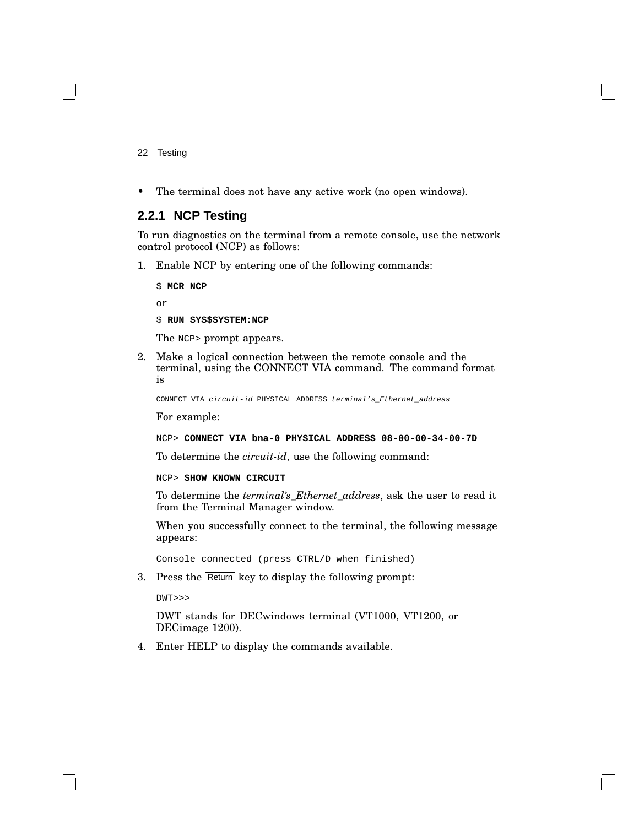• The terminal does not have any active work (no open windows).

#### **2.2.1 NCP Testing**

To run diagnostics on the terminal from a remote console, use the network control protocol (NCP) as follows:

1. Enable NCP by entering one of the following commands:

\$ **MCR NCP** or

\$ **RUN SYS\$SYSTEM:NCP**

The NCP> prompt appears.

2. Make a logical connection between the remote console and the terminal, using the CONNECT VIA command. The command format is

CONNECT VIA circuit-id PHYSICAL ADDRESS terminal's\_Ethernet\_address

For example:

NCP> **CONNECT VIA bna-0 PHYSICAL ADDRESS 08-00-00-34-00-7D**

To determine the *circuit-id*, use the following command:

NCP> **SHOW KNOWN CIRCUIT**

To determine the *terminal's\_Ethernet\_address*, ask the user to read it from the Terminal Manager window.

When you successfully connect to the terminal, the following message appears:

Console connected (press CTRL/D when finished)

3. Press the Return key to display the following prompt:

DWT>>>

DWT stands for DECwindows terminal (VT1000, VT1200, or DECimage 1200).

4. Enter HELP to display the commands available.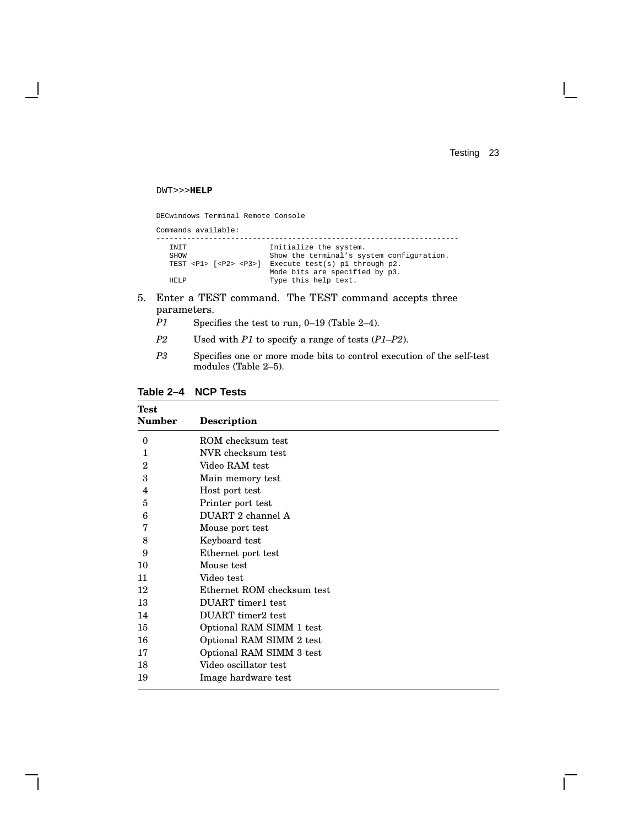$\Box$ 

#### DWT>>>**HELP**

 $\mathsf{l}$ 

DECwindows Terminal Remote Console

| Commands available:                                                                        |                                                                                                                                                                 |
|--------------------------------------------------------------------------------------------|-----------------------------------------------------------------------------------------------------------------------------------------------------------------|
| <b>TNTT</b><br>SHOW<br>TEST $<$ P $1$ > $\lceil$ $<$ P $2$ > $<$ P $3$ > $\rceil$<br>HET.P | Initialize the system.<br>Show the terminal's system configuration.<br>Execute test(s) pl through p2.<br>Mode bits are specified by p3.<br>Type this help text. |
|                                                                                            |                                                                                                                                                                 |

- 5. Enter a TEST command. The TEST command accepts three parameters.
	- *P1* Specifies the test to run, 0–19 (Table 2–4).
	- *P2* Used with *P1* to specify a range of tests (*P1*–*P2*).
	- *P3* Specifies one or more mode bits to control execution of the self-test modules (Table 2–5).

#### **Table 2–4 NCP Tests**

| <b>Test</b>   |                            |
|---------------|----------------------------|
| <b>Number</b> | <b>Description</b>         |
| $\theta$      | ROM checksum test          |
| 1             | NVR checksum test          |
| $\mathbf{2}$  | Video RAM test             |
| 3             | Main memory test           |
| 4             | Host port test             |
| 5             | Printer port test          |
| 6             | DUART 2 channel A          |
| 7             | Mouse port test            |
| 8             | Keyboard test              |
| 9             | Ethernet port test         |
| 10            | Mouse test                 |
| 11            | Video test                 |
| 12            | Ethernet ROM checksum test |
| 13            | <b>DUART</b> timer1 test   |
| 14            | DUART timer2 test          |
| 15            | Optional RAM SIMM 1 test   |
| 16            | Optional RAM SIMM 2 test   |
| 17            | Optional RAM SIMM 3 test   |
| 18            | Video oscillator test      |
| 19            | Image hardware test        |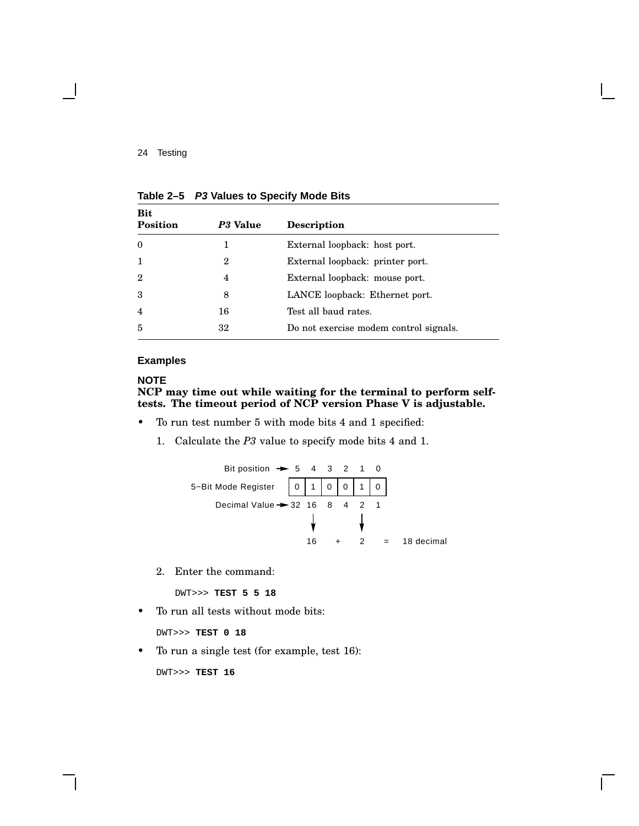| <b>Bit</b><br><b>Position</b> | P3 Value | <b>Description</b>                     |
|-------------------------------|----------|----------------------------------------|
| $\theta$                      | 1        | External loopback: host port.          |
| $\mathbf{1}$                  | 2        | External loopback: printer port.       |
| $\overline{2}$                | 4        | External loopback: mouse port.         |
| 3                             | 8        | LANCE loopback: Ethernet port.         |
| $\overline{4}$                | 16       | Test all baud rates.                   |
| 5                             | 32       | Do not exercise modem control signals. |

**Table 2–5 P3 Values to Specify Mode Bits**

#### **Examples**

#### **NOTE NCP may time out while waiting for the terminal to perform selftests. The timeout period of NCP version Phase V is adjustable.**

- To run test number 5 with mode bits 4 and 1 specified:
	- 1. Calculate the *P3* value to specify mode bits 4 and 1.



2. Enter the command:

DWT>>> **TEST 5 5 18**

• To run all tests without mode bits:

DWT>>> **TEST 0 18**

• To run a single test (for example, test 16):

DWT>>> **TEST 16**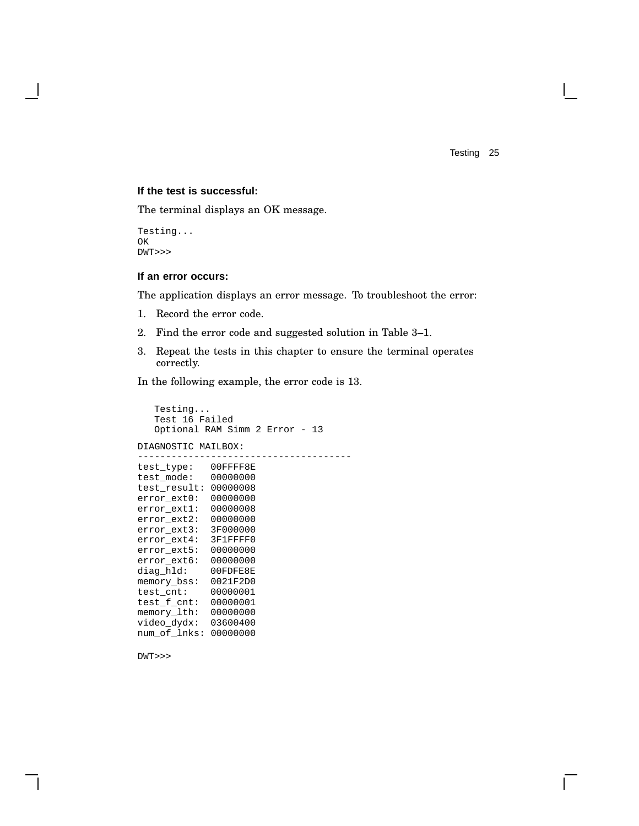#### **If the test is successful:**

The terminal displays an OK message.

Testing... OK DWT>>>

#### **If an error occurs:**

The application displays an error message. To troubleshoot the error:

- 1. Record the error code.
- 2. Find the error code and suggested solution in Table 3–1.
- 3. Repeat the tests in this chapter to ensure the terminal operates correctly.

In the following example, the error code is 13.

```
Testing...
Test 16 Failed
Optional RAM Simm 2 Error - 13
```
DIAGNOSTIC MAILBOX:

```
--------------------------------------
test_type: 00FFFF8E
test_mode: 00000000
test_result: 00000008
error_ext0: 00000000
error_ext1: 00000008
error_ext2: 00000000
error_ext3: 3F000000
error_ext4: 3F1FFFF0
error_ext5: 00000000
error_ext6: 00000000
diag_hld: 00FDFE8E
memory_bss: 0021F2D0<br>test_cnt: 00000001
test_cnt:
test_f_cnt: 00000001
memory_lth: 00000000
video_dydx: 03600400
num_of_lnks: 00000000
```
DWT>>>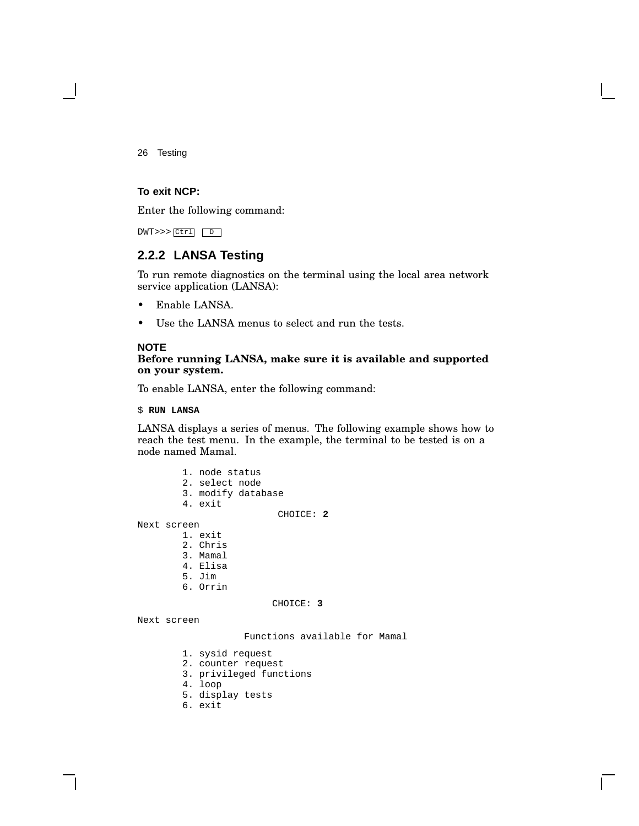#### **To exit NCP:**

Enter the following command:

DWT>>> Ctrl D

#### **2.2.2 LANSA Testing**

To run remote diagnostics on the terminal using the local area network service application (LANSA):

- Enable LANSA.
- Use the LANSA menus to select and run the tests.

#### **NOTE**

Next

Next

#### **Before running LANSA, make sure it is available and supported on your system.**

To enable LANSA, enter the following command:

\$ **RUN LANSA**

LANSA displays a series of menus. The following example shows how to reach the test menu. In the example, the terminal to be tested is on a node named Mamal.

|        | 1. node status<br>2. select node<br>3. modify database<br>4. exit |           |  |
|--------|-------------------------------------------------------------------|-----------|--|
|        |                                                                   | CHOICE: 2 |  |
|        |                                                                   |           |  |
| screen |                                                                   |           |  |
|        | 1. exit                                                           |           |  |
|        | 2. Chris                                                          |           |  |
|        | 3. Mamal                                                          |           |  |
|        | 4. Elisa                                                          |           |  |
|        | 5. Jim                                                            |           |  |
|        | 6. Orrin                                                          |           |  |
|        |                                                                   | CHOICE: 3 |  |
| screen |                                                                   |           |  |

Functions available for Mamal

- 1. sysid request
- 2. counter request
- 3. privileged functions
- 4. loop
- 5. display tests
- 6. exit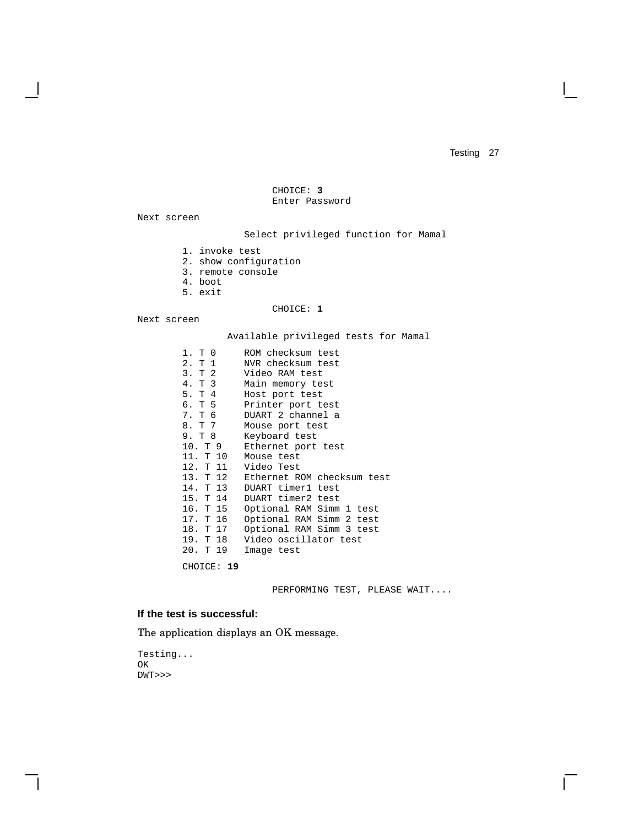```
CHOICE: 3
Enter Password
```
Next screen

Select privileged function for Mamal

- 1. invoke test
- 2. show configuration
- 3. remote console
- 4. boot
- 5. exit

#### CHOICE: **1**

Next screen

Available privileged tests for Mamal

| 1. T 0   | ROM checksum test                   |
|----------|-------------------------------------|
| 2. T 1   | NVR checksum test                   |
| 3. T 2   | Video RAM test                      |
| 4. T 3   | Main memory test                    |
| 5. T 4   | Host port test                      |
| 6. T 5   | Printer port test                   |
| 7. T 6   | DUART 2 channel a                   |
| 8. T 7   | Mouse port test                     |
| 9. T 8   | Keyboard test                       |
| 10. T 9  | Ethernet port test                  |
| 11. T 10 | Mouse test                          |
|          | 12. T 11 Video Test                 |
|          | 13. T 12 Ethernet ROM checksum test |
| 14. T 13 | DUART timer1 test                   |
| 15. T 14 | DUART timer2 test                   |
| 16. T 15 | Optional RAM Simm 1 test            |
| 17. T 16 | Optional RAM Simm 2 test            |
| 18. T 17 | Optional RAM Simm 3 test            |
| 19. T 18 | Video oscillator test               |
| 20. T 19 | Image test                          |
|          |                                     |

CHOICE: **19**

PERFORMING TEST, PLEASE WAIT....

#### **If the test is successful:**

The application displays an OK message.

Testing... OK DWT>>>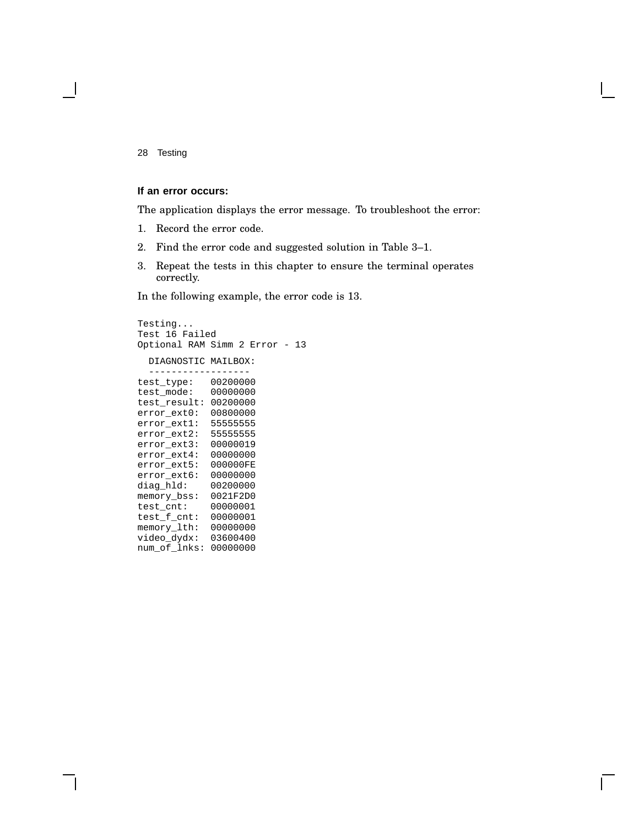#### **If an error occurs:**

The application displays the error message. To troubleshoot the error:

- 1. Record the error code.
- 2. Find the error code and suggested solution in Table 3–1.
- 3. Repeat the tests in this chapter to ensure the terminal operates correctly.

In the following example, the error code is 13.

```
Testing...
Test 16 Failed
Optional RAM Simm 2 Error - 13
  DIAGNOSTIC MAILBOX:
  ------------------
test_type: 00200000
test_mode: 00000000
test_result: 00200000
error_ext0: 00800000
error_ext1: 55555555
error_ext2: 55555555
error_ext3: 00000019
error_ext4: 00000000
error_ext5: 000000FE
error_ext6: 00000000<br>diag_hld: 00200000
diag_hld:
memory_bss: 0021F2D0<br>test cnt: 00000001
test_cnt:
test_f_cnt: 00000001
memory_lth: 00000000
video_dydx: 03600400
num_of_lnks: 00000000
```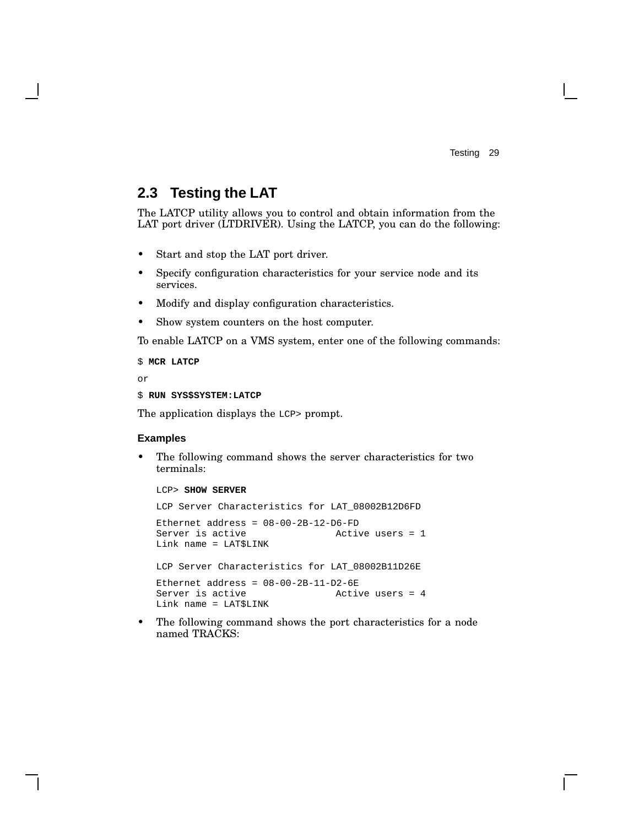## **2.3 Testing the LAT**

The LATCP utility allows you to control and obtain information from the LAT port driver (LTDRIVER). Using the LATCP, you can do the following:

- Start and stop the LAT port driver.
- Specify configuration characteristics for your service node and its services.
- Modify and display configuration characteristics.
- Show system counters on the host computer.

To enable LATCP on a VMS system, enter one of the following commands:

```
$ MCR LATCP
```
or

```
$ RUN SYS$SYSTEM:LATCP
```
The application displays the LCP> prompt.

#### **Examples**

• The following command shows the server characteristics for two terminals:

#### LCP> **SHOW SERVER**

LCP Server Characteristics for LAT\_08002B12D6FD

Ethernet address = 08-00-2B-12-D6-FD Server is active The Music Contract Active users = 1 Link name = LAT\$LINK

LCP Server Characteristics for LAT\_08002B11D26E

Ethernet address = 08-00-2B-11-D2-6E Server is active **Active** Active users = 4 Link name = LAT\$LINK

• The following command shows the port characteristics for a node named TRACKS: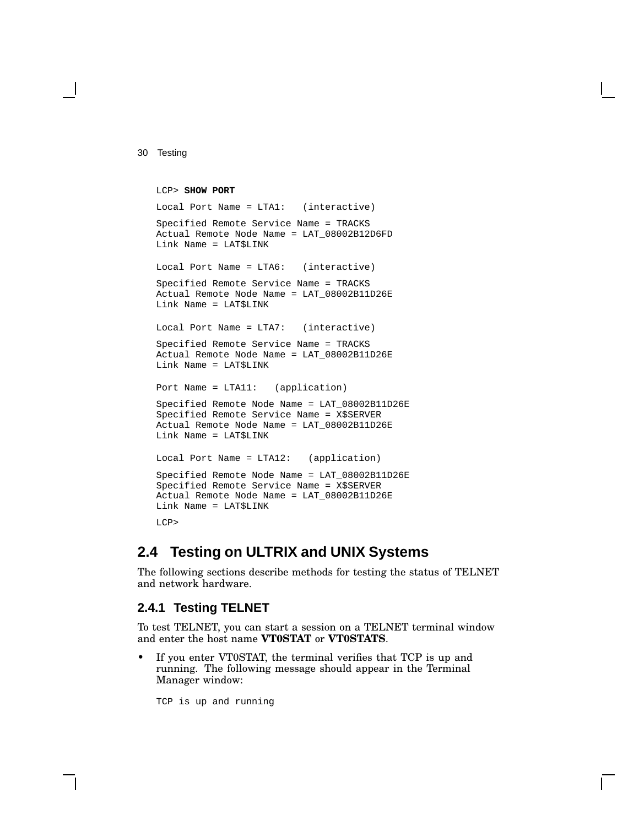```
LCP> SHOW PORT
Local Port Name = LTA1: (interactive)
Specified Remote Service Name = TRACKS
Actual Remote Node Name = LAT_08002B12D6FD
Link Name = LAT$LINK
Local Port Name = LTA6: (interactive)
Specified Remote Service Name = TRACKS
Actual Remote Node Name = LAT_08002B11D26E
Link Name = LAT$LINK
Local Port Name = LTA7: (interactive)
Specified Remote Service Name = TRACKS
Actual Remote Node Name = LAT_08002B11D26E
Link Name = LAT$LINK
Port Name = LTA11: (application)
Specified Remote Node Name = LAT_08002B11D26E
Specified Remote Service Name = X$SERVER
Actual Remote Node Name = LAT_08002B11D26E
Link Name = LAT$LINK
Local Port Name = LTA12: (application)
Specified Remote Node Name = LAT_08002B11D26E
Specified Remote Service Name = X$SERVER
Actual Remote Node Name = LAT_08002B11D26E
Link Name = LAT$LINK
LCP>
```
## **2.4 Testing on ULTRIX and UNIX Systems**

The following sections describe methods for testing the status of TELNET and network hardware.

#### **2.4.1 Testing TELNET**

To test TELNET, you can start a session on a TELNET terminal window and enter the host name **VT0STAT** or **VT0STATS**.

• If you enter VT0STAT, the terminal verifies that TCP is up and running. The following message should appear in the Terminal Manager window:

TCP is up and running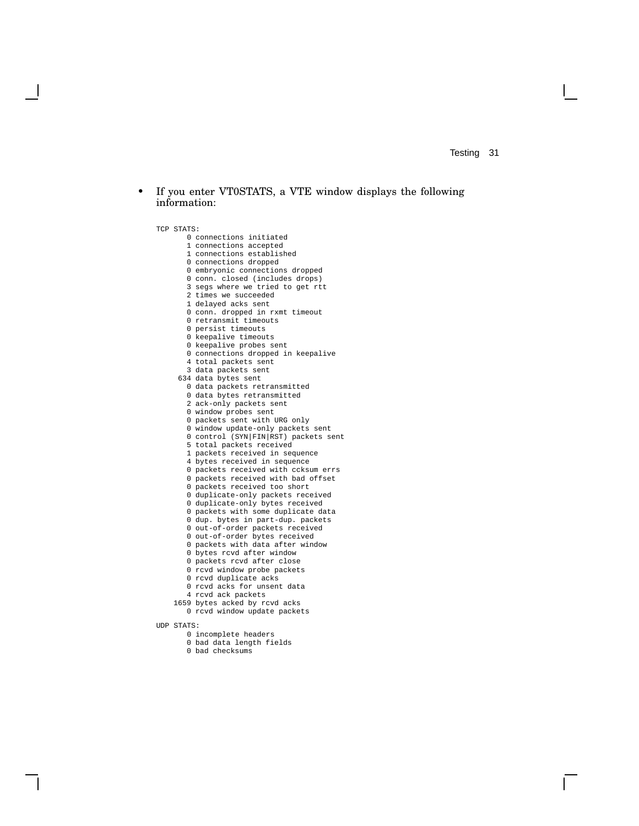• If you enter VT0STATS, a VTE window displays the following information:

```
TCP STATS:
       0 connections initiated
       1 connections accepted
       1 connections established
       0 connections dropped
       0 embryonic connections dropped
       0 conn. closed (includes drops)
       3 segs where we tried to get rtt
       2 times we succeeded
       1 delayed acks sent
       0 conn. dropped in rxmt timeout
       0 retransmit timeouts
       0 persist timeouts
       0 keepalive timeouts
       0 keepalive probes sent
      0 connections dropped in keepalive
       4 total packets sent
       3 data packets sent
     634 data bytes sent
       0 data packets retransmitted
       0 data bytes retransmitted
       2 ack-only packets sent
       0 window probes sent
       0 packets sent with URG only
       0 window update-only packets sent
       0 control (SYN|FIN|RST) packets sent
       5 total packets received
       1 packets received in sequence
       4 bytes received in sequence
       0 packets received with ccksum errs
       0 packets received with bad offset
       0 packets received too short
       0 duplicate-only packets received
       0 duplicate-only bytes received
       0 packets with some duplicate data
       0 dup. bytes in part-dup. packets
       0 out-of-order packets received
       0 out-of-order bytes received
       0 packets with data after window
       0 bytes rcvd after window
       0 packets rcvd after close
       0 rcvd window probe packets
       0 rcvd duplicate acks
       0 rcvd acks for unsent data
       4 rcvd ack packets
    1659 bytes acked by rcvd acks
       0 rcvd window update packets
UDP STATS:
       0 incomplete headers
       0 bad data length fields
```
bad checksums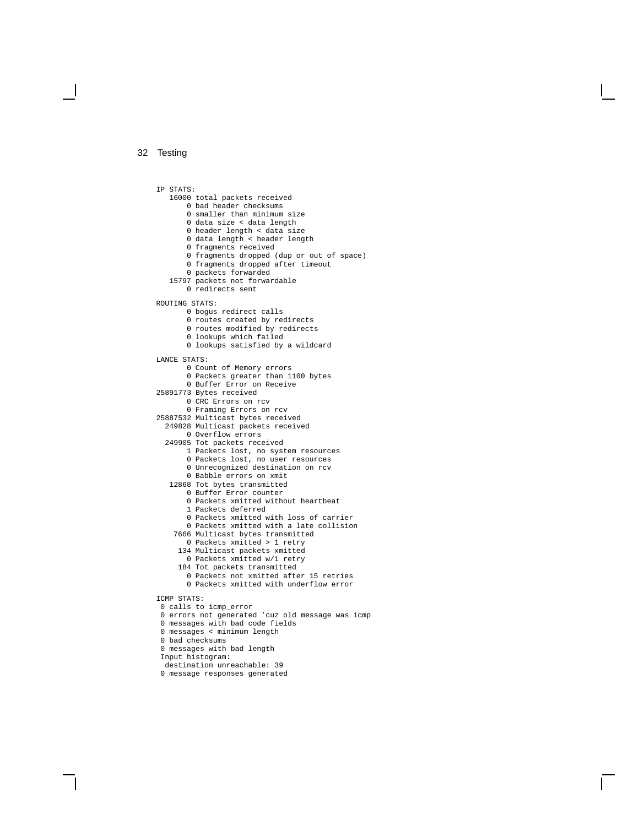IP STATS: total packets received bad header checksums smaller than minimum size data size < data length header length < data size data length < header length fragments received fragments dropped (dup or out of space) fragments dropped after timeout packets forwarded packets not forwardable redirects sent ROUTING STATS: bogus redirect calls 0 routes created by redirects routes modified by redirects lookups which failed lookups satisfied by a wildcard LANCE STATS: Count of Memory errors 0 Packets greater than 1100 bytes Buffer Error on Receive Bytes received CRC Errors on rcv Framing Errors on rcv Multicast bytes received Multicast packets received Overflow errors Tot packets received Packets lost, no system resources Packets lost, no user resources Unrecognized destination on rcv Babble errors on xmit Tot bytes transmitted Buffer Error counter Packets xmitted without heartbeat Packets deferred Packets xmitted with loss of carrier Packets xmitted with a late collision Multicast bytes transmitted Packets xmitted > 1 retry Multicast packets xmitted Packets xmitted w/1 retry Tot packets transmitted Packets not xmitted after 15 retries Packets xmitted with underflow error ICMP STATS: calls to icmp\_error errors not generated 'cuz old message was icmp messages with bad code fields messages < minimum length bad checksums messages with bad length Input histogram:

destination unreachable: 39

```
0 message responses generated
```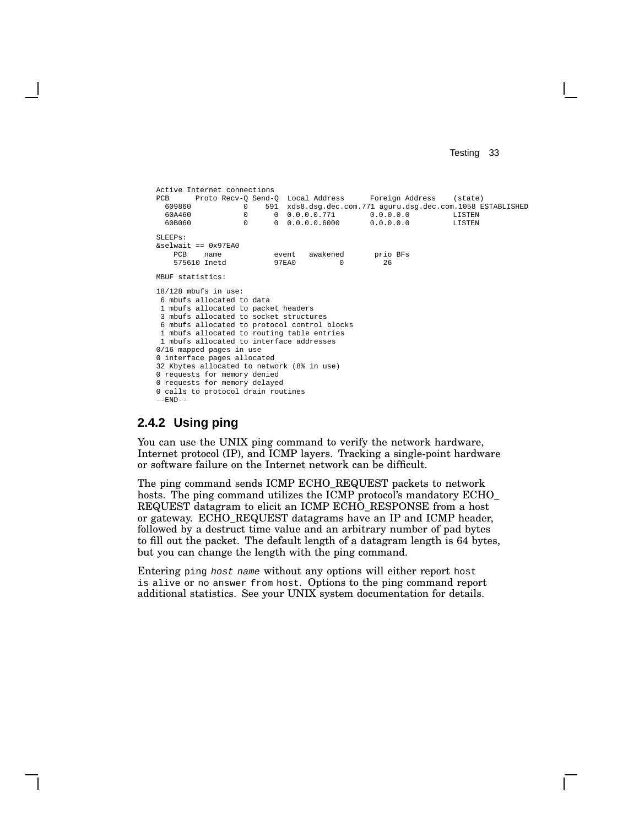```
Active Internet connections
PCB Proto Recv-Q Send-Q Local Address Foreign Address (state)<br>609860 0 591 xds8.dsg.dec.com.771 aguru.dsg.dec.com.1058 E
  609860 0 591 xds8.dsg.dec.com.771 aguru.dsg.dec.com.1058 ESTABLISHED<br>60A460 0 0.0.0.0.771 0.0.0.0.0
  60A460 0 0 0.0.0.0.771 0.0.0.0.0 LISTEN
                           0 0.0.0.0.6000SLEEPs:
\&selwait == 0 \times 97EA0
   PCB name event awakened prio BFs<br>575610 Inetd 97EA0 0 26
    575610 Inetd 97EA0 0 26
MBUF statistics:
18/128 mbufs in use:
6 mbufs allocated to data
 1 mbufs allocated to packet headers
 3 mbufs allocated to socket structures
 6 mbufs allocated to protocol control blocks
1 mbufs allocated to routing table entries
 1 mbufs allocated to interface addresses
0/16 mapped pages in use
0 interface pages allocated
32 Kbytes allocated to network (8% in use)
0 requests for memory denied
0 requests for memory delayed
0 calls to protocol drain routines
-END-
```
#### **2.4.2 Using ping**

You can use the UNIX ping command to verify the network hardware, Internet protocol (IP), and ICMP layers. Tracking a single-point hardware or software failure on the Internet network can be difficult.

The ping command sends ICMP ECHO\_REQUEST packets to network hosts. The ping command utilizes the ICMP protocol's mandatory ECHO\_ REQUEST datagram to elicit an ICMP ECHO\_RESPONSE from a host or gateway. ECHO\_REQUEST datagrams have an IP and ICMP header, followed by a destruct time value and an arbitrary number of pad bytes to fill out the packet. The default length of a datagram length is 64 bytes, but you can change the length with the ping command.

Entering ping host name without any options will either report host is alive or no answer from host. Options to the ping command report additional statistics. See your UNIX system documentation for details.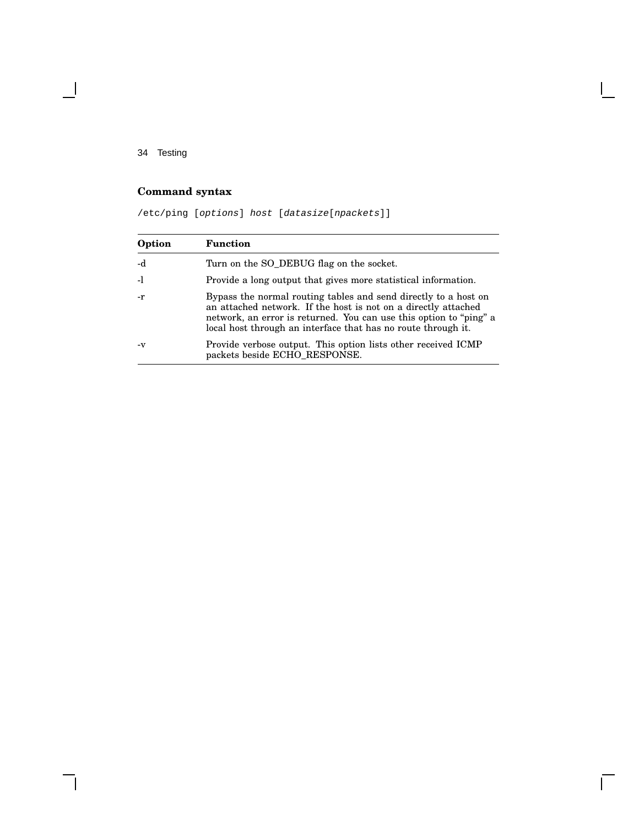$\overline{\phantom{a}}$ 

## **Command syntax**

/etc/ping [options] host [datasize[npackets]]

| Option | <b>Function</b>                                                                                                                                                                                                                                                          |
|--------|--------------------------------------------------------------------------------------------------------------------------------------------------------------------------------------------------------------------------------------------------------------------------|
| -d     | Turn on the SO_DEBUG flag on the socket.                                                                                                                                                                                                                                 |
| $-1$   | Provide a long output that gives more statistical information.                                                                                                                                                                                                           |
| $-r$   | Bypass the normal routing tables and send directly to a host on<br>an attached network. If the host is not on a directly attached<br>network, an error is returned. You can use this option to "ping" a<br>local host through an interface that has no route through it. |
| $-V$   | Provide verbose output. This option lists other received ICMP<br>packets beside ECHO_RESPONSE.                                                                                                                                                                           |

Г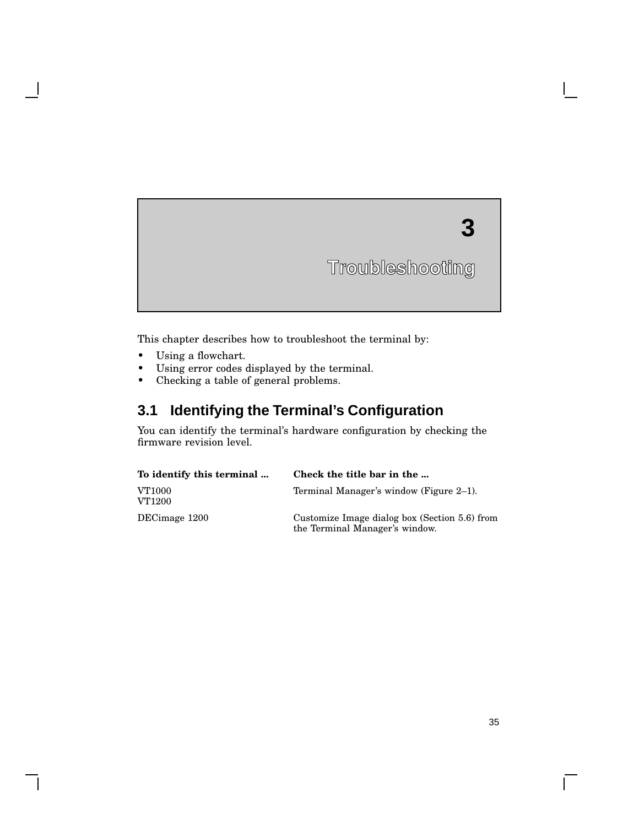# **3**

**Troubleshooting**

This chapter describes how to troubleshoot the terminal by:

- Using a flowchart.
- Using error codes displayed by the terminal.
- Checking a table of general problems.

# **3.1 Identifying the Terminal's Configuration**

You can identify the terminal's hardware configuration by checking the firmware revision level.

| To identify this terminal | Check the title bar in the                                                      |
|---------------------------|---------------------------------------------------------------------------------|
| VT1000<br>VT1200          | Terminal Manager's window (Figure 2–1).                                         |
| DECimage 1200             | Customize Image dialog box (Section 5.6) from<br>the Terminal Manager's window. |

 $\mathbf{I}$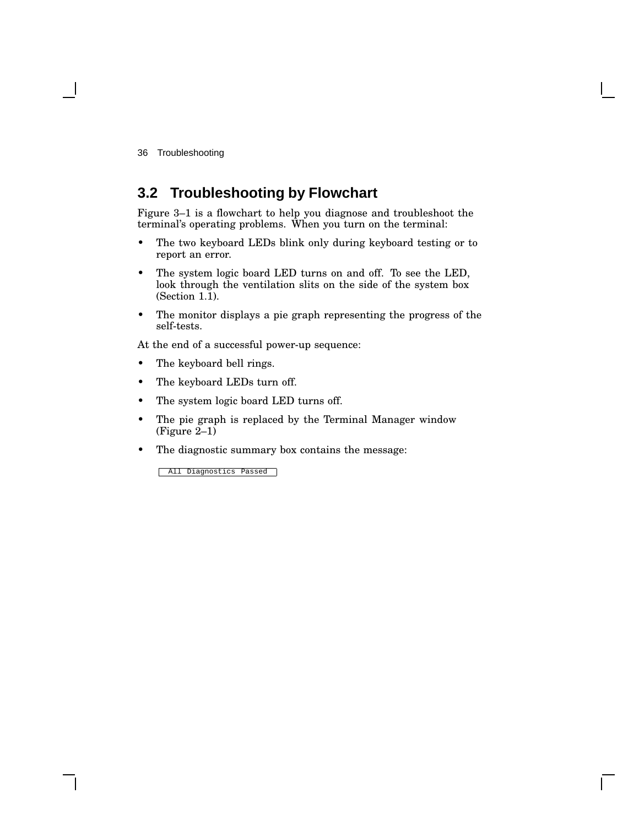# **3.2 Troubleshooting by Flowchart**

Figure 3–1 is a flowchart to help you diagnose and troubleshoot the terminal's operating problems. When you turn on the terminal:

- The two keyboard LEDs blink only during keyboard testing or to report an error.
- The system logic board LED turns on and off. To see the LED, look through the ventilation slits on the side of the system box (Section 1.1).
- The monitor displays a pie graph representing the progress of the self-tests.

At the end of a successful power-up sequence:

- The keyboard bell rings.
- The keyboard LEDs turn off.
- The system logic board LED turns off.
- The pie graph is replaced by the Terminal Manager window (Figure 2–1)
- The diagnostic summary box contains the message:

All Diagnostics Passed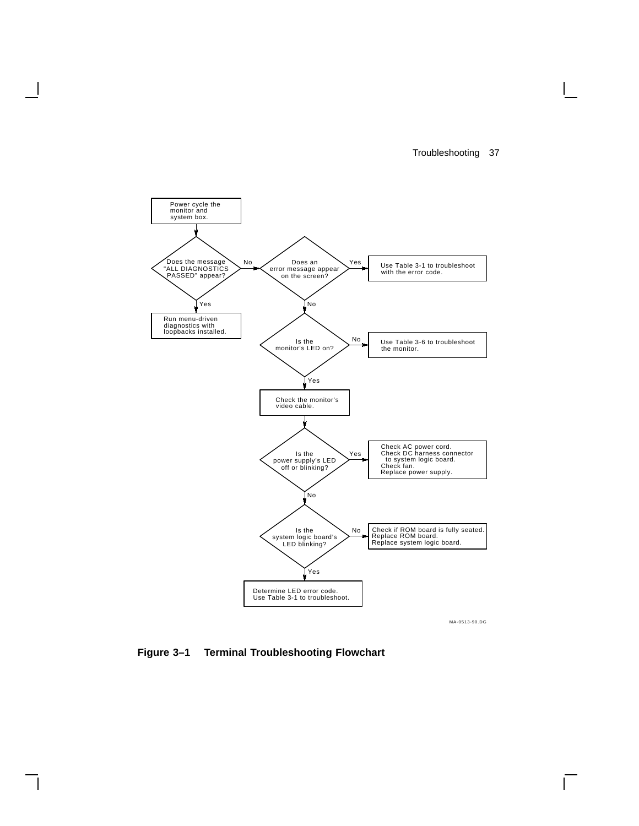$\overline{\Gamma}$ 



**Figure 3–1 Terminal Troubleshooting Flowchart**

 $\overline{\phantom{a}}$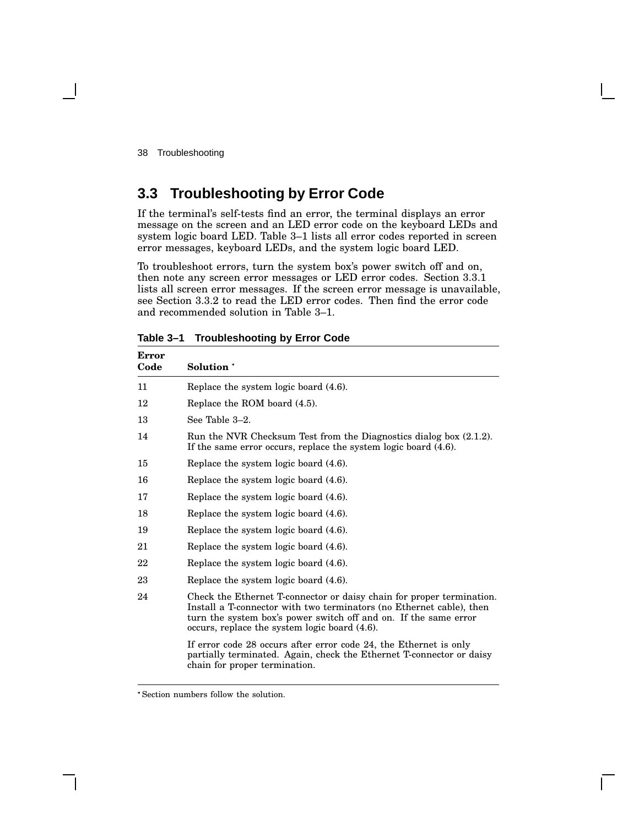# **3.3 Troubleshooting by Error Code**

If the terminal's self-tests find an error, the terminal displays an error message on the screen and an LED error code on the keyboard LEDs and system logic board LED. Table 3–1 lists all error codes reported in screen error messages, keyboard LEDs, and the system logic board LED.

To troubleshoot errors, turn the system box's power switch off and on, then note any screen error messages or LED error codes. Section 3.3.1 lists all screen error messages. If the screen error message is unavailable, see Section 3.3.2 to read the LED error codes. Then find the error code and recommended solution in Table 3–1.

| <b>Error</b><br>Code | Solution <sup>*</sup>                                                                                                                                                                                                                                              |  |
|----------------------|--------------------------------------------------------------------------------------------------------------------------------------------------------------------------------------------------------------------------------------------------------------------|--|
| 11                   | Replace the system logic board (4.6).                                                                                                                                                                                                                              |  |
| 12                   | Replace the ROM board (4.5).                                                                                                                                                                                                                                       |  |
| 13                   | See Table 3-2.                                                                                                                                                                                                                                                     |  |
| 14                   | Run the NVR Checksum Test from the Diagnostics dialog box (2.1.2).<br>If the same error occurs, replace the system logic board (4.6).                                                                                                                              |  |
| 15                   | Replace the system logic board (4.6).                                                                                                                                                                                                                              |  |
| 16                   | Replace the system logic board (4.6).                                                                                                                                                                                                                              |  |
| 17                   | Replace the system logic board (4.6).                                                                                                                                                                                                                              |  |
| 18                   | Replace the system logic board (4.6).                                                                                                                                                                                                                              |  |
| 19                   | Replace the system logic board (4.6).                                                                                                                                                                                                                              |  |
| 21                   | Replace the system logic board (4.6).                                                                                                                                                                                                                              |  |
| 22                   | Replace the system logic board (4.6).                                                                                                                                                                                                                              |  |
| 23                   | Replace the system logic board (4.6).                                                                                                                                                                                                                              |  |
| 24                   | Check the Ethernet T-connector or daisy chain for proper termination.<br>Install a T-connector with two terminators (no Ethernet cable), then<br>turn the system box's power switch off and on. If the same error<br>occurs, replace the system logic board (4.6). |  |
|                      | If error code 28 occurs after error code 24, the Ethernet is only<br>partially terminated. Again, check the Ethernet T-connector or daisy<br>chain for proper termination.                                                                                         |  |

**Table 3–1 Troubleshooting by Error Code**

Section numbers follow the solution.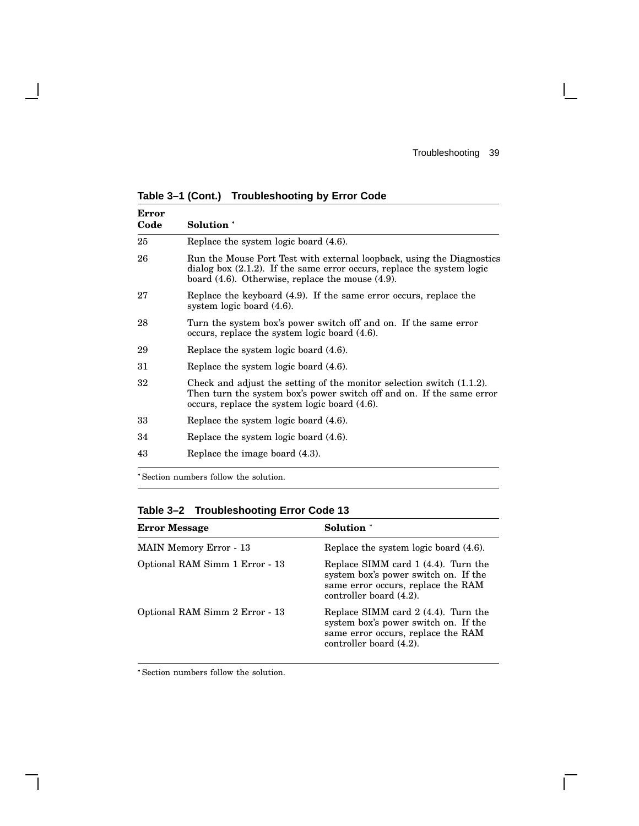$\Gamma$ 

| <b>Error</b><br>Code | Solution *                                                                                                                                                                                                   |  |  |  |
|----------------------|--------------------------------------------------------------------------------------------------------------------------------------------------------------------------------------------------------------|--|--|--|
| 25                   | Replace the system logic board (4.6).                                                                                                                                                                        |  |  |  |
| 26                   | Run the Mouse Port Test with external loopback, using the Diagnostics<br>dialog box $(2.1.2)$ . If the same error occurs, replace the system logic<br>board $(4.6)$ . Otherwise, replace the mouse $(4.9)$ . |  |  |  |
| 27                   | Replace the keyboard (4.9). If the same error occurs, replace the<br>system logic board $(4.6)$ .                                                                                                            |  |  |  |
| 28                   | Turn the system box's power switch off and on. If the same error<br>occurs, replace the system logic board (4.6).                                                                                            |  |  |  |
| 29                   | Replace the system logic board (4.6).                                                                                                                                                                        |  |  |  |
| 31                   | Replace the system logic board (4.6).                                                                                                                                                                        |  |  |  |
| 32                   | Check and adjust the setting of the monitor selection switch $(1.1.2)$ .<br>Then turn the system box's power switch off and on. If the same error<br>occurs, replace the system logic board (4.6).           |  |  |  |
| 33                   | Replace the system logic board (4.6).                                                                                                                                                                        |  |  |  |
| 34                   | Replace the system logic board (4.6).                                                                                                                                                                        |  |  |  |
| 43                   | Replace the image board (4.3).                                                                                                                                                                               |  |  |  |

**Table 3–1 (Cont.) Troubleshooting by Error Code**

 $\overline{\phantom{a}}$ 

Section numbers follow the solution.

**Table 3–2 Troubleshooting Error Code 13**

| <b>Error Message</b>           | Solution *                                                                                                                                   |  |
|--------------------------------|----------------------------------------------------------------------------------------------------------------------------------------------|--|
| <b>MAIN Memory Error - 13</b>  | Replace the system logic board (4.6).                                                                                                        |  |
| Optional RAM Simm 1 Error - 13 | Replace SIMM card 1 (4.4). Turn the<br>system box's power switch on. If the<br>same error occurs, replace the RAM<br>controller board (4.2). |  |
| Optional RAM Simm 2 Error - 13 | Replace SIMM card 2 (4.4). Turn the<br>system box's power switch on. If the<br>same error occurs, replace the RAM<br>controller board (4.2). |  |

Section numbers follow the solution.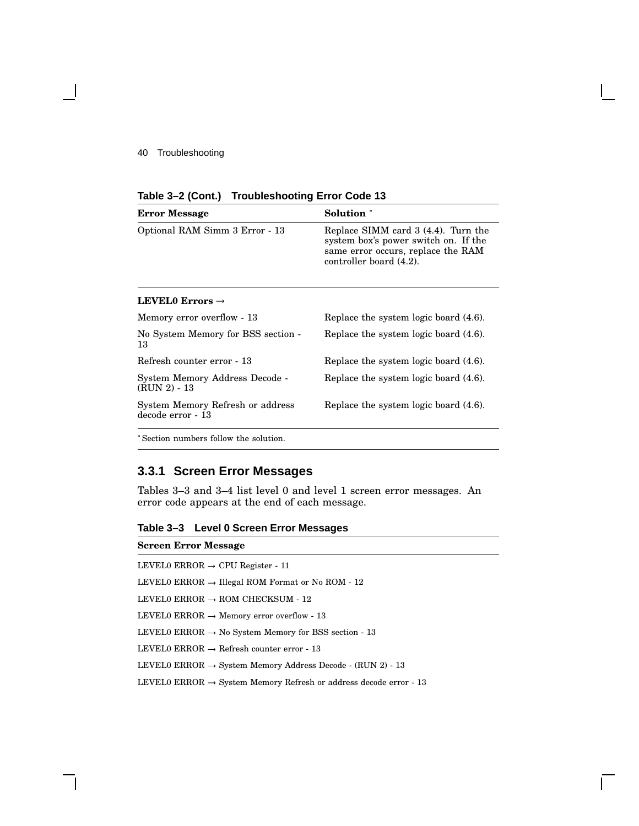| Table 3-2 (Cont.) Troubleshooting Error Code 13 |  |  |
|-------------------------------------------------|--|--|
|-------------------------------------------------|--|--|

| <b>Error Message</b>                                  | Solution *                                                                                                                                   |
|-------------------------------------------------------|----------------------------------------------------------------------------------------------------------------------------------------------|
| Optional RAM Simm 3 Error - 13                        | Replace SIMM card 3 (4.4). Turn the<br>system box's power switch on. If the<br>same error occurs, replace the RAM<br>controller board (4.2). |
| LEVEL0 Errors $\rightarrow$                           |                                                                                                                                              |
| Memory error overflow - 13                            | Replace the system logic board (4.6).                                                                                                        |
| No System Memory for BSS section -<br>13              | Replace the system logic board (4.6).                                                                                                        |
| Refresh counter error - 13                            | Replace the system logic board (4.6).                                                                                                        |
| System Memory Address Decode -<br>$(RUN 2) - 13$      | Replace the system logic board (4.6).                                                                                                        |
| System Memory Refresh or address<br>decode error - 13 | Replace the system logic board (4.6).                                                                                                        |
|                                                       |                                                                                                                                              |

Section numbers follow the solution.

## **3.3.1 Screen Error Messages**

Tables 3–3 and 3–4 list level 0 and level 1 screen error messages. An error code appears at the end of each message.

**Table 3–3 Level 0 Screen Error Messages**

| <b>Screen Error Message</b>                                                   |
|-------------------------------------------------------------------------------|
| LEVELO ERROR $\rightarrow$ CPU Register - 11                                  |
| LEVELO ERROR $\rightarrow$ Illegal ROM Format or No ROM - 12                  |
| LEVELO ERROR $\rightarrow$ ROM CHECKSUM - 12                                  |
| LEVELO ERROR $\rightarrow$ Memory error overflow - 13                         |
| LEVELO ERROR $\rightarrow$ No System Memory for BSS section - 13              |
| LEVELO ERROR $\rightarrow$ Refresh counter error - 13                         |
| LEVELO ERROR $\rightarrow$ System Memory Address Decode - (RUN 2) - 13        |
| LEVELO ERROR $\rightarrow$ System Memory Refresh or address decode error - 13 |
|                                                                               |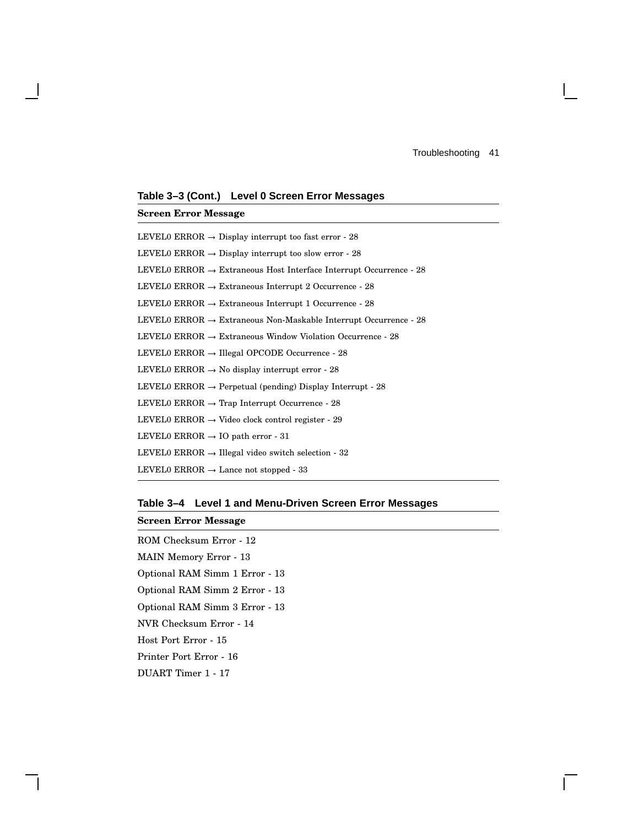**Table 3–3 (Cont.) Level 0 Screen Error Messages**

**Screen Error Message** LEVEL0 ERROR  $\rightarrow$  Display interrupt too fast error -  $28$ LEVEL0 ERROR  $\rightarrow$  Display interrupt too slow error - 28 LEVEL0 ERROR  $\rightarrow$  Extraneous Host Interface Interrupt Occurrence - 28 LEVEL0 ERROR  $\rightarrow$  Extraneous Interrupt 2 Occurrence - 28 <code>LEVELO</code> ERROR  $\rightarrow$  <code>Extraneous</code> Interrupt 1 Occurrence - 28 LEVEL0 ERROR  $\rightarrow$  Extraneous Non-Maskable Interrupt Occurrence - 28 LEVEL0 ERROR  $\rightarrow$  Extraneous Window Violation Occurrence - 28 LEVEL0 ERROR  $\rightarrow$  Illegal OPCODE Occurrence - 28 LEVEL0 ERROR  $\rightarrow$  No display interrupt error - 28 LEVEL0 ERROR  $\rightarrow$  Perpetual (pending) Display Interrupt - 28 LEVEL0 ERROR  $\rightarrow$  Trap Interrupt Occurrence - 28 LEVEL0 ERROR  $\rightarrow$  Video clock control register - 29 <code>LEVELO</code> ERROR  $\rightarrow$  IO path error -  $31$ LEVEL0 ERROR  $\rightarrow$  Illegal video switch selection - 32 <code>LEVELO</code> <code>ERROR</code>  $\rightarrow$  <code>Lance</code> not stopped - 33

**Table 3–4 Level 1 and Menu-Driven Screen Error Messages**

#### **Screen Error Message**

ROM Checksum Error - 12 MAIN Memory Error - 13 Optional RAM Simm 1 Error - 13 Optional RAM Simm 2 Error - 13 Optional RAM Simm 3 Error - 13 NVR Checksum Error - 14 Host Port Error - 15 Printer Port Error - 16 DUART Timer 1 - 17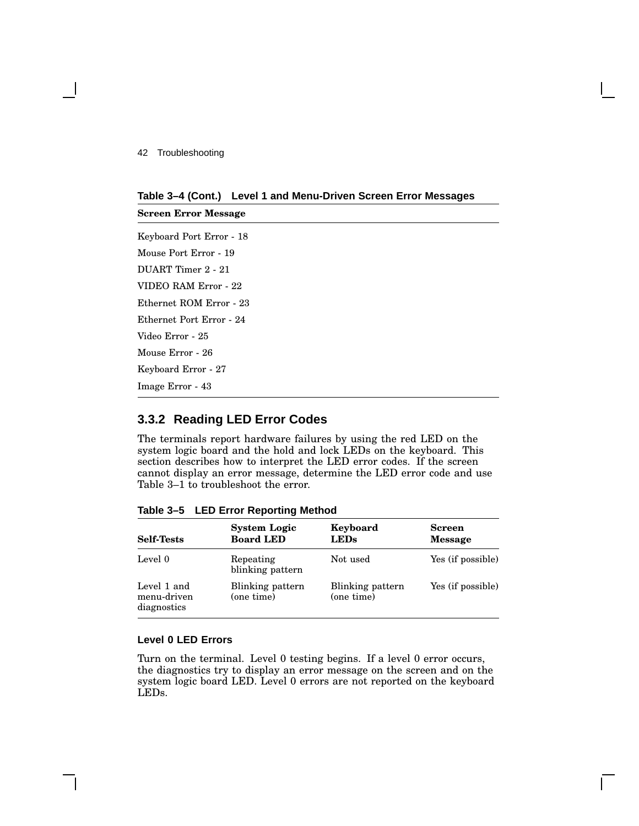**Screen Error Message**

#### **Table 3–4 (Cont.) Level 1 and Menu-Driven Screen Error Messages**

Keyboard Port Error - 18 Mouse Port Error - 19 DUART Timer 2 - 21 VIDEO RAM Error - 22 Ethernet ROM Error - 23 Ethernet Port Error - 24 Video Error - 25 Mouse Error - 26 Keyboard Error - 27 Image Error - 43

#### **3.3.2 Reading LED Error Codes**

The terminals report hardware failures by using the red LED on the system logic board and the hold and lock LEDs on the keyboard. This section describes how to interpret the LED error codes. If the screen cannot display an error message, determine the LED error code and use Table 3–1 to troubleshoot the error.

| <b>Self-Tests</b>                         | <b>System Logic</b><br><b>Board LED</b> | Keyboard<br><b>LEDs</b>        | <b>Screen</b><br><b>Message</b> |
|-------------------------------------------|-----------------------------------------|--------------------------------|---------------------------------|
| Level 0                                   | Repeating<br>blinking pattern           | Not used                       | Yes (if possible)               |
| Level 1 and<br>menu-driven<br>diagnostics | Blinking pattern<br>(one time)          | Blinking pattern<br>(one time) | Yes (if possible)               |

**Table 3–5 LED Error Reporting Method**

#### **Level 0 LED Errors**

Turn on the terminal. Level 0 testing begins. If a level 0 error occurs, the diagnostics try to display an error message on the screen and on the system logic board LED. Level 0 errors are not reported on the keyboard LEDs.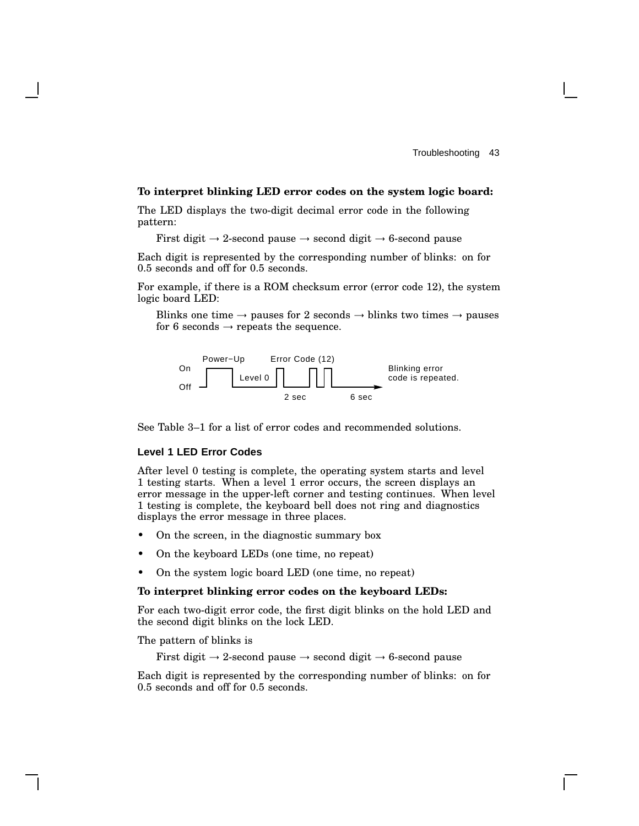#### **To interpret blinking LED error codes on the system logic board:**

The LED displays the two-digit decimal error code in the following pattern:

First digit  $\rightarrow$  2-second pause  $\rightarrow$  second digit  $\rightarrow$  6-second pause

Each digit is represented by the corresponding number of blinks: on for 0.5 seconds and off for 0.5 seconds.

For example, if there is a ROM checksum error (error code 12), the system logic board LED:

Blinks one time  $\rightarrow$  pauses for 2 seconds  $\rightarrow$  blinks two times  $\rightarrow$  pauses for 6 seconds  $\rightarrow$  repeats the sequence.



See Table 3–1 for a list of error codes and recommended solutions.

#### **Level 1 LED Error Codes**

After level 0 testing is complete, the operating system starts and level 1 testing starts. When a level 1 error occurs, the screen displays an error message in the upper-left corner and testing continues. When level 1 testing is complete, the keyboard bell does not ring and diagnostics displays the error message in three places.

- On the screen, in the diagnostic summary box
- On the keyboard LEDs (one time, no repeat)
- On the system logic board LED (one time, no repeat)

#### **To interpret blinking error codes on the keyboard LEDs:**

For each two-digit error code, the first digit blinks on the hold LED and the second digit blinks on the lock LED.

The pattern of blinks is

First digit  $\rightarrow$  2-second pause  $\rightarrow$  second digit  $\rightarrow$  6-second pause

Each digit is represented by the corresponding number of blinks: on for 0.5 seconds and off for 0.5 seconds.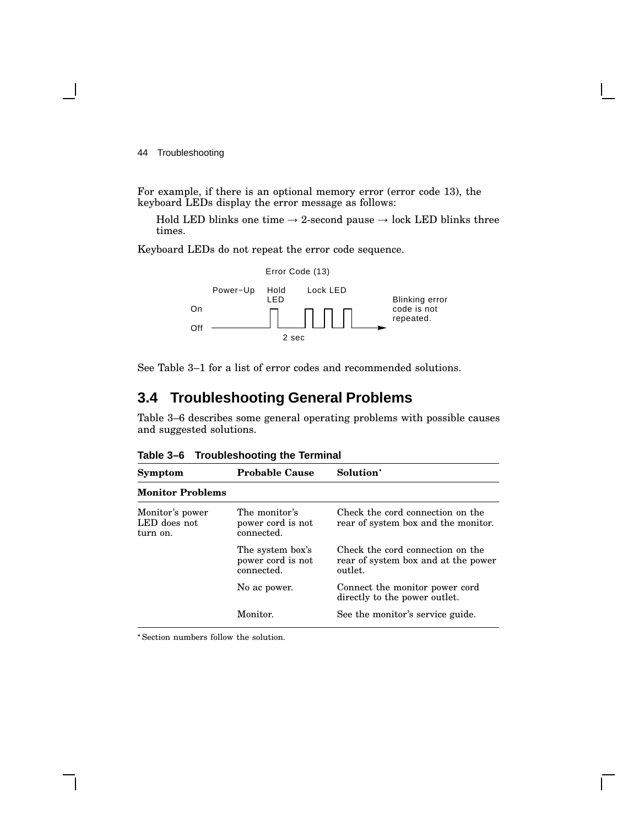For example, if there is an optional memory error (error code 13), the keyboard LEDs display the error message as follows:

Hold LED blinks one time  $\rightarrow$  2-second pause  $\rightarrow$  lock LED blinks three times.

Keyboard LEDs do not repeat the error code sequence.



See Table 3–1 for a list of error codes and recommended solutions.

# **3.4 Troubleshooting General Problems**

Table 3–6 describes some general operating problems with possible causes and suggested solutions.

| Symptom                                     | <b>Probable Cause</b>                               | Solution <sup>*</sup>                                                              |
|---------------------------------------------|-----------------------------------------------------|------------------------------------------------------------------------------------|
| <b>Monitor Problems</b>                     |                                                     |                                                                                    |
| Monitor's power<br>LED does not<br>turn on. | The monitor's<br>power cord is not<br>connected.    | Check the cord connection on the<br>rear of system box and the monitor.            |
|                                             | The system box's<br>power cord is not<br>connected. | Check the cord connection on the<br>rear of system box and at the power<br>outlet. |
|                                             | No ac power.                                        | Connect the monitor power cord<br>directly to the power outlet.                    |
|                                             | Monitor.                                            | See the monitor's service guide.                                                   |
|                                             |                                                     |                                                                                    |

**Table 3–6 Troubleshooting the Terminal**

Section numbers follow the solution.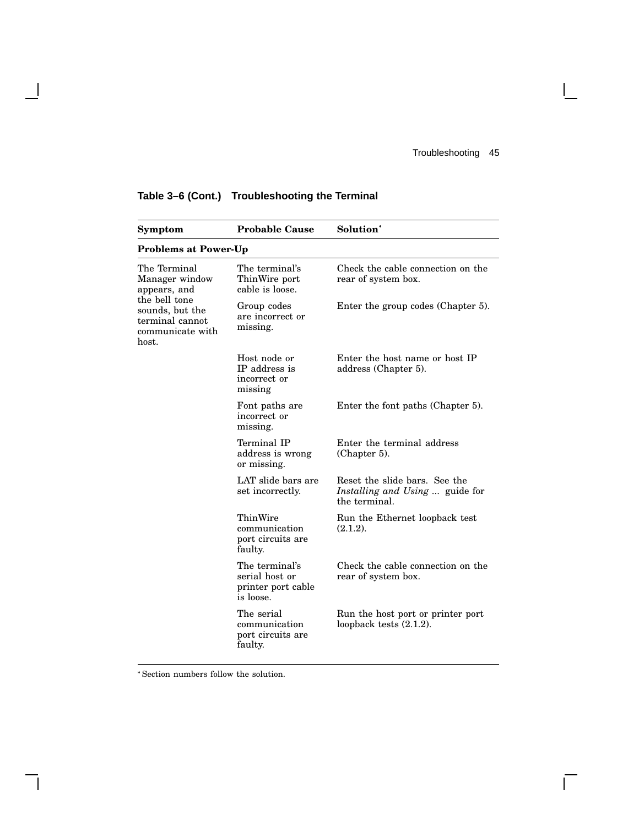$\mathsf{I}$ 

 $\overline{\Gamma}$ 

| Symptom                                                                          | <b>Probable Cause</b>                                               | Solution <sup>*</sup>                                                             |
|----------------------------------------------------------------------------------|---------------------------------------------------------------------|-----------------------------------------------------------------------------------|
| <b>Problems at Power-Up</b>                                                      |                                                                     |                                                                                   |
| The Terminal<br>Manager window<br>appears, and                                   | The terminal's<br>ThinWire port<br>cable is loose.                  | Check the cable connection on the<br>rear of system box.                          |
| the bell tone<br>sounds, but the<br>terminal cannot<br>communicate with<br>host. | Group codes<br>are incorrect or<br>missing.                         | Enter the group codes (Chapter 5).                                                |
|                                                                                  | Host node or<br>IP address is<br>incorrect or<br>missing            | Enter the host name or host IP<br>address (Chapter 5).                            |
|                                                                                  | Font paths are<br>incorrect or<br>missing.                          | Enter the font paths (Chapter 5).                                                 |
|                                                                                  | Terminal IP<br>address is wrong<br>or missing.                      | Enter the terminal address<br>(Chapter 5).                                        |
|                                                                                  | LAT slide bars are<br>set incorrectly.                              | Reset the slide bars. See the<br>Installing and Using  guide for<br>the terminal. |
|                                                                                  | ThinWire<br>communication<br>port circuits are<br>faulty.           | Run the Ethernet loopback test<br>(2.1.2).                                        |
|                                                                                  | The terminal's<br>serial host or<br>printer port cable<br>is loose. | Check the cable connection on the<br>rear of system box.                          |
|                                                                                  | The serial<br>communication<br>port circuits are<br>faulty.         | Run the host port or printer port<br>loopback tests $(2.1.2)$ .                   |

## **Table 3–6 (Cont.) Troubleshooting the Terminal**

 $\blacksquare$ 

 $\mathsf{l}$ 

Section numbers follow the solution.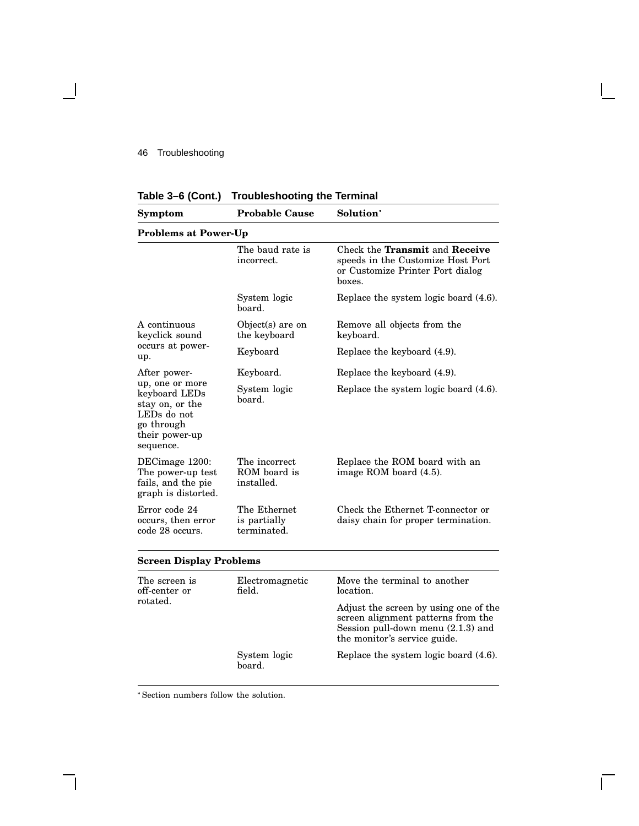| Table 3–6 (Cont.)                                                                                               | Troubleshooting the Terminal                |                                                                                                                                                     |  |
|-----------------------------------------------------------------------------------------------------------------|---------------------------------------------|-----------------------------------------------------------------------------------------------------------------------------------------------------|--|
| Symptom                                                                                                         | <b>Probable Cause</b>                       | Solution <sup>*</sup>                                                                                                                               |  |
| <b>Problems at Power-Up</b>                                                                                     |                                             |                                                                                                                                                     |  |
|                                                                                                                 | The baud rate is<br>incorrect.              | Check the Transmit and Receive<br>speeds in the Customize Host Port<br>or Customize Printer Port dialog<br>boxes.                                   |  |
|                                                                                                                 | System logic<br>board.                      | Replace the system logic board (4.6).                                                                                                               |  |
| A continuous<br>keyclick sound                                                                                  | $Object(s)$ are on<br>the keyboard          | Remove all objects from the<br>keyboard.                                                                                                            |  |
| occurs at power-<br>up.                                                                                         | Keyboard                                    | Replace the keyboard (4.9).                                                                                                                         |  |
| After power-                                                                                                    | Keyboard.                                   | Replace the keyboard (4.9).                                                                                                                         |  |
| up, one or more<br>keyboard LEDs<br>stay on, or the<br>LEDs do not<br>go through<br>their power-up<br>sequence. | System logic<br>board.                      | Replace the system logic board (4.6).                                                                                                               |  |
| DECimage 1200:<br>The power-up test<br>fails, and the pie<br>graph is distorted.                                | The incorrect<br>ROM board is<br>installed. | Replace the ROM board with an<br>image ROM board (4.5).                                                                                             |  |
| Error code 24<br>occurs, then error<br>code 28 occurs.                                                          | The Ethernet<br>is partially<br>terminated. | Check the Ethernet T-connector or<br>daisy chain for proper termination.                                                                            |  |
| <b>Screen Display Problems</b>                                                                                  |                                             |                                                                                                                                                     |  |
| The screen is<br>off-center or                                                                                  | Electromagnetic<br>field.                   | Move the terminal to another<br>location.                                                                                                           |  |
| rotated.                                                                                                        |                                             | Adjust the screen by using one of the<br>screen alignment patterns from the<br>Session pull-down menu $(2.1.3)$ and<br>the monitor's service guide. |  |
|                                                                                                                 | System logic                                | Replace the system logic board (4.6).                                                                                                               |  |

**Table 3–6 (Cont.) Troubleshooting the Terminal**

Section numbers follow the solution.

board.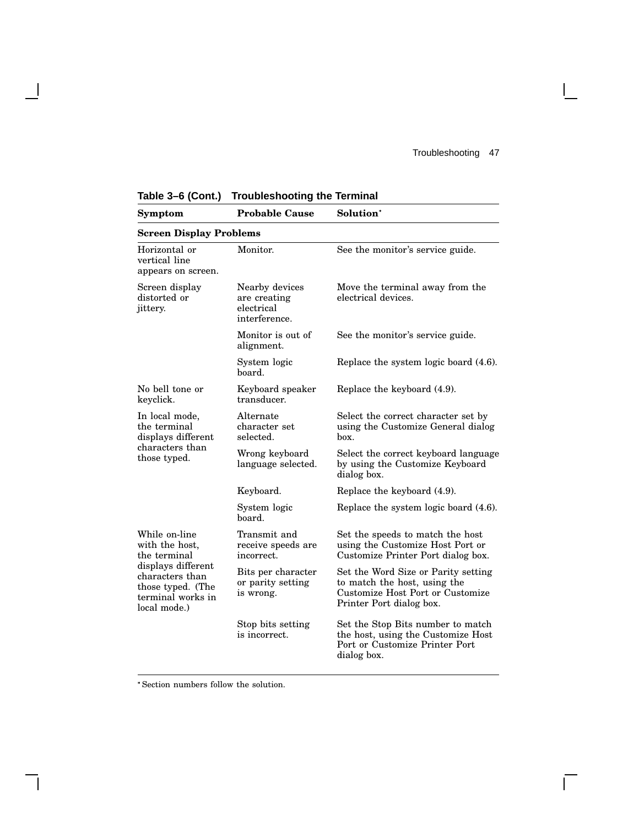$\mathsf{I}$ 

 $\overline{\Gamma}$ 

| <b>Symptom</b>                                                                                                                                     | <b>Probable Cause</b>                                         | Solution <sup>*</sup>                                                                                                               |  |
|----------------------------------------------------------------------------------------------------------------------------------------------------|---------------------------------------------------------------|-------------------------------------------------------------------------------------------------------------------------------------|--|
| <b>Screen Display Problems</b>                                                                                                                     |                                                               |                                                                                                                                     |  |
| Horizontal or<br>vertical line<br>appears on screen.                                                                                               | Monitor.                                                      | See the monitor's service guide.                                                                                                    |  |
| Screen display<br>distorted or<br>jittery.                                                                                                         | Nearby devices<br>are creating<br>electrical<br>interference. | Move the terminal away from the<br>electrical devices.                                                                              |  |
|                                                                                                                                                    | Monitor is out of<br>alignment.                               | See the monitor's service guide.                                                                                                    |  |
|                                                                                                                                                    | System logic<br>board.                                        | Replace the system logic board (4.6).                                                                                               |  |
| No bell tone or<br>keyclick.                                                                                                                       | Keyboard speaker<br>transducer.                               | Replace the keyboard (4.9).                                                                                                         |  |
| In local mode,<br>the terminal<br>displays different<br>characters than<br>those typed.                                                            | Alternate<br>character set<br>selected.                       | Select the correct character set by<br>using the Customize General dialog<br>box.                                                   |  |
|                                                                                                                                                    | Wrong keyboard<br>language selected.                          | Select the correct keyboard language<br>by using the Customize Keyboard<br>dialog box.                                              |  |
|                                                                                                                                                    | Keyboard.                                                     | Replace the keyboard (4.9).                                                                                                         |  |
|                                                                                                                                                    | System logic<br>board.                                        | Replace the system logic board (4.6).                                                                                               |  |
| While on-line<br>with the host,<br>the terminal<br>displays different<br>characters than<br>those typed. (The<br>terminal works in<br>local mode.) | Transmit and<br>receive speeds are<br>incorrect.              | Set the speeds to match the host<br>using the Customize Host Port or<br>Customize Printer Port dialog box.                          |  |
|                                                                                                                                                    | Bits per character<br>or parity setting<br>is wrong.          | Set the Word Size or Parity setting<br>to match the host, using the<br>Customize Host Port or Customize<br>Printer Port dialog box. |  |
|                                                                                                                                                    | Stop bits setting<br>is incorrect.                            | Set the Stop Bits number to match<br>the host, using the Customize Host<br>Port or Customize Printer Port<br>dialog box.            |  |

**Table 3–6 (Cont.) Troubleshooting the Terminal**

 $\blacksquare$ 

H

Section numbers follow the solution.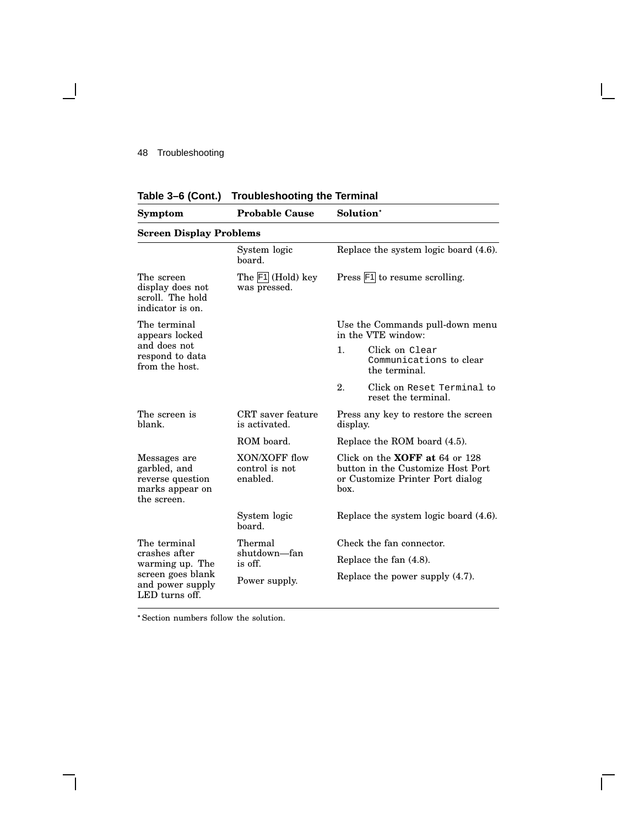$\mathbf \mathbf I$ 

| Table 3-6 (Cont.) Troubleshooting the Terminal |  |  |  |  |
|------------------------------------------------|--|--|--|--|
|------------------------------------------------|--|--|--|--|

| Symptom                                                                                                     | <b>Probable Cause</b>                       | Solution <sup>*</sup>                                                                                                      |  |
|-------------------------------------------------------------------------------------------------------------|---------------------------------------------|----------------------------------------------------------------------------------------------------------------------------|--|
| <b>Screen Display Problems</b>                                                                              |                                             |                                                                                                                            |  |
|                                                                                                             | System logic<br>board.                      | Replace the system logic board (4.6).                                                                                      |  |
| The screen<br>display does not<br>scroll. The hold<br>indicator is on.                                      | The $ F1 $ (Hold) key<br>was pressed.       | Press $\mathsf{F1}$ to resume scrolling.                                                                                   |  |
| The terminal<br>appears locked                                                                              |                                             | Use the Commands pull-down menu<br>in the VTE window:                                                                      |  |
| and does not<br>respond to data<br>from the host.                                                           |                                             | $\mathbf{1}$ .<br>Click on Clear<br>Communications to clear<br>the terminal.                                               |  |
|                                                                                                             |                                             | 2.<br>Click on Reset Terminal to<br>reset the terminal.                                                                    |  |
| The screen is<br>blank.                                                                                     | CRT saver feature<br>is activated.          | Press any key to restore the screen<br>display.                                                                            |  |
|                                                                                                             | ROM board.                                  | Replace the ROM board (4.5).                                                                                               |  |
| Messages are<br>garbled, and<br>reverse question<br>marks appear on<br>the screen.                          | XON/XOFF flow<br>control is not<br>enabled. | Click on the <b>XOFF</b> at $64$ or $128$<br>button in the Customize Host Port<br>or Customize Printer Port dialog<br>hox. |  |
|                                                                                                             | System logic<br>board.                      | Replace the system logic board (4.6).                                                                                      |  |
| The terminal<br>crashes after<br>warming up. The<br>screen goes blank<br>and power supply<br>LED turns off. | Thermal<br>shutdown—fan<br>is off.          | Check the fan connector.                                                                                                   |  |
|                                                                                                             |                                             | Replace the fan $(4.8)$ .                                                                                                  |  |
|                                                                                                             | Power supply.                               | Replace the power supply (4.7).                                                                                            |  |

Ē

Section numbers follow the solution.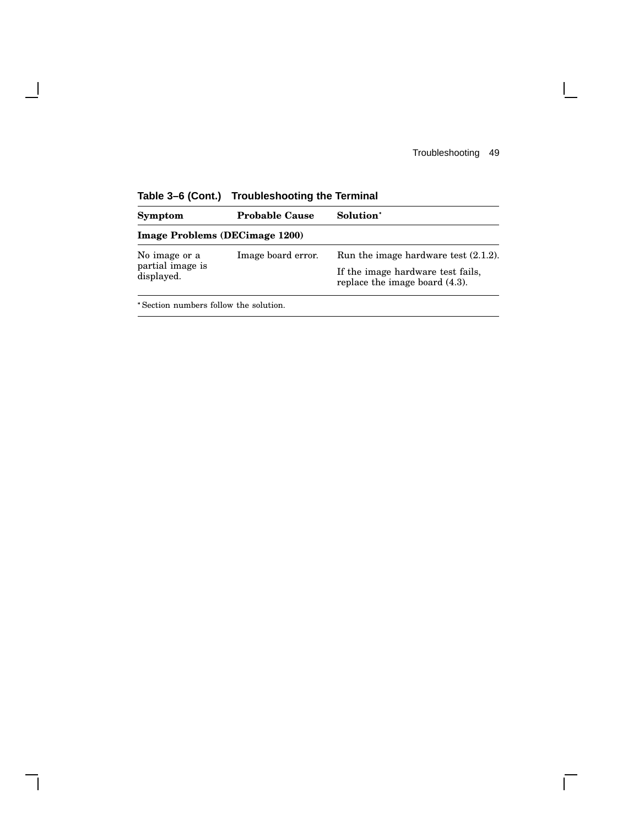$\mathsf{I}$ 

 $\overline{\Gamma}$ 

| Symptom                               | <b>Probable Cause</b> | Solution <sup>*</sup>                                               |  |  |
|---------------------------------------|-----------------------|---------------------------------------------------------------------|--|--|
| <b>Image Problems (DECimage 1200)</b> |                       |                                                                     |  |  |
| No image or a                         | Image board error.    | Run the image hardware test $(2.1.2)$ .                             |  |  |
| partial image is<br>displayed.        |                       | If the image hardware test fails,<br>replace the image board (4.3). |  |  |

**Table 3–6 (Cont.) Troubleshooting the Terminal**

Section numbers follow the solution.

 $\blacksquare$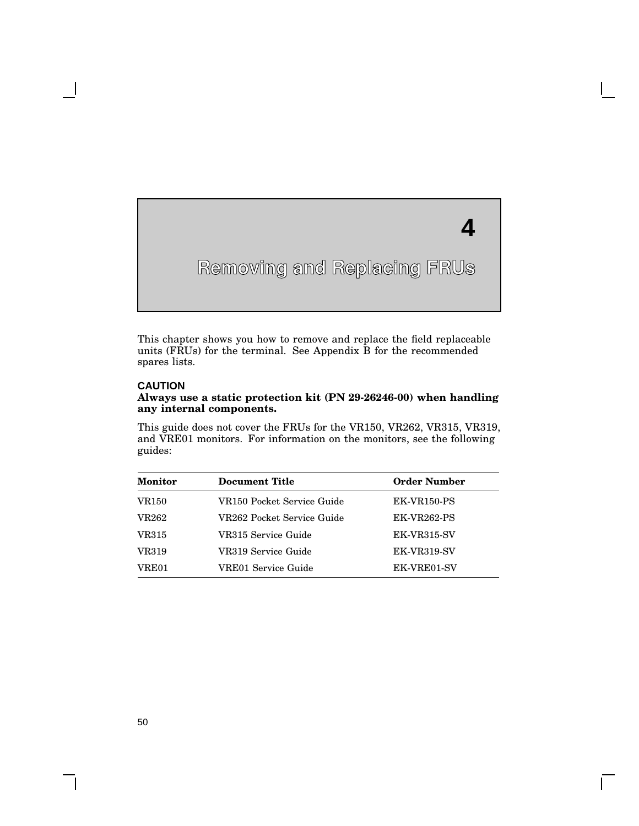# **4**

# **Removing and Replacing FRUs**

This chapter shows you how to remove and replace the field replaceable units (FRUs) for the terminal. See Appendix B for the recommended spares lists.

#### **CAUTION**

**4**

#### **Always use a static protection kit (PN 29-26246-00) when handling any internal components.**

This guide does not cover the FRUs for the VR150, VR262, VR315, VR319, and VRE01 monitors. For information on the monitors, see the following guides:

| <b>Monitor</b> | <b>Document Title</b>      | <b>Order Number</b> |
|----------------|----------------------------|---------------------|
| <b>VR150</b>   | VR150 Pocket Service Guide | <b>EK-VR150-PS</b>  |
| <b>VR262</b>   | VR262 Pocket Service Guide | <b>EK-VR262-PS</b>  |
| VR315          | VR315 Service Guide        | <b>EK-VR315-SV</b>  |
| <b>VR319</b>   | VR319 Service Guide        | EK-VR319-SV         |
| VRE01          | VRE01 Service Guide        | EK-VRE01-SV         |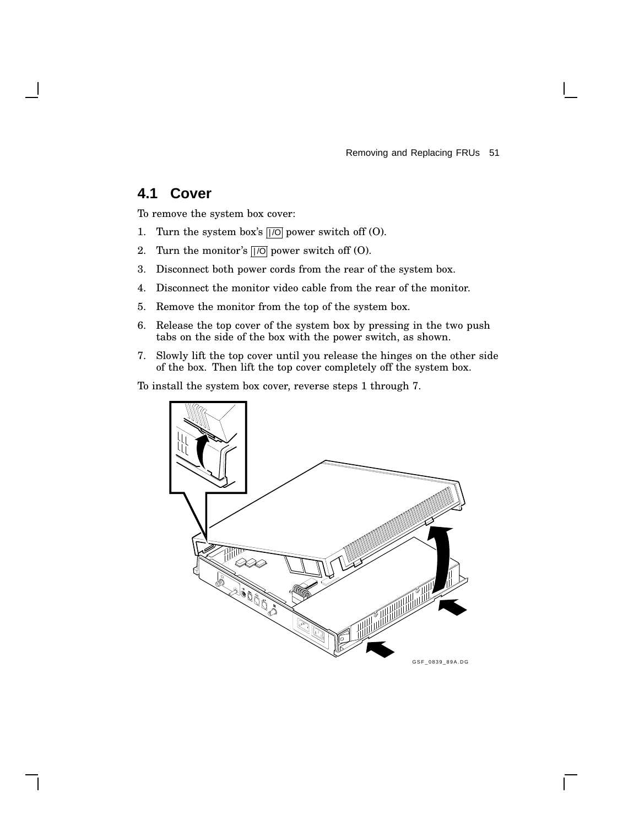Removing and Replacing FRUs 51

## **4.1 Cover**

To remove the system box cover:

- 1. Turn the system box's  $||\overline{O}||$  power switch off  $(O)$ .
- 2. Turn the monitor's  $\sqrt{|O|}$  power switch off (O).
- 3. Disconnect both power cords from the rear of the system box.
- 4. Disconnect the monitor video cable from the rear of the monitor.
- 5. Remove the monitor from the top of the system box.
- 6. Release the top cover of the system box by pressing in the two push tabs on the side of the box with the power switch, as shown.
- 7. Slowly lift the top cover until you release the hinges on the other side of the box. Then lift the top cover completely off the system box.

To install the system box cover, reverse steps 1 through 7.

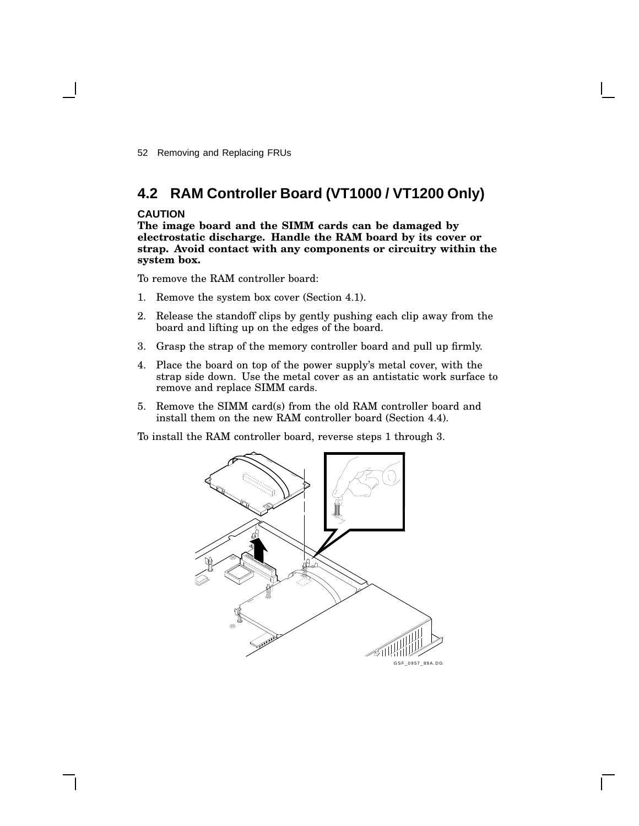52 Removing and Replacing FRUs

# **4.2 RAM Controller Board (VT1000 / VT1200 Only)**

#### **CAUTION**

**The image board and the SIMM cards can be damaged by electrostatic discharge. Handle the RAM board by its cover or strap. Avoid contact with any components or circuitry within the system box.**

To remove the RAM controller board:

- 1. Remove the system box cover (Section 4.1).
- 2. Release the standoff clips by gently pushing each clip away from the board and lifting up on the edges of the board.
- 3. Grasp the strap of the memory controller board and pull up firmly.
- 4. Place the board on top of the power supply's metal cover, with the strap side down. Use the metal cover as an antistatic work surface to remove and replace SIMM cards.
- 5. Remove the SIMM card(s) from the old RAM controller board and install them on the new RAM controller board (Section 4.4).

To install the RAM controller board, reverse steps 1 through 3.

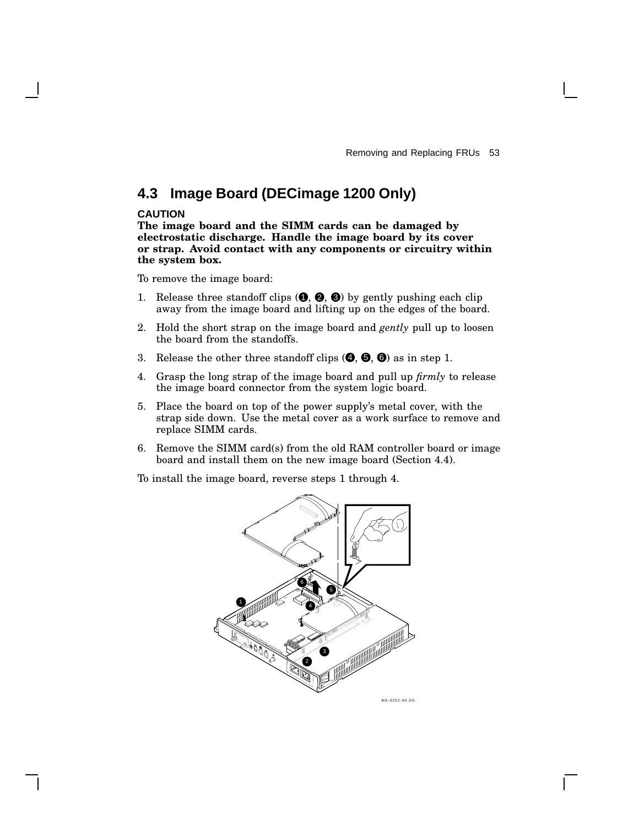# **4.3 Image Board (DECimage 1200 Only)**

#### **CAUTION**

**The image board and the SIMM cards can be damaged by electrostatic discharge. Handle the image board by its cover or strap. Avoid contact with any components or circuitry within the system box.**

To remove the image board:

- 1. Release three standoff clips  $(①, ②, ③)$  by gently pushing each clip away from the image board and lifting up on the edges of the board.
- 2. Hold the short strap on the image board and *gently* pull up to loosen the board from the standoffs.
- 3. Release the other three standoff clips  $(②, ⑤, ③)$  as in step 1.
- 4. Grasp the long strap of the image board and pull up *firmly* to release the image board connector from the system logic board.
- 5. Place the board on top of the power supply's metal cover, with the strap side down. Use the metal cover as a work surface to remove and replace SIMM cards.
- 6. Remove the SIMM card(s) from the old RAM controller board or image board and install them on the new image board (Section 4.4).

To install the image board, reverse steps 1 through 4.

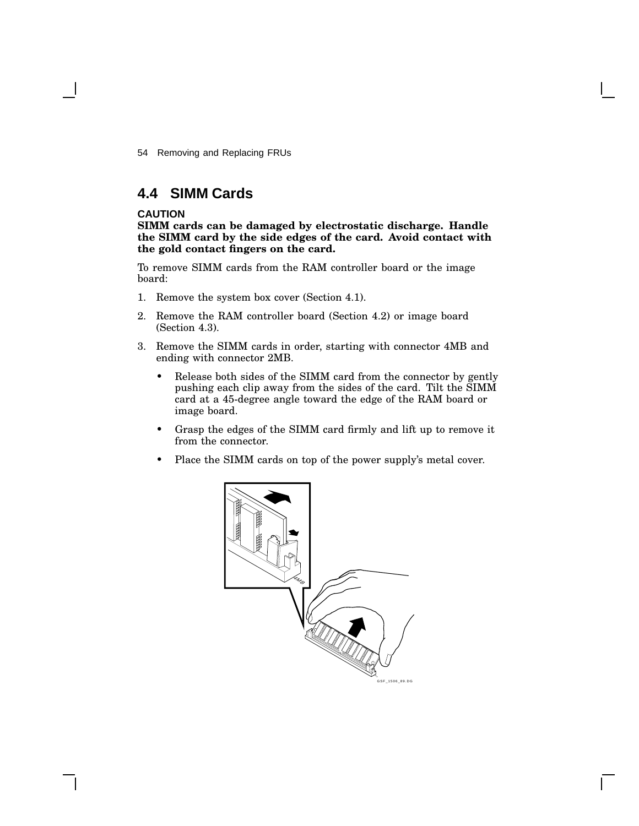54 Removing and Replacing FRUs

## **4.4 SIMM Cards**

#### **CAUTION**

**SIMM cards can be damaged by electrostatic discharge. Handle the SIMM card by the side edges of the card. Avoid contact with the gold contact fingers on the card.**

To remove SIMM cards from the RAM controller board or the image board:

- 1. Remove the system box cover (Section 4.1).
- 2. Remove the RAM controller board (Section 4.2) or image board (Section 4.3).
- 3. Remove the SIMM cards in order, starting with connector 4MB and ending with connector 2MB.
	- Release both sides of the SIMM card from the connector by gently pushing each clip away from the sides of the card. Tilt the SIMM card at a 45-degree angle toward the edge of the RAM board or image board.
	- Grasp the edges of the SIMM card firmly and lift up to remove it from the connector.
	- Place the SIMM cards on top of the power supply's metal cover.

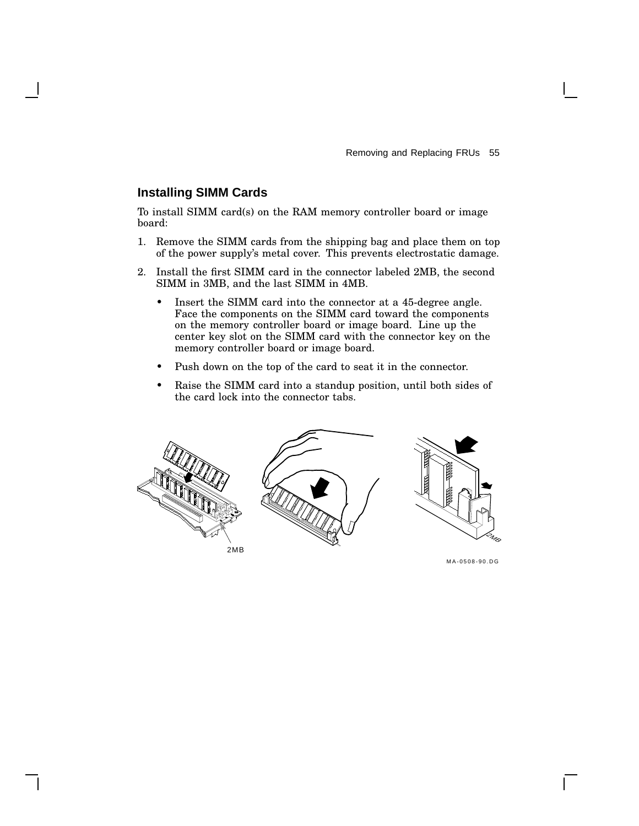#### **Installing SIMM Cards**

To install SIMM card(s) on the RAM memory controller board or image board:

- 1. Remove the SIMM cards from the shipping bag and place them on top of the power supply's metal cover. This prevents electrostatic damage.
- 2. Install the first SIMM card in the connector labeled 2MB, the second SIMM in 3MB, and the last SIMM in 4MB.
	- Insert the SIMM card into the connector at a 45-degree angle. Face the components on the SIMM card toward the components on the memory controller board or image board. Line up the center key slot on the SIMM card with the connector key on the memory controller board or image board.
	- Push down on the top of the card to seat it in the connector.
	- Raise the SIMM card into a standup position, until both sides of the card lock into the connector tabs.



MA-0508-90.DG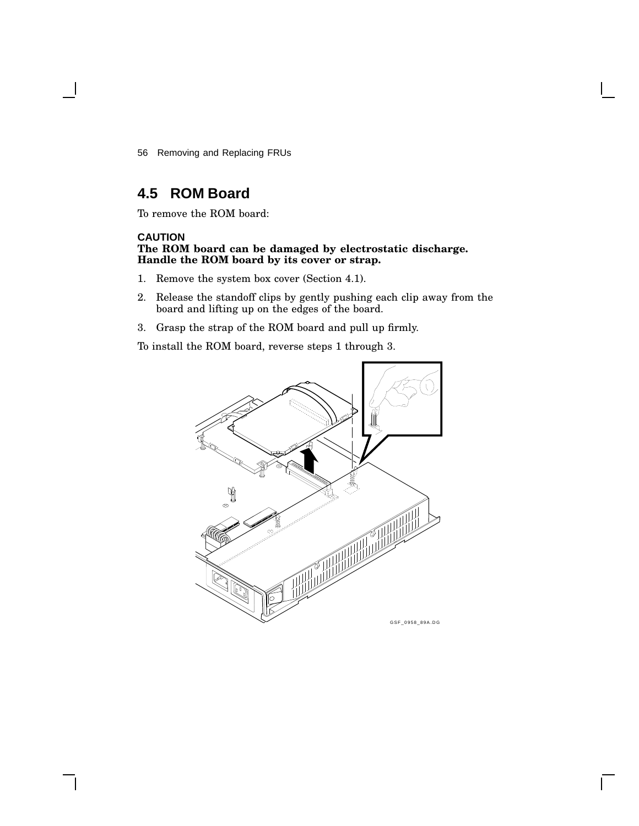56 Removing and Replacing FRUs

# **4.5 ROM Board**

To remove the ROM board:

#### **CAUTION**

#### **The ROM board can be damaged by electrostatic discharge. Handle the ROM board by its cover or strap.**

- 1. Remove the system box cover (Section 4.1).
- 2. Release the standoff clips by gently pushing each clip away from the board and lifting up on the edges of the board.
- 3. Grasp the strap of the ROM board and pull up firmly.

To install the ROM board, reverse steps 1 through 3.

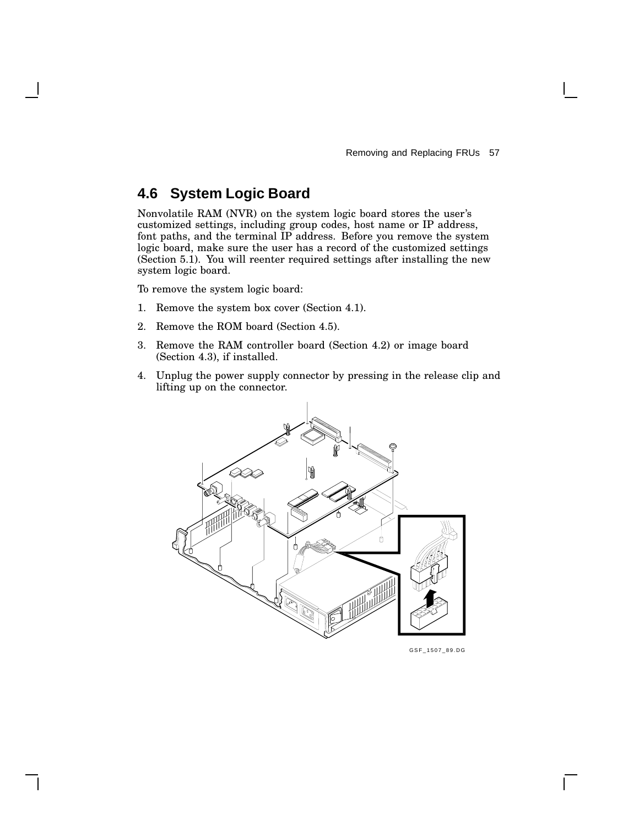# **4.6 System Logic Board**

Nonvolatile RAM (NVR) on the system logic board stores the user's customized settings, including group codes, host name or IP address, font paths, and the terminal IP address. Before you remove the system logic board, make sure the user has a record of the customized settings (Section 5.1). You will reenter required settings after installing the new system logic board.

To remove the system logic board:

- 1. Remove the system box cover (Section 4.1).
- 2. Remove the ROM board (Section 4.5).
- 3. Remove the RAM controller board (Section 4.2) or image board (Section 4.3), if installed.
- 4. Unplug the power supply connector by pressing in the release clip and lifting up on the connector.



GSF\_1507\_89.DG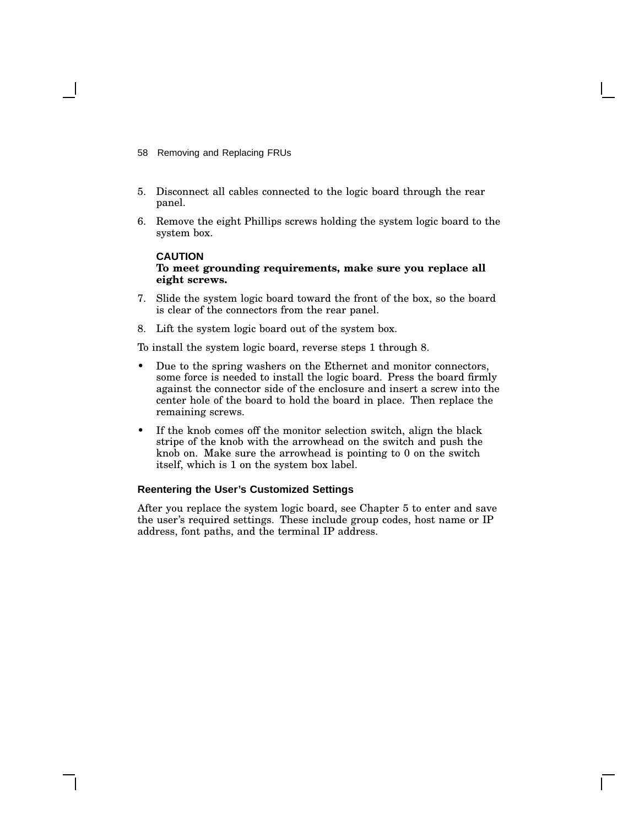- 58 Removing and Replacing FRUs
- 5. Disconnect all cables connected to the logic board through the rear panel.
- 6. Remove the eight Phillips screws holding the system logic board to the system box.

#### **CAUTION To meet grounding requirements, make sure you replace all eight screws.**

- 7. Slide the system logic board toward the front of the box, so the board is clear of the connectors from the rear panel.
- 8. Lift the system logic board out of the system box.

To install the system logic board, reverse steps 1 through 8.

- Due to the spring washers on the Ethernet and monitor connectors, some force is needed to install the logic board. Press the board firmly against the connector side of the enclosure and insert a screw into the center hole of the board to hold the board in place. Then replace the remaining screws.
- If the knob comes off the monitor selection switch, align the black stripe of the knob with the arrowhead on the switch and push the knob on. Make sure the arrowhead is pointing to 0 on the switch itself, which is 1 on the system box label.

#### **Reentering the User's Customized Settings**

After you replace the system logic board, see Chapter 5 to enter and save the user's required settings. These include group codes, host name or IP address, font paths, and the terminal IP address.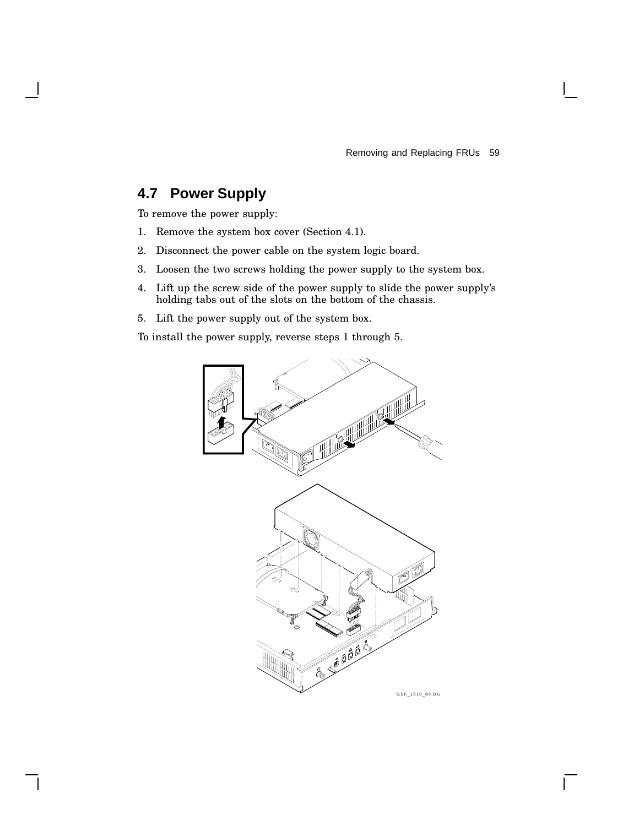Removing and Replacing FRUs 59

 $\mathbf{I}$ 

# **4.7 Power Supply**

To remove the power supply:

- 1. Remove the system box cover (Section 4.1).
- 2. Disconnect the power cable on the system logic board.
- 3. Loosen the two screws holding the power supply to the system box.
- 4. Lift up the screw side of the power supply to slide the power supply's holding tabs out of the slots on the bottom of the chassis.
- 5. Lift the power supply out of the system box.

To install the power supply, reverse steps 1 through 5.

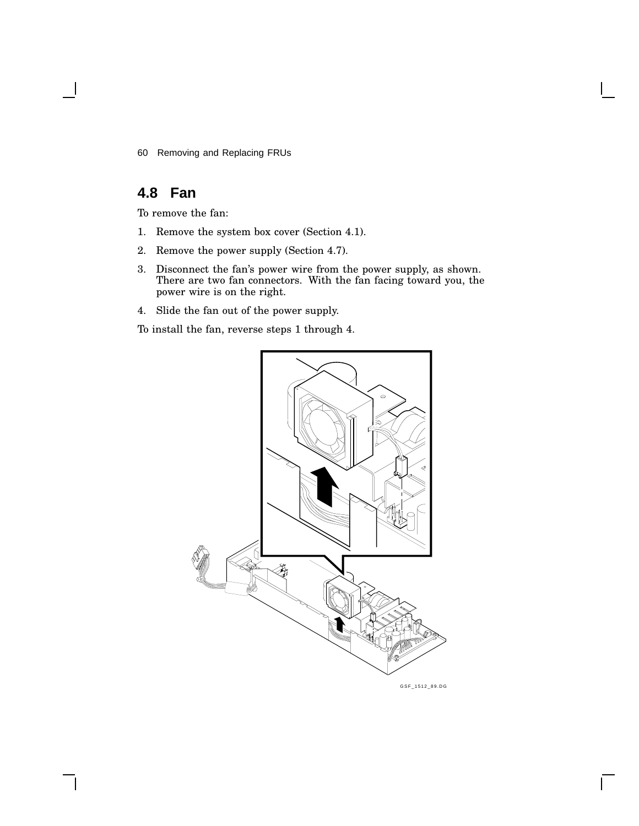60 Removing and Replacing FRUs

# **4.8 Fan**

To remove the fan:

- 1. Remove the system box cover (Section 4.1).
- 2. Remove the power supply (Section 4.7).
- 3. Disconnect the fan's power wire from the power supply, as shown. There are two fan connectors. With the fan facing toward you, the power wire is on the right.
- 4. Slide the fan out of the power supply.

To install the fan, reverse steps 1 through 4.

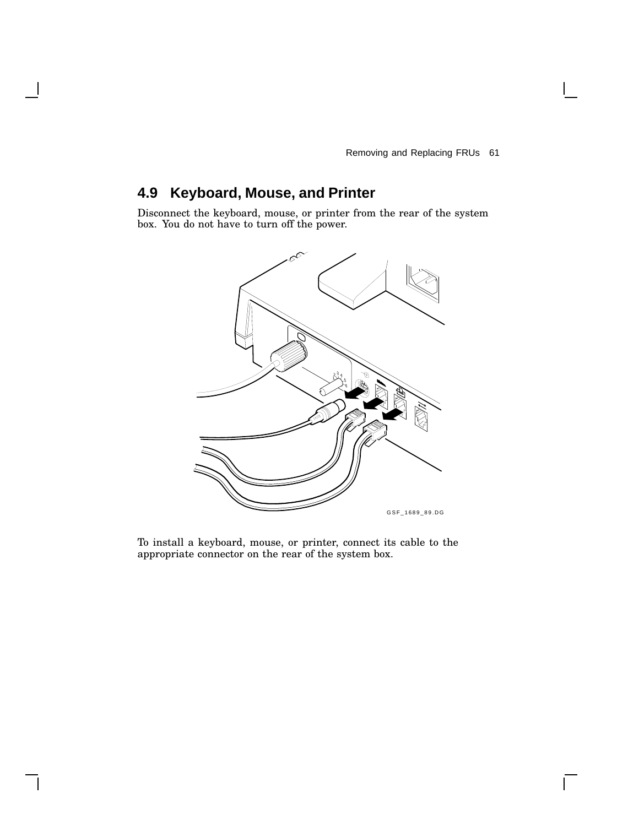$\mathbf{I}$ 

# **4.9 Keyboard, Mouse, and Printer**

Disconnect the keyboard, mouse, or printer from the rear of the system box. You do not have to turn off the power.



To install a keyboard, mouse, or printer, connect its cable to the appropriate connector on the rear of the system box.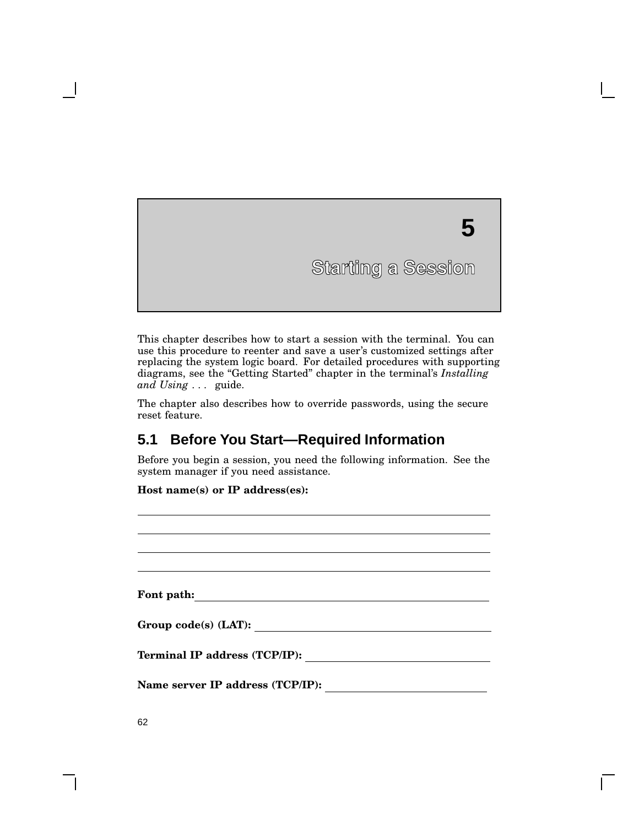# **5 Starting a Session Starting a Session**

This chapter describes how to start a session with the terminal. You can use this procedure to reenter and save a user's customized settings after replacing the system logic board. For detailed procedures with supporting diagrams, see the ''Getting Started'' chapter in the terminal's *Installing and Using . . .* guide.

The chapter also describes how to override passwords, using the secure reset feature.

# **5.1 Before You Start—Required Information**

Before you begin a session, you need the following information. See the system manager if you need assistance.

**Host name(s) or IP address(es):**

| Font path:                           |  |
|--------------------------------------|--|
| Group $code(s)$ (LAT):               |  |
| <b>Terminal IP address (TCP/IP):</b> |  |
| Name server IP address (TCP/IP):     |  |

**5**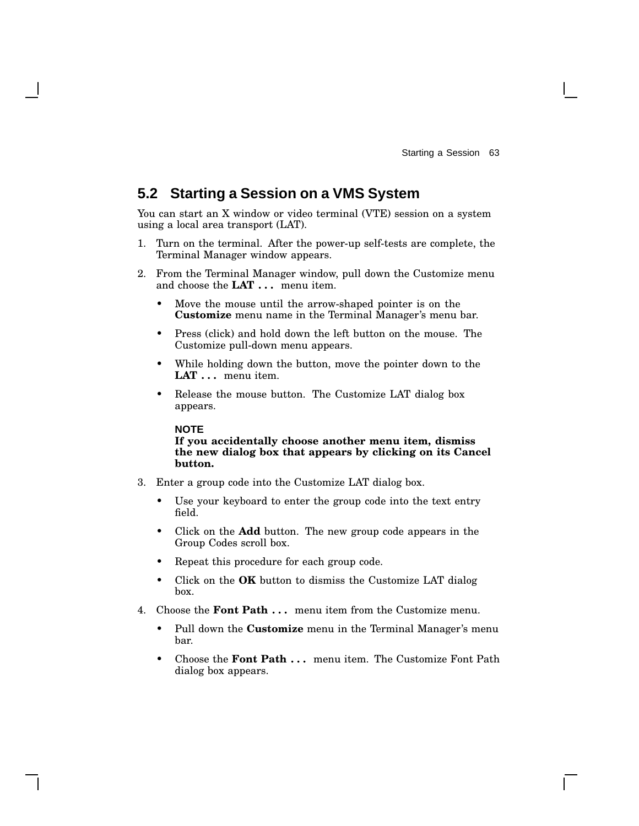## **5.2 Starting a Session on a VMS System**

You can start an X window or video terminal (VTE) session on a system using a local area transport (LAT).

- 1. Turn on the terminal. After the power-up self-tests are complete, the Terminal Manager window appears.
- 2. From the Terminal Manager window, pull down the Customize menu and choose the **LAT . . .** menu item.
	- Move the mouse until the arrow-shaped pointer is on the **Customize** menu name in the Terminal Manager's menu bar.
	- Press (click) and hold down the left button on the mouse. The Customize pull-down menu appears.
	- While holding down the button, move the pointer down to the **LAT . . .** menu item.
	- Release the mouse button. The Customize LAT dialog box appears.

#### **NOTE**

#### **If you accidentally choose another menu item, dismiss the new dialog box that appears by clicking on its Cancel button.**

- 3. Enter a group code into the Customize LAT dialog box.
	- Use your keyboard to enter the group code into the text entry field.
	- Click on the **Add** button. The new group code appears in the Group Codes scroll box.
	- Repeat this procedure for each group code.
	- Click on the **OK** button to dismiss the Customize LAT dialog box.
- 4. Choose the **Font Path . . .** menu item from the Customize menu.
	- Pull down the **Customize** menu in the Terminal Manager's menu bar.
	- Choose the **Font Path . . .** menu item. The Customize Font Path dialog box appears.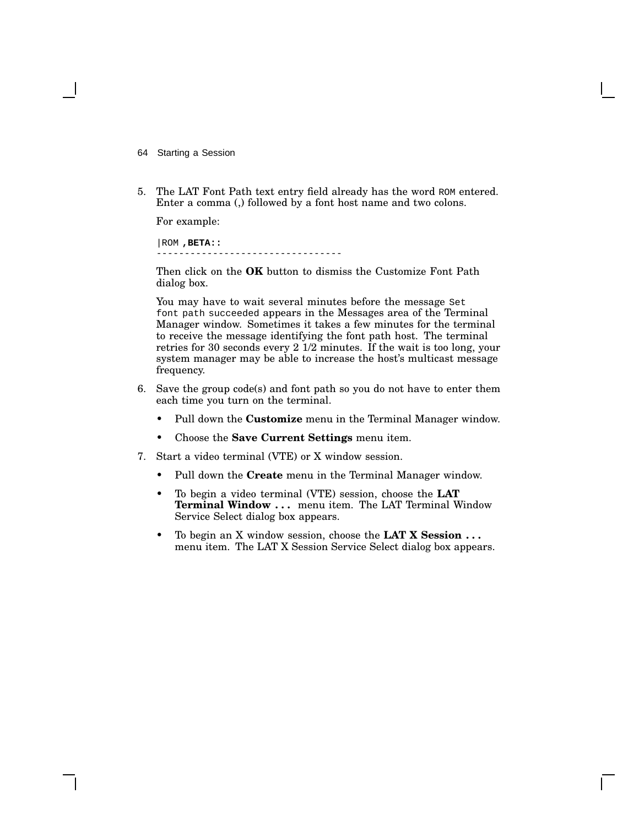- 64 Starting a Session
- 5. The LAT Font Path text entry field already has the word ROM entered. Enter a comma (,) followed by a font host name and two colons.

For example:

|ROM **,BETA::** ---------------------------------

Then click on the **OK** button to dismiss the Customize Font Path dialog box.

You may have to wait several minutes before the message Set font path succeeded appears in the Messages area of the Terminal Manager window. Sometimes it takes a few minutes for the terminal to receive the message identifying the font path host. The terminal retries for 30 seconds every 2 1/2 minutes. If the wait is too long, your system manager may be able to increase the host's multicast message frequency.

- 6. Save the group code(s) and font path so you do not have to enter them each time you turn on the terminal.
	- Pull down the **Customize** menu in the Terminal Manager window.
	- Choose the **Save Current Settings** menu item.
- 7. Start a video terminal (VTE) or X window session.
	- Pull down the **Create** menu in the Terminal Manager window.
	- To begin a video terminal (VTE) session, choose the **LAT Terminal Window . . .** menu item. The LAT Terminal Window Service Select dialog box appears.
	- To begin an X window session, choose the **LAT X Session . . .** menu item. The LAT X Session Service Select dialog box appears.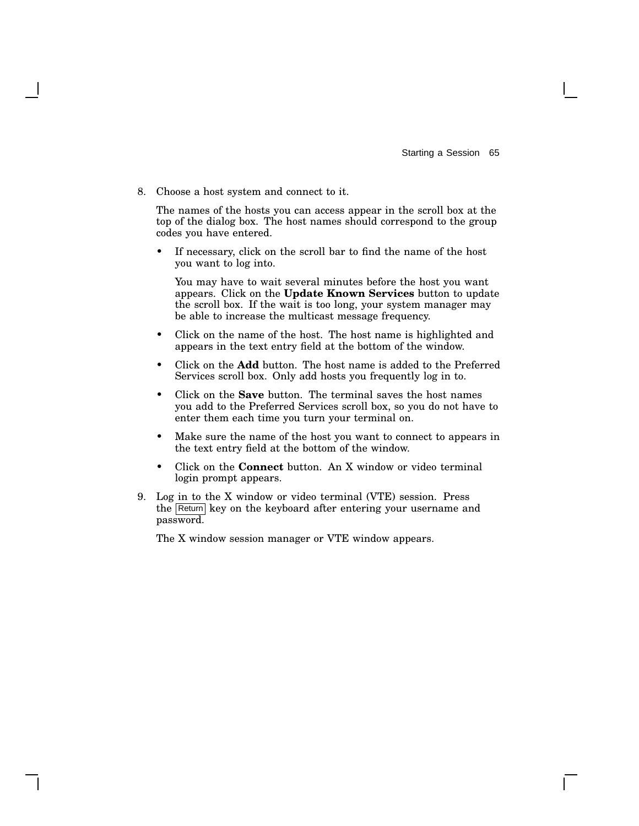8. Choose a host system and connect to it.

The names of the hosts you can access appear in the scroll box at the top of the dialog box. The host names should correspond to the group codes you have entered.

If necessary, click on the scroll bar to find the name of the host you want to log into.

You may have to wait several minutes before the host you want appears. Click on the **Update Known Services** button to update the scroll box. If the wait is too long, your system manager may be able to increase the multicast message frequency.

- Click on the name of the host. The host name is highlighted and appears in the text entry field at the bottom of the window.
- Click on the **Add** button. The host name is added to the Preferred Services scroll box. Only add hosts you frequently log in to.
- Click on the **Save** button. The terminal saves the host names you add to the Preferred Services scroll box, so you do not have to enter them each time you turn your terminal on.
- Make sure the name of the host you want to connect to appears in the text entry field at the bottom of the window.
- Click on the **Connect** button. An X window or video terminal login prompt appears.
- 9. Log in to the X window or video terminal (VTE) session. Press the Return key on the keyboard after entering your username and password.

The X window session manager or VTE window appears.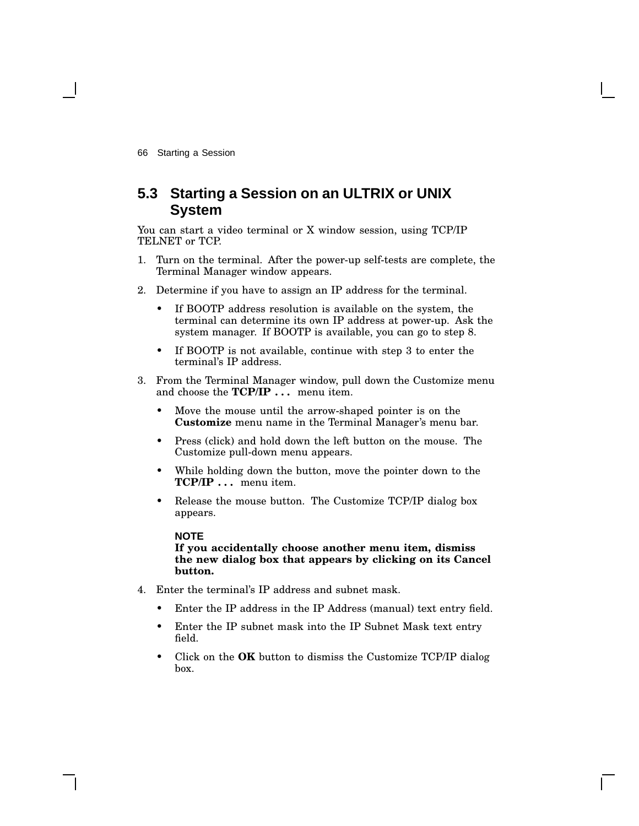## **5.3 Starting a Session on an ULTRIX or UNIX System**

You can start a video terminal or X window session, using TCP/IP TELNET or TCP.

- 1. Turn on the terminal. After the power-up self-tests are complete, the Terminal Manager window appears.
- 2. Determine if you have to assign an IP address for the terminal.
	- If BOOTP address resolution is available on the system, the terminal can determine its own IP address at power-up. Ask the system manager. If BOOTP is available, you can go to step 8.
	- If BOOTP is not available, continue with step 3 to enter the terminal's IP address.
- 3. From the Terminal Manager window, pull down the Customize menu and choose the **TCP/IP . . .** menu item.
	- Move the mouse until the arrow-shaped pointer is on the **Customize** menu name in the Terminal Manager's menu bar.
	- Press (click) and hold down the left button on the mouse. The Customize pull-down menu appears.
	- While holding down the button, move the pointer down to the **TCP/IP . . .** menu item.
	- Release the mouse button. The Customize TCP/IP dialog box appears.

#### **NOTE**

**If you accidentally choose another menu item, dismiss the new dialog box that appears by clicking on its Cancel button.**

- 4. Enter the terminal's IP address and subnet mask.
	- Enter the IP address in the IP Address (manual) text entry field.
	- Enter the IP subnet mask into the IP Subnet Mask text entry field.
	- Click on the **OK** button to dismiss the Customize TCP/IP dialog box.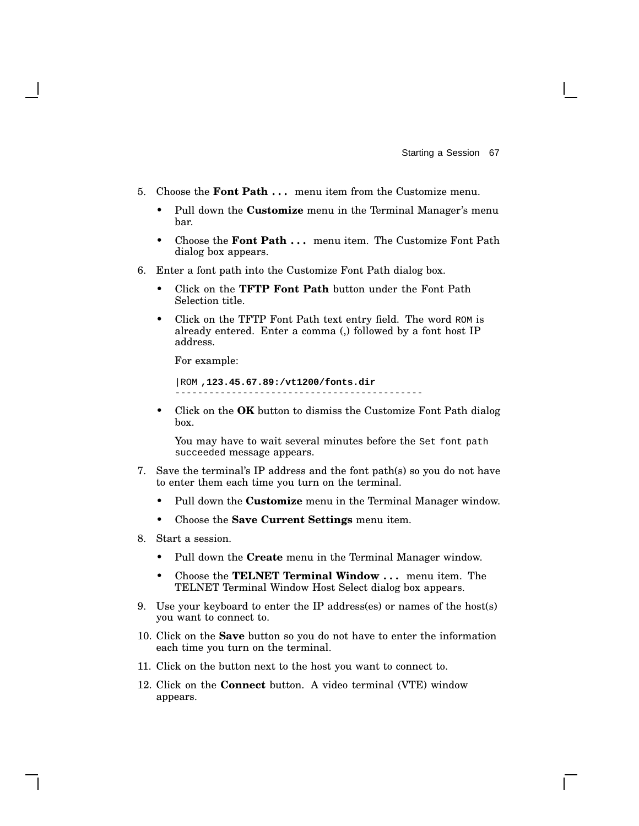- 5. Choose the **Font Path . . .** menu item from the Customize menu.
	- Pull down the **Customize** menu in the Terminal Manager's menu bar.
	- Choose the **Font Path . . .** menu item. The Customize Font Path dialog box appears.
- 6. Enter a font path into the Customize Font Path dialog box.
	- Click on the **TFTP Font Path** button under the Font Path Selection title.
	- Click on the TFTP Font Path text entry field. The word ROM is already entered. Enter a comma (,) followed by a font host IP address.

For example:

```
|ROM ,123.45.67.89:/vt1200/fonts.dir
--------------------------------------------
```
• Click on the **OK** button to dismiss the Customize Font Path dialog box.

You may have to wait several minutes before the Set font path succeeded message appears.

- 7. Save the terminal's IP address and the font path(s) so you do not have to enter them each time you turn on the terminal.
	- Pull down the **Customize** menu in the Terminal Manager window.
	- Choose the **Save Current Settings** menu item.
- 8. Start a session.
	- Pull down the **Create** menu in the Terminal Manager window.
	- Choose the **TELNET Terminal Window . . .** menu item. The TELNET Terminal Window Host Select dialog box appears.
- 9. Use your keyboard to enter the IP address(es) or names of the host(s) you want to connect to.
- 10. Click on the **Save** button so you do not have to enter the information each time you turn on the terminal.
- 11. Click on the button next to the host you want to connect to.
- 12. Click on the **Connect** button. A video terminal (VTE) window appears.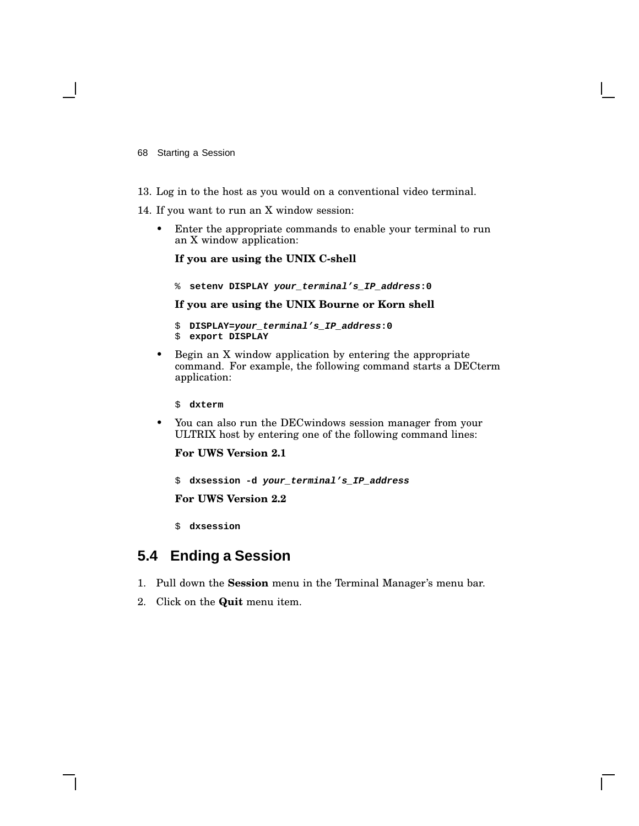- 68 Starting a Session
- 13. Log in to the host as you would on a conventional video terminal.
- 14. If you want to run an X window session:
	- Enter the appropriate commands to enable your terminal to run an X window application:

**If you are using the UNIX C-shell**

% **setenv DISPLAY your\_terminal's\_IP\_address:0**

#### **If you are using the UNIX Bourne or Korn shell**

- \$ **DISPLAY=your\_terminal's\_IP\_address:0**
- \$ **export DISPLAY**
- Begin an X window application by entering the appropriate command. For example, the following command starts a DECterm application:
	- \$ **dxterm**
- You can also run the DECwindows session manager from your ULTRIX host by entering one of the following command lines:

**For UWS Version 2.1**

\$ **dxsession -d your\_terminal's\_IP\_address**

**For UWS Version 2.2**

\$ **dxsession**

## **5.4 Ending a Session**

- 1. Pull down the **Session** menu in the Terminal Manager's menu bar.
- 2. Click on the **Quit** menu item.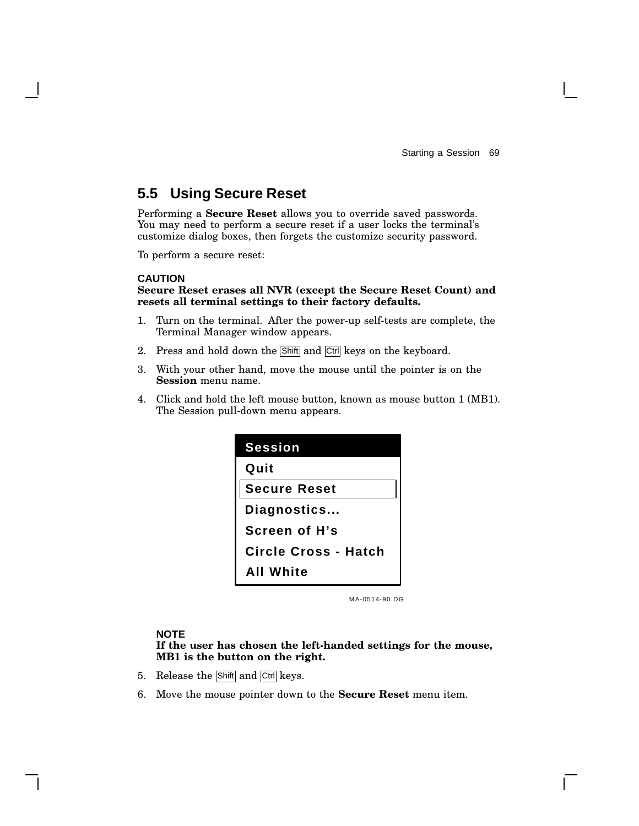## **5.5 Using Secure Reset**

Performing a **Secure Reset** allows you to override saved passwords. You may need to perform a secure reset if a user locks the terminal's customize dialog boxes, then forgets the customize security password.

To perform a secure reset:

#### **CAUTION**

#### **Secure Reset erases all NVR (except the Secure Reset Count) and resets all terminal settings to their factory defaults.**

- 1. Turn on the terminal. After the power-up self-tests are complete, the Terminal Manager window appears.
- 2. Press and hold down the Shift and Ctrl keys on the keyboard.
- 3. With your other hand, move the mouse until the pointer is on the **Session** menu name.
- 4. Click and hold the left mouse button, known as mouse button 1 (MB1). The Session pull-down menu appears.

| <b>Session</b>              |
|-----------------------------|
| Quit                        |
| <b>Secure Reset</b>         |
| Diagnostics                 |
| Screen of H's               |
| <b>Circle Cross - Hatch</b> |
| All White                   |

MA-0514-90.DG

#### **NOTE**

**If the user has chosen the left-handed settings for the mouse, MB1 is the button on the right.**

- 5. Release the Shift and Ctrl keys.
- 6. Move the mouse pointer down to the **Secure Reset** menu item.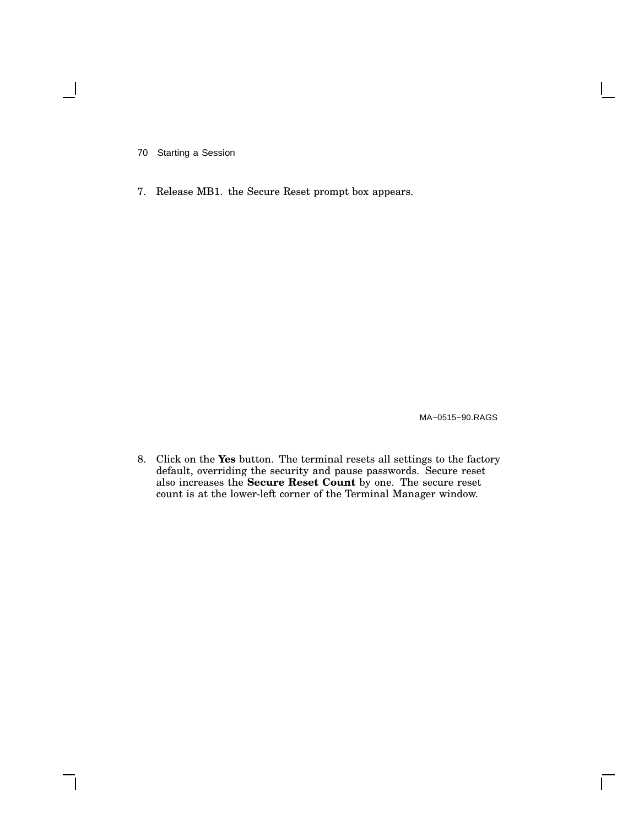7. Release MB1. the Secure Reset prompt box appears.

MA−0515−90.RAGS

8. Click on the **Yes** button. The terminal resets all settings to the factory default, overriding the security and pause passwords. Secure reset also increases the **Secure Reset Count** by one. The secure reset count is at the lower-left corner of the Terminal Manager window.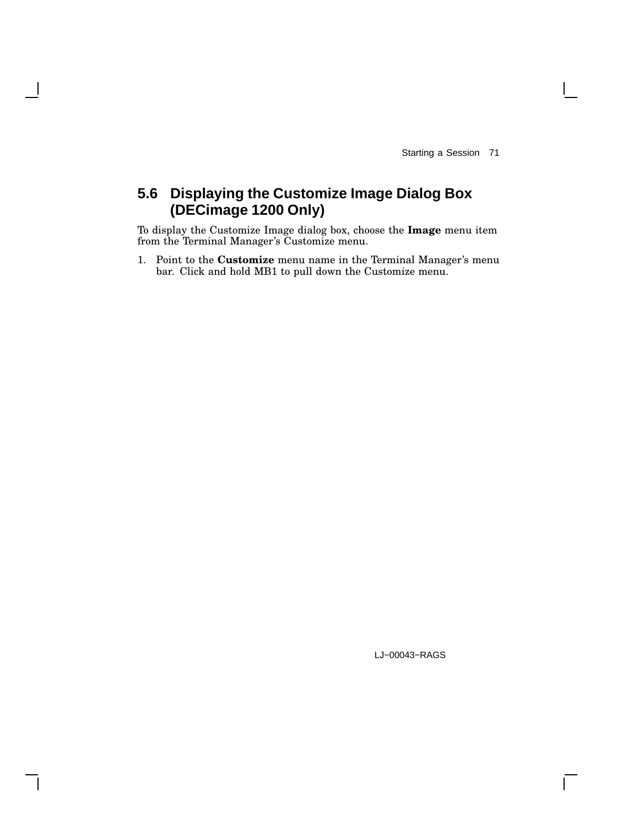## **5.6 Displaying the Customize Image Dialog Box (DECimage 1200 Only)**

To display the Customize Image dialog box, choose the **Image** menu item from the Terminal Manager's Customize menu.

1. Point to the **Customize** menu name in the Terminal Manager's menu bar. Click and hold MB1 to pull down the Customize menu.

LJ−00043−RAGS

 $\mathbf{I}$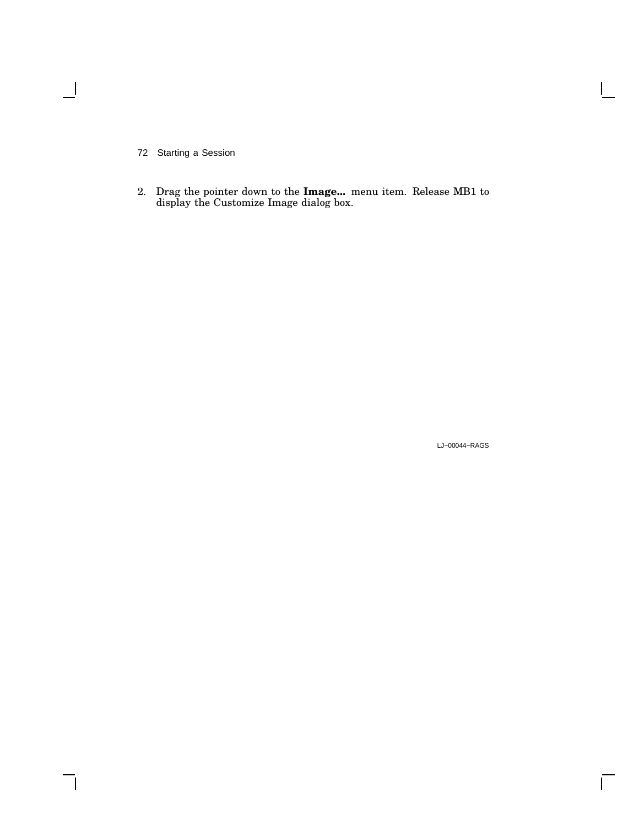$\overline{\phantom{0}}$ 

2. Drag the pointer down to the **Image...** menu item. Release MB1 to display the Customize Image dialog box.

LJ−00044−RAGS

 $\overline{\Gamma}$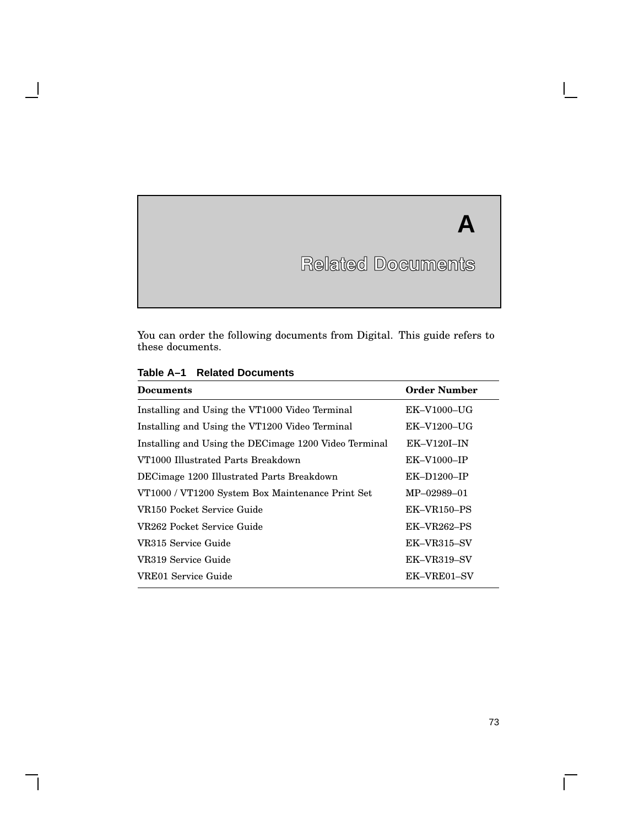# **Related Documents**

**A**

You can order the following documents from Digital. This guide refers to these documents.

| <b>Documents</b>                                      | <b>Order Number</b>      |
|-------------------------------------------------------|--------------------------|
| Installing and Using the VT1000 Video Terminal        | $EK-V1000-UG$            |
| Installing and Using the VT1200 Video Terminal        | $EK-V1200-UG$            |
| Installing and Using the DECimage 1200 Video Terminal | $EK-V120I-IN$            |
| VT1000 Illustrated Parts Breakdown                    | $EK-V1000-IP$            |
| DECimage 1200 Illustrated Parts Breakdown             | $EK-D1200-IP$            |
| VT1000 / VT1200 System Box Maintenance Print Set      | MP-02989-01              |
| VR150 Pocket Service Guide                            | EK-VR <sub>150</sub> -PS |
| VR262 Pocket Service Guide                            | $EK-VR262-PS$            |
| VR315 Service Guide                                   | EK-VR315-SV              |
| VR319 Service Guide                                   | EK-VR319-SV              |
| VRE01 Service Guide                                   | EK-VRE01-SV              |

#### **Table A–1 Related Documents**

H

 $\overline{\Gamma}$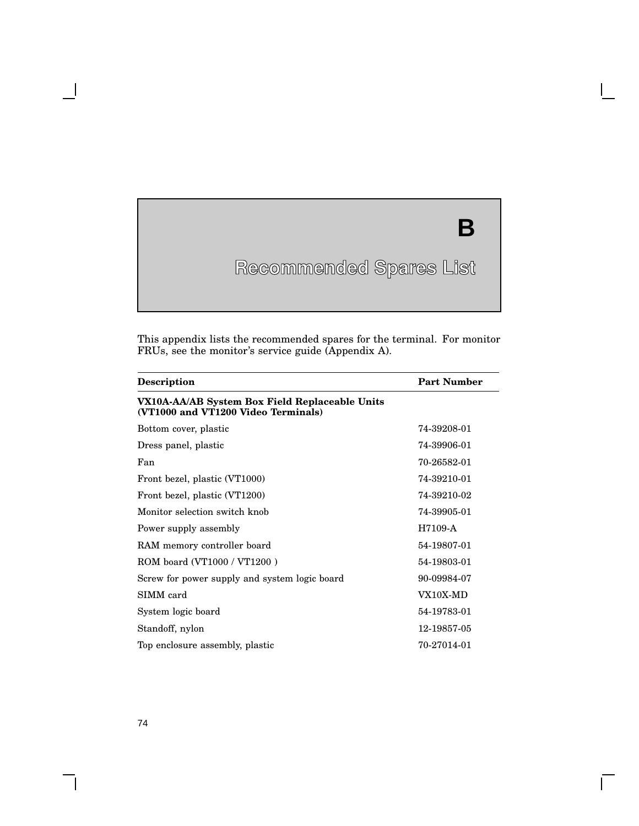## **Recommended Spares List**

**B**

 $\Box$ 

This appendix lists the recommended spares for the terminal. For monitor FRUs, see the monitor's service guide (Appendix A).

| <b>Description</b>                                                                    | <b>Part Number</b> |
|---------------------------------------------------------------------------------------|--------------------|
| VX10A-AA/AB System Box Field Replaceable Units<br>(VT1000 and VT1200 Video Terminals) |                    |
| Bottom cover, plastic                                                                 | 74-39208-01        |
| Dress panel, plastic                                                                  | 74-39906-01        |
| Fan                                                                                   | 70-26582-01        |
| Front bezel, plastic (VT1000)                                                         | 74-39210-01        |
| Front bezel, plastic (VT1200)                                                         | 74-39210-02        |
| Monitor selection switch knob                                                         | 74-39905-01        |
| Power supply assembly                                                                 | H7109-A            |
| RAM memory controller board                                                           | 54-19807-01        |
| ROM board (VT1000 / VT1200)                                                           | 54-19803-01        |
| Screw for power supply and system logic board                                         | 90-09984-07        |
| SIMM card                                                                             | VX10X-MD           |
| System logic board                                                                    | 54-19783-01        |
| Standoff, nylon                                                                       | 12-19857-05        |
| Top enclosure assembly, plastic                                                       | 70-27014-01        |

**B**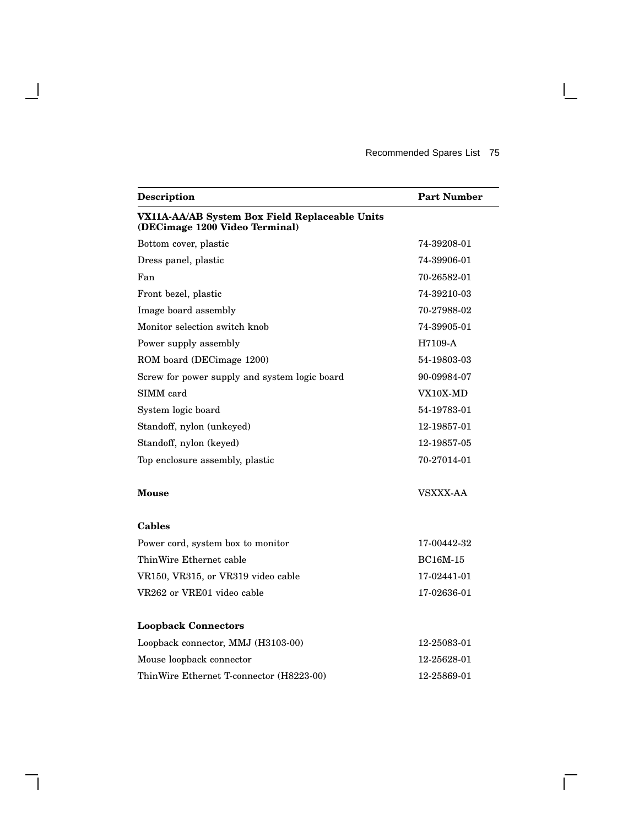$\overline{\Gamma}$ 

| Description                                                                      | <b>Part Number</b> |
|----------------------------------------------------------------------------------|--------------------|
| VX11A-AA/AB System Box Field Replaceable Units<br>(DECimage 1200 Video Terminal) |                    |
| Bottom cover, plastic                                                            | 74-39208-01        |
| Dress panel, plastic                                                             | 74-39906-01        |
| Fan                                                                              | 70-26582-01        |
| Front bezel, plastic                                                             | 74-39210-03        |
| Image board assembly                                                             | 70-27988-02        |
| Monitor selection switch knob                                                    | 74-39905-01        |
| Power supply assembly                                                            | H7109-A            |
| ROM board (DECimage 1200)                                                        | 54-19803-03        |
| Screw for power supply and system logic board                                    | 90-09984-07        |
| SIMM card                                                                        | VX10X-MD           |
| System logic board                                                               | 54-19783-01        |
| Standoff, nylon (unkeyed)                                                        | 12-19857-01        |
| Standoff, nylon (keyed)                                                          | 12-19857-05        |
| Top enclosure assembly, plastic                                                  | 70-27014-01        |
| <b>Mouse</b>                                                                     | VSXXX-AA           |
| Cables                                                                           |                    |
| Power cord, system box to monitor                                                | 17-00442-32        |
| ThinWire Ethernet cable                                                          | <b>BC16M-15</b>    |
| VR150, VR315, or VR319 video cable                                               | 17-02441-01        |
| VR262 or VRE01 video cable                                                       | 17-02636-01        |
| <b>Loopback Connectors</b>                                                       |                    |
| Loopback connector, MMJ (H3103-00)                                               | 12-25083-01        |
| Mouse loopback connector                                                         | 12-25628-01        |
| ThinWire Ethernet T-connector (H8223-00)                                         | 12-25869-01        |

 $\blacksquare$ 

H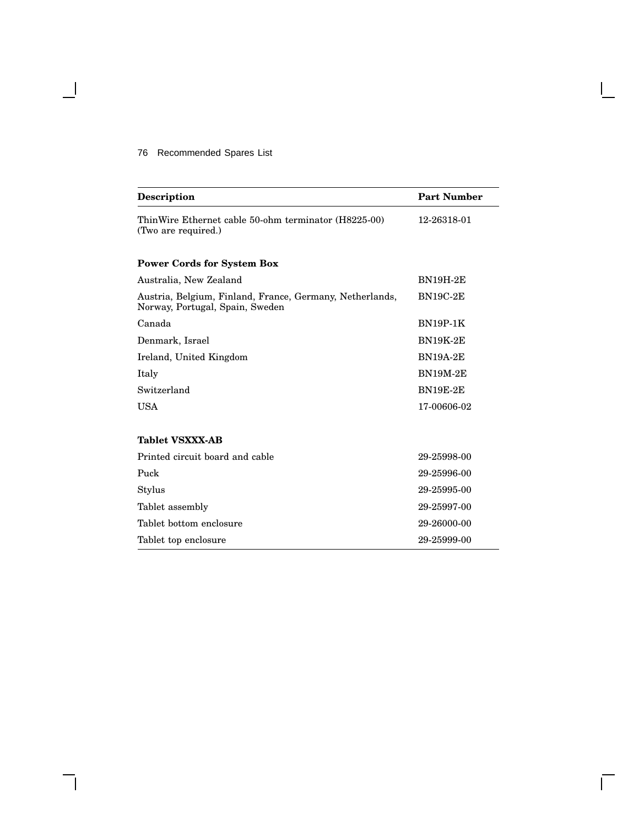#### 76 Recommended Spares List

 $\overline{\phantom{a}}$ 

| <b>Description</b>                                                                          | <b>Part Number</b> |
|---------------------------------------------------------------------------------------------|--------------------|
| ThinWire Ethernet cable 50-ohm terminator (H8225-00)<br>(Two are required.)                 | 12-26318-01        |
| <b>Power Cords for System Box</b>                                                           |                    |
| Australia, New Zealand                                                                      | <b>BN19H-2E</b>    |
| Austria, Belgium, Finland, France, Germany, Netherlands,<br>Norway, Portugal, Spain, Sweden | <b>BN19C-2E</b>    |
| Canada                                                                                      | <b>BN19P-1K</b>    |
| Denmark, Israel                                                                             | <b>BN19K-2E</b>    |
| Ireland, United Kingdom                                                                     | <b>BN19A-2E</b>    |
| Italy                                                                                       | <b>BN19M-2E</b>    |
| Switzerland                                                                                 | <b>BN19E-2E</b>    |
| <b>USA</b>                                                                                  | 17-00606-02        |
| <b>Tablet VSXXX-AB</b>                                                                      |                    |
| Printed circuit board and cable                                                             | 29-25998-00        |
| Puck                                                                                        | 29-25996-00        |
| Stylus                                                                                      | 29-25995-00        |
| Tablet assembly                                                                             | 29-25997-00        |
| Tablet bottom enclosure                                                                     | 29-26000-00        |
| Tablet top enclosure                                                                        | 29-25999-00        |

Г